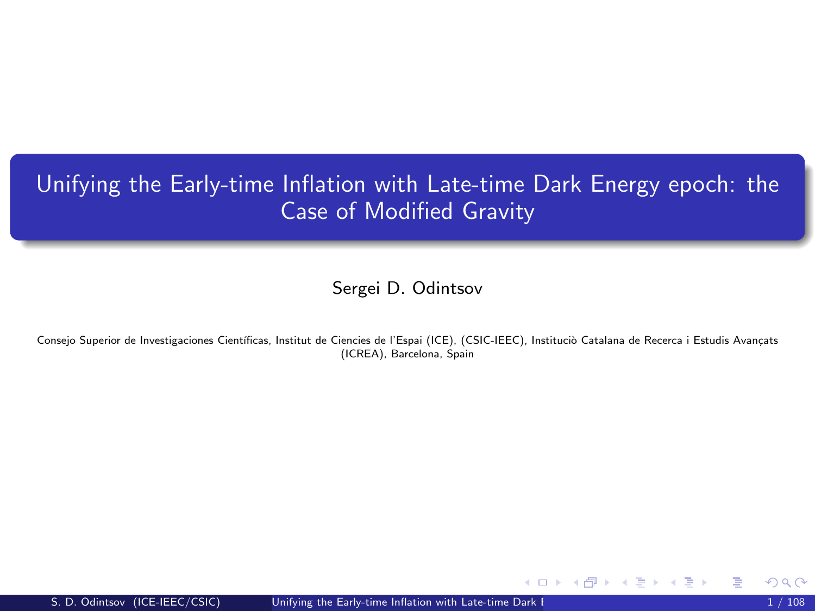# <span id="page-0-1"></span><span id="page-0-0"></span>Unifying the Early-time Inflation with Late-time Dark Energy epoch: the Case of Modified Gravity

Sergei D. Odintsov

Consejo Superior de Investigaciones Científicas, Institut de Ciencies de l'Espai (ICE), (CSIC-IEEC), Instituciò Catalana de Recerca i Estudis Avançats (ICREA), Barcelona, Spain

メロメ メ都 メメ ミメ メヨメ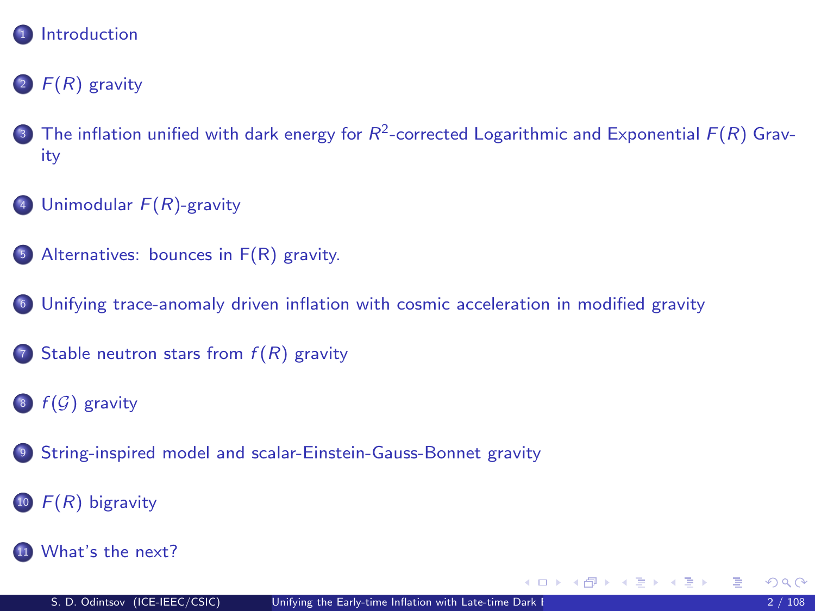

## 2  $F(R)$  gravity

- **3** [The inflation unified with dark energy for](#page-15-0)  $R^2$ -corrected Logarithmic and Exponential  $F(R)$  Grav[ity](#page-15-0)
- 4 [Unimodular](#page-57-0)  $F(R)$ -gravity
- <sup>5</sup> [Alternatives: bounces in F\(R\) gravity.](#page-65-0)
- <sup>6</sup> [Unifying trace-anomaly driven inflation with cosmic acceleration in modified gravity](#page-73-0)
- 7 [Stable neutron stars from](#page-82-0)  $f(R)$  gravity
- $8 \text{ } f(\mathcal{G})$  gravity
- <sup>9</sup> [String-inspired model and scalar-Einstein-Gauss-Bonnet gravity](#page-96-0)
- $10 F(R)$  bigravity
- **11** [What's the next?](#page-107-0)

B

メロメ メ都 メメ きょうくぼ メー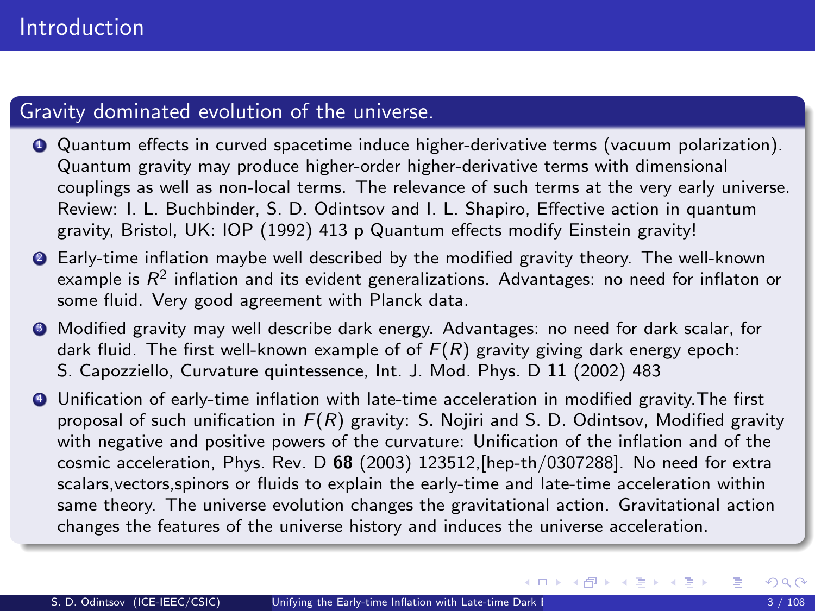#### <span id="page-2-0"></span>Gravity dominated evolution of the universe.

- <sup>1</sup> Quantum effects in curved spacetime induce higher-derivative terms (vacuum polarization). Quantum gravity may produce higher-order higher-derivative terms with dimensional couplings as well as non-local terms. The relevance of such terms at the very early universe. Review: I. L. Buchbinder, S. D. Odintsov and I. L. Shapiro, Effective action in quantum gravity, Bristol, UK: IOP (1992) 413 p Quantum effects modify Einstein gravity!
- <sup>2</sup> Early-time inflation maybe well described by the modified gravity theory. The well-known example is  $\mathsf{R}^2$  inflation and its evident generalizations. Advantages: no need for inflaton or some fluid. Very good agreement with Planck data.
- <sup>3</sup> Modified gravity may well describe dark energy. Advantages: no need for dark scalar, for dark fluid. The first well-known example of of  $F(R)$  gravity giving dark energy epoch: S. Capozziello, Curvature quintessence, Int. J. Mod. Phys. D 11 (2002) 483
- <sup>4</sup> Unification of early-time inflation with late-time acceleration in modified gravity.The first proposal of such unification in  $F(R)$  gravity: S. Nojiri and S. D. Odintsov, Modified gravity with negative and positive powers of the curvature: Unification of the inflation and of the cosmic acceleration, Phys. Rev. D  $68$  (2003) 123512, [hep-th/0307288]. No need for extra scalars,vectors,spinors or fluids to explain the early-time and late-time acceleration within same theory. The universe evolution changes the gravitational action. Gravitational action changes the features of the universe history and induces the universe acceleration.

 $\left\{ \begin{array}{ccc} 1 & 0 & 0 \\ 0 & 1 & 0 \end{array} \right.$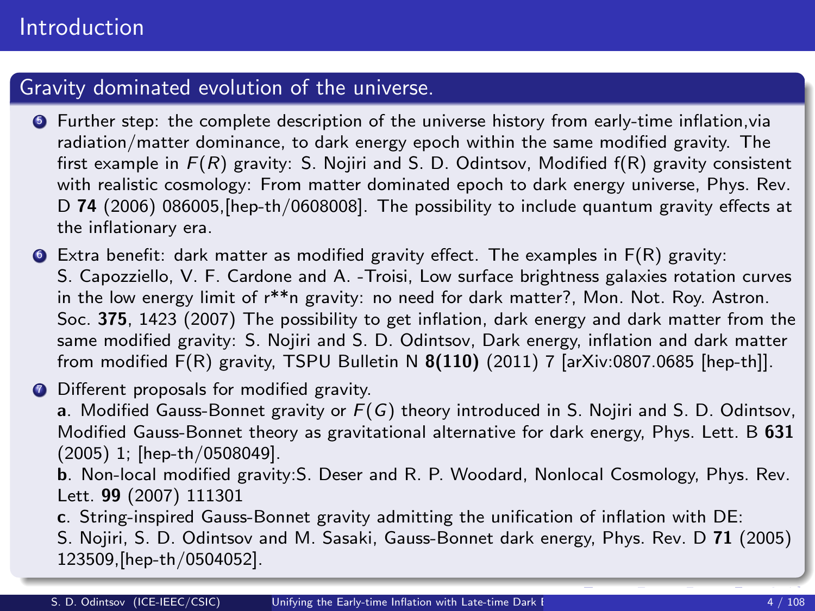#### Gravity dominated evolution of the universe.

- <sup>5</sup> Further step: the complete description of the universe history from early-time inflation,via radiation/matter dominance, to dark energy epoch within the same modified gravity. The first example in  $F(R)$  gravity: S. Nojiri and S. D. Odintsov, Modified  $f(R)$  gravity consistent with realistic cosmology: From matter dominated epoch to dark energy universe, Phys. Rev. D 74 (2006) 086005, [hep-th/0608008]. The possibility to include quantum gravity effects at the inflationary era.
- $\bullet$  Extra benefit: dark matter as modified gravity effect. The examples in  $F(R)$  gravity: S. Capozziello, V. F. Cardone and A. -Troisi, Low surface brightness galaxies rotation curves in the low energy limit of r\*\*n gravity: no need for dark matter?, Mon. Not. Roy. Astron. Soc. 375, 1423 (2007) The possibility to get inflation, dark energy and dark matter from the same modified gravity: S. Nojiri and S. D. Odintsov, Dark energy, inflation and dark matter from modified  $F(R)$  gravity, TSPU Bulletin N  $8(110)$  (2011) 7 [arXiv:0807.0685 [hep-th]].
- **<sup>1</sup>** Different proposals for modified gravity.

a. Modified Gauss-Bonnet gravity or  $F(G)$  theory introduced in S. Nojiri and S. D. Odintsov, Modified Gauss-Bonnet theory as gravitational alternative for dark energy, Phys. Lett. B 631 (2005) 1; [hep-th/0508049].

b. Non-local modified gravity:S. Deser and R. P. Woodard, Nonlocal Cosmology, Phys. Rev. Lett. 99 (2007) 111301

c. String-inspired Gauss-Bonnet gravity admitting the unification of inflation with DE:

S. Nojiri, S. D. Odintsov and M. Sasaki, Gauss-Bonnet dark energy, Phys. Rev. D 71 (2005) 123509,[hep-th/0504052].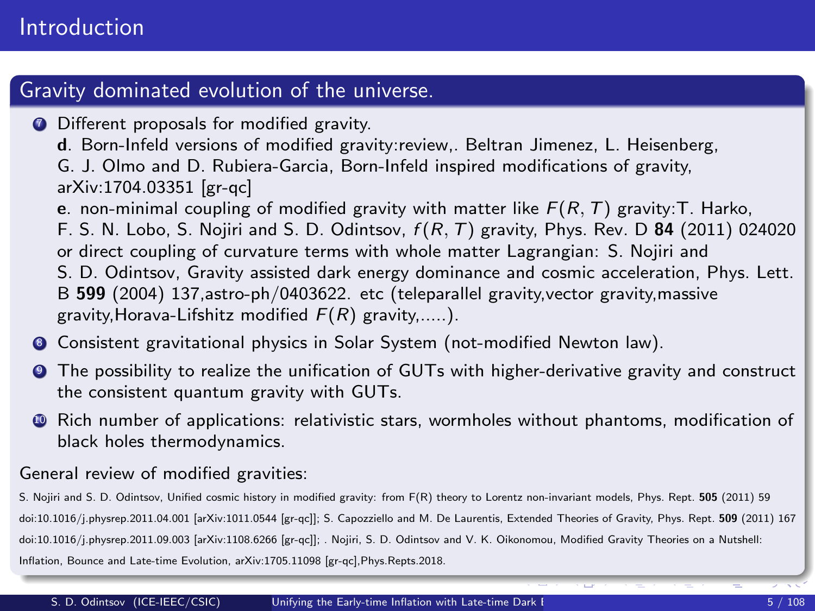#### Gravity dominated evolution of the universe.

- **<sup>0</sup>** Different proposals for modified gravity.
	- d. Born-Infeld versions of modified gravity:review,. Beltran Jimenez, L. Heisenberg, G. J. Olmo and D. Rubiera-Garcia, Born-Infeld inspired modifications of gravity, arXiv:1704.03351 [gr-qc]
	- e. non-minimal coupling of modified gravity with matter like  $F(R, T)$  gravity: T. Harko,
	- F. S. N. Lobo, S. Nojiri and S. D. Odintsov,  $f(R, T)$  gravity, Phys. Rev. D 84 (2011) 024020
	- or direct coupling of curvature terms with whole matter Lagrangian: S. Nojiri and
	- S. D. Odintsov, Gravity assisted dark energy dominance and cosmic acceleration, Phys. Lett. B 599 (2004) 137,astro-ph/0403622. etc (teleparallel gravity,vector gravity,massive gravity, Horava-Lifshitz modified  $F(R)$  gravity,.....).
- **8** Consistent gravitational physics in Solar System (not-modified Newton law).
- <sup>9</sup> The possibility to realize the unification of GUTs with higher-derivative gravity and construct the consistent quantum gravity with GUTs.
- <sup>10</sup> Rich number of applications: relativistic stars, wormholes without phantoms, modification of black holes thermodynamics.

#### General review of modified gravities:

S. Nojiri and S. D. Odintsov, Unified cosmic history in modified gravity: from F(R) theory to Lorentz non-invariant models, Phys. Rept. 505 (2011) 59 doi:10.1016/j.physrep.2011.04.001 [arXiv:1011.0544 [gr-qc]]; S. Capozziello and M. De Laurentis, Extended Theories of Gravity, Phys. Rept. 509 (2011) 167 doi:10.1016/j.physrep.2011.09.003 [arXiv:1108.6266 [gr-qc]]; . Nojiri, S. D. Odintsov and V. K. Oikonomou, Modified Gravity Theories on a Nutshell: Inflation, Bounce and Late-time Evolution, arXiv:1705.11098 [gr-qc],Phys.Repts.2018.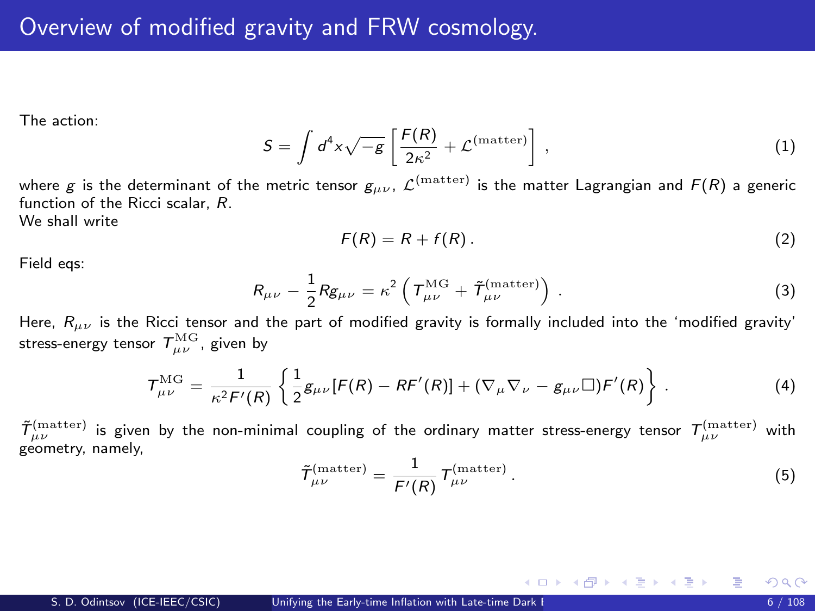<span id="page-5-0"></span>The action:

$$
S = \int d^4x \sqrt{-g} \left[ \frac{F(R)}{2\kappa^2} + \mathcal{L}^{\text{(matter)}} \right], \qquad (1)
$$

where  $g$  is the determinant of the metric tensor  $g_{\mu\nu}$ ,  ${\cal L}^{\rm (matter)}$  is the matter Lagrangian and  $F(R)$  a generic function of the Ricci scalar, R.

We shall write

<span id="page-5-1"></span>
$$
F(R) = R + f(R). \tag{2}
$$

Field eqs:

$$
R_{\mu\nu} - \frac{1}{2} R g_{\mu\nu} = \kappa^2 \left( T_{\mu\nu}^{\text{MG}} + \tilde{T}_{\mu\nu}^{\text{(matter)}} \right) . \tag{3}
$$

Here,  $R_{\mu\nu}$  is the Ricci tensor and the part of modified gravity is formally included into the 'modified gravity' stress-energy tensor  $\,mathcal{T}^{\rm MG}_{\mu\nu}$  , given by

$$
\mathcal{T}^{\text{MG}}_{\mu\nu} = \frac{1}{\kappa^2 \mathcal{F}'(R)} \left\{ \frac{1}{2} g_{\mu\nu} [\mathcal{F}(R) - R \mathcal{F}'(R)] + (\nabla_{\mu} \nabla_{\nu} - g_{\mu\nu} \square) \mathcal{F}'(R) \right\} \,. \tag{4}
$$

 $\tilde T_{\mu\nu}^{({\rm matter})}$  is given by the non-minimal coupling of the ordinary matter stress-energy tensor  $T_{\mu\nu}^{({\rm matter})}$  with geometry, namely,

$$
\tilde{\mathcal{T}}_{\mu\nu}^{\text{(matter)}} = \frac{1}{F'(R)} \mathcal{T}_{\mu\nu}^{\text{(matter)}}.
$$
\n(5)

メロメ メ御 メメ きょうくきょう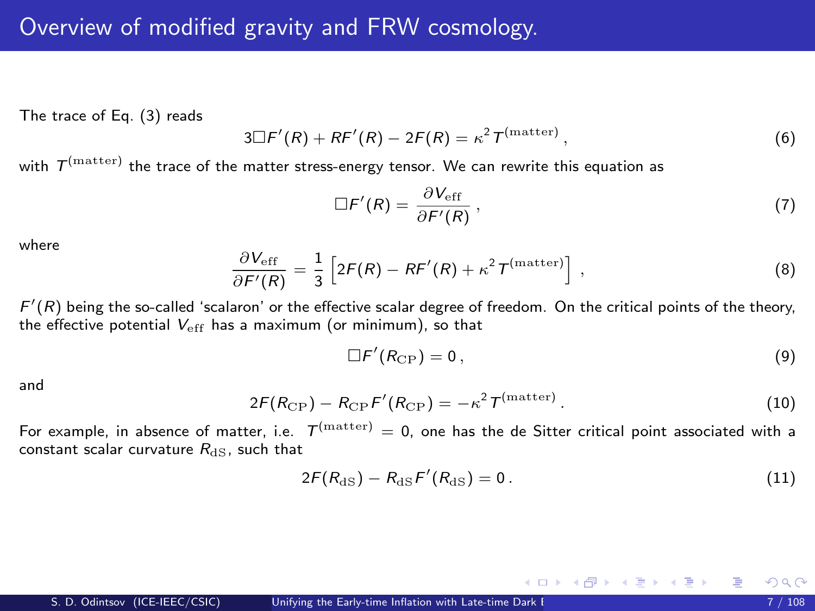The trace of Eq. [\(3\)](#page-5-1) reads

$$
3\Box F'(R) + RF'(R) - 2F(R) = \kappa^2 T^{\text{(matter)}},
$$
\n(6)

with  $\mathcal{T}^{\text{(matter)}}$  the trace of the matter stress-energy tensor. We can rewrite this equation as

<span id="page-6-0"></span>
$$
\Box F'(R) = \frac{\partial V_{\rm eff}}{\partial F'(R)},\tag{7}
$$

where

$$
\frac{\partial V_{\rm eff}}{\partial F'(R)} = \frac{1}{3} \left[ 2F(R) - RF'(R) + \kappa^2 T^{\rm (matter)} \right] \,, \tag{8}
$$

 $F'(R)$  being the so-called 'scalaron' or the effective scalar degree of freedom. On the critical points of the theory, the effective potential  $V_{eff}$  has a maximum (or minimum), so that

$$
\Box F'(R_{\rm CP})=0\,,\tag{9}
$$

and

$$
2F(R_{\rm CP}) - R_{\rm CP}F'(R_{\rm CP}) = -\kappa^2 T^{\rm (matter)}.
$$
 (10)

For example, in absence of matter, i.e.  $T^{\rm (matter)}=0$ , one has the de Sitter critical point associated with a constant scalar curvature  $R_{dS}$ , such that

$$
2F(R_{\rm dS}) - R_{\rm dS}F'(R_{\rm dS}) = 0. \qquad (11)
$$

メロメ メ御き メミメ メミメ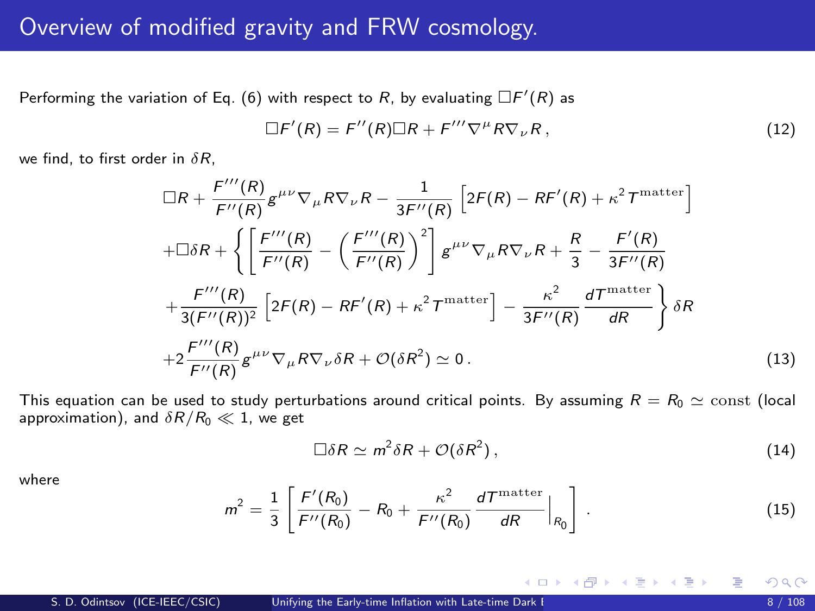#### Overview of modified gravity and FRW cosmology.

Performing the variation of Eq. [\(6\)](#page-6-0) with respect to  $R$ , by evaluating  $\Box F'(R)$  as

$$
\Box F'(R) = F''(R)\Box R + F''' \nabla^{\mu} R \nabla_{\nu} R , \qquad (12)
$$

we find, to first order in  $\delta R$ ,

$$
\Box R + \frac{F'''(R)}{F''(R)} g^{\mu\nu} \nabla_{\mu} R \nabla_{\nu} R - \frac{1}{3F''(R)} \left[ 2F(R) - RF'(R) + \kappa^2 T^{\text{matter}} \right]
$$
  
+
$$
\Box \delta R + \left\{ \left[ \frac{F'''(R)}{F''(R)} - \left( \frac{F'''(R)}{F''(R)} \right)^2 \right] g^{\mu\nu} \nabla_{\mu} R \nabla_{\nu} R + \frac{R}{3} - \frac{F'(R)}{3F''(R)}
$$
  
+
$$
\frac{F'''(R)}{3(F''(R))^2} \left[ 2F(R) - RF'(R) + \kappa^2 T^{\text{matter}} \right] - \frac{\kappa^2}{3F''(R)} \frac{dT^{\text{matter}}}{dR} \right\} \delta R
$$
  
+
$$
2 \frac{F'''(R)}{F''(R)} g^{\mu\nu} \nabla_{\mu} R \nabla_{\nu} \delta R + \mathcal{O}(\delta R^2) \simeq 0. \tag{13}
$$

This equation can be used to study perturbations around critical points. By assuming  $R = R_0 \approx \text{const}$  (local approximation), and  $\delta R/R_0 \ll 1$ , we get

$$
\Box \delta R \simeq m^2 \delta R + \mathcal{O}(\delta R^2) \,, \tag{14}
$$

メロメ メ御 メメ きょうくきょう

where

$$
m^2 = \frac{1}{3} \left[ \frac{F'(R_0)}{F''(R_0)} - R_0 + \frac{\kappa^2}{F''(R_0)} \frac{dT^{\text{matter}}}{dR} \Big|_{R_0} \right].
$$
 (15)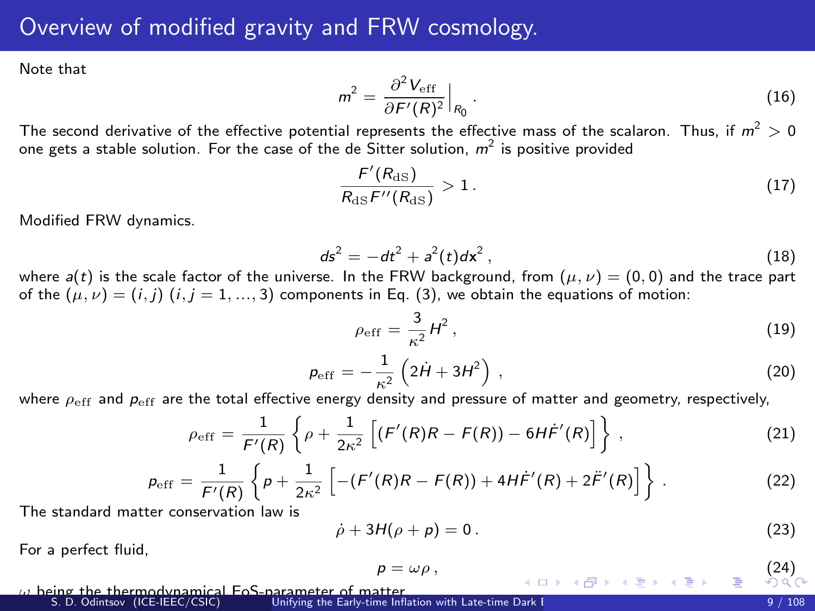#### Overview of modified gravity and FRW cosmology.

Note that

$$
m^2 = \frac{\partial^2 V_{\text{eff}}}{\partial F'(R)^2}\Big|_{R_0}.
$$
 (16)

The second derivative of the effective potential represents the effective mass of the scalaron. Thus, if  $m^2>0$ one gets a stable solution. For the case of the de Sitter solution,  $m^2$  is positive provided

$$
\frac{F'(R_{\text{dS}})}{R_{\text{dS}}F''(R_{\text{dS}})} > 1. \tag{17}
$$

Modified FRW dynamics.

$$
ds^2 = -dt^2 + a^2(t)dx^2,
$$
 (18)

where  $a(t)$  is the scale factor of the universe. In the FRW background, from  $(\mu, \nu) = (0, 0)$  and the trace part of the  $(\mu, \nu) = (i, j)$   $(i, j = 1, ..., 3)$  components in Eq. [\(3\)](#page-5-1), we obtain the equations of motion:

<span id="page-8-0"></span>
$$
\rho_{\rm eff} = \frac{3}{\kappa^2} H^2 \,, \tag{19}
$$

$$
p_{\rm eff} = -\frac{1}{\kappa^2} \left( 2\dot{H} + 3H^2 \right) \,, \tag{20}
$$

where  $\rho_{\rm eff}$  and  $p_{\rm eff}$  are the total effective energy density and pressure of matter and geometry, respectively,

$$
\rho_{\rm eff} = \frac{1}{F'(R)} \left\{ \rho + \frac{1}{2\kappa^2} \left[ (F'(R)R - F(R)) - 6H\dot{F}'(R) \right] \right\} \,, \tag{21}
$$

$$
p_{\rm eff} = \frac{1}{F'(R)} \left\{ p + \frac{1}{2\kappa^2} \left[ -(F'(R)R - F(R)) + 4H\dot{F}'(R) + 2\ddot{F}'(R) \right] \right\}.
$$
 (22)

The standard matter conservation law is

$$
\dot{\rho} + 3H(\rho + \rho) = 0. \tag{23}
$$

For a perfect fluid,

$$
p = \omega \rho \,, \tag{24}
$$

ω being the thermodynamical EoS-parameter of matter.

| S. D. Odintsov (ICE-IEEC/CSIC) | Unifying the Early-time Inflation with Late-time Dark [ ] |  | 9/108 |
|--------------------------------|-----------------------------------------------------------|--|-------|
|--------------------------------|-----------------------------------------------------------|--|-------|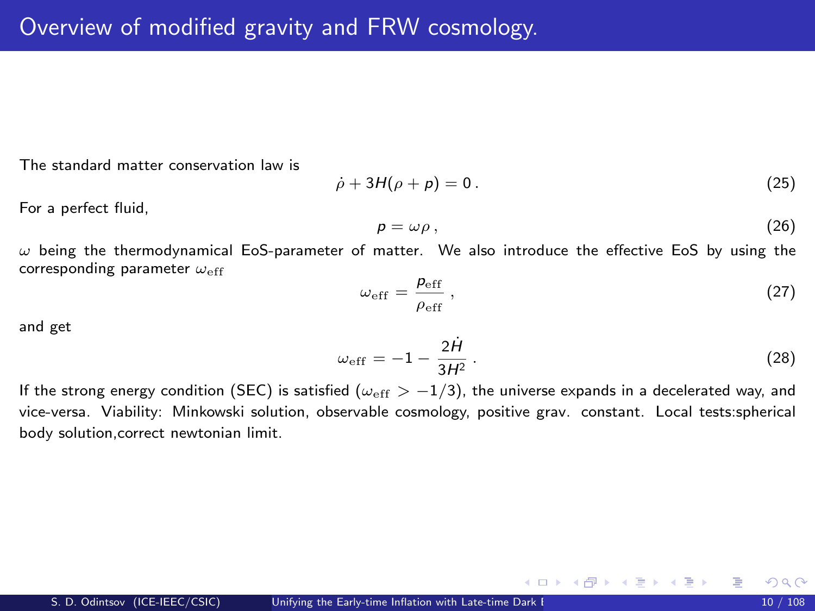The standard matter conservation law is

$$
\dot{\rho} + 3H(\rho + \rho) = 0. \tag{25}
$$

For a perfect fluid,

$$
p = \omega \rho \,, \tag{26}
$$

 $\omega$  being the thermodynamical EoS-parameter of matter. We also introduce the effective EoS by using the corresponding parameter  $\omega_{eff}$ 

$$
\omega_{\rm eff} = \frac{\rho_{\rm eff}}{\rho_{\rm eff}} \,, \tag{27}
$$

and get

$$
\omega_{\rm eff} = -1 - \frac{2\dot{H}}{3H^2} \,. \tag{28}
$$

メロメ メ御き メミメ メミメ

If the strong energy condition (SEC) is satisfied ( $\omega_{\text{eff}} > -1/3$ ), the universe expands in a decelerated way, and vice-versa. Viability: Minkowski solution, observable cosmology, positive grav. constant. Local tests:spherical body solution,correct newtonian limit.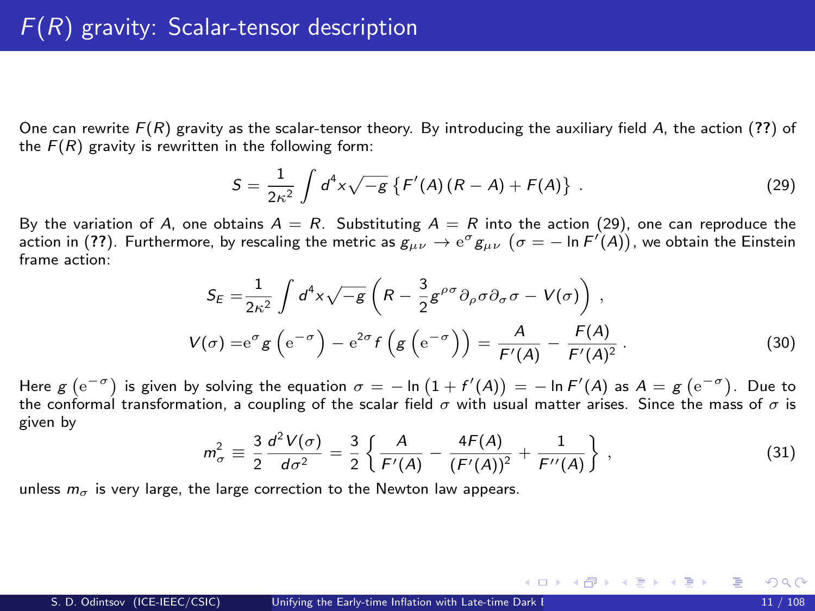One can rewrite  $F(R)$  gravity as the scalar-tensor theory. By introducing the auxiliary field A, the action ([??](#page-0-1)) of the  $F(R)$  gravity is rewritten in the following form:

<span id="page-10-0"></span>
$$
S = \frac{1}{2\kappa^2} \int d^4x \sqrt{-g} \left\{ F'(A)(R - A) + F(A) \right\} \ . \tag{29}
$$

By the variation of A, one obtains  $A = R$ . Substituting  $A = R$  into the action [\(29\)](#page-10-0), one can reproduce the action in ([??](#page-0-1)). Furthermore, by rescaling the metric as  $g_{\mu\nu}\to{\rm e}^\sigma g_{\mu\nu}$   $(\sigma=-\ln F'(A))$ , we obtain the Einstein frame action:

$$
S_E = \frac{1}{2\kappa^2} \int d^4x \sqrt{-g} \left( R - \frac{3}{2} g^{\rho\sigma} \partial_\rho \sigma \partial_\sigma \sigma - V(\sigma) \right) ,
$$
  

$$
V(\sigma) = e^{\sigma} g \left( e^{-\sigma} \right) - e^{2\sigma} f \left( g \left( e^{-\sigma} \right) \right) = \frac{A}{F'(A)} - \frac{F(A)}{F'(A)^2} .
$$
 (30)

Here  $g\left(\mathrm{e}^{-\sigma}\right)$  is given by solving the equation  $\sigma=-\ln\left(1+f'(A)\right)=-\ln F'(A)$  as  $A=g\left(\mathrm{e}^{-\sigma}\right)$ . Due to the conformal transformation, a coupling of the scalar field  $\sigma$  with usual matter arises. Since the mass of  $\sigma$  is given by

$$
m_{\sigma}^{2} \equiv \frac{3}{2} \frac{d^{2} V(\sigma)}{d \sigma^{2}} = \frac{3}{2} \left\{ \frac{A}{F'(A)} - \frac{4F(A)}{(F'(A))^{2}} + \frac{1}{F''(A)} \right\},
$$
(31)

メロメ メ都 メメ きょうぼうし

unless  $m_{\sigma}$  is very large, the large correction to the Newton law appears.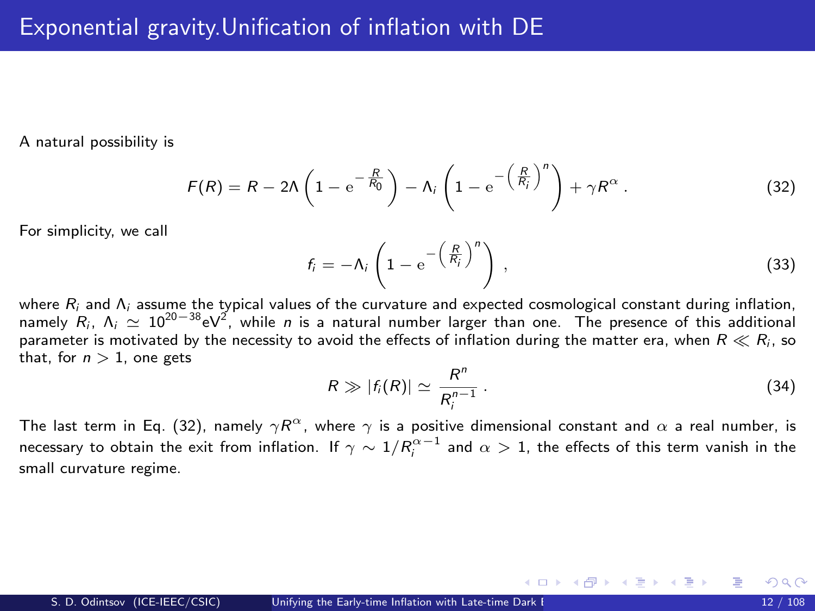A natural possibility is

$$
F(R) = R - 2\Lambda \left(1 - e^{-\frac{R}{R_0}}\right) - \Lambda_i \left(1 - e^{-\left(\frac{R}{R_i}\right)^n}\right) + \gamma R^{\alpha}.
$$
 (32)

For simplicity, we call

<span id="page-11-0"></span>
$$
f_i = -\Lambda_i \left( 1 - e^{-\left(\frac{R}{R_i}\right)^n} \right) , \qquad (33)
$$

where R<sub>i</sub> and Λ<sub>i</sub> assume the typical values of the curvature and expected cosmological constant during inflation,<br>namely R<sub>i</sub>, Λ<sub>i</sub>  $\simeq 10^{20-38}$ eV<sup>2</sup>, while *n* is a natural number larger than one. The presence of th parameter is motivated by the necessity to avoid the effects of inflation during the matter era, when  $R \ll R_i$ , so that, for  $n > 1$ , one gets

$$
R \gg |f_i(R)| \simeq \frac{R^n}{R_i^{n-1}} \,. \tag{34}
$$

メロメ メ部 メメ きょうくきょう

The last term in Eq. [\(32\)](#page-11-0), namely  $\gamma R^\alpha$ , where  $\gamma$  is a positive dimensional constant and  $\alpha$  a real number, is necessary to obtain the exit from inflation. If  $\gamma\sim 1/R_i^{\alpha-1}$  and  $\alpha>1$ , the effects of this term vanish in the small curvature regime.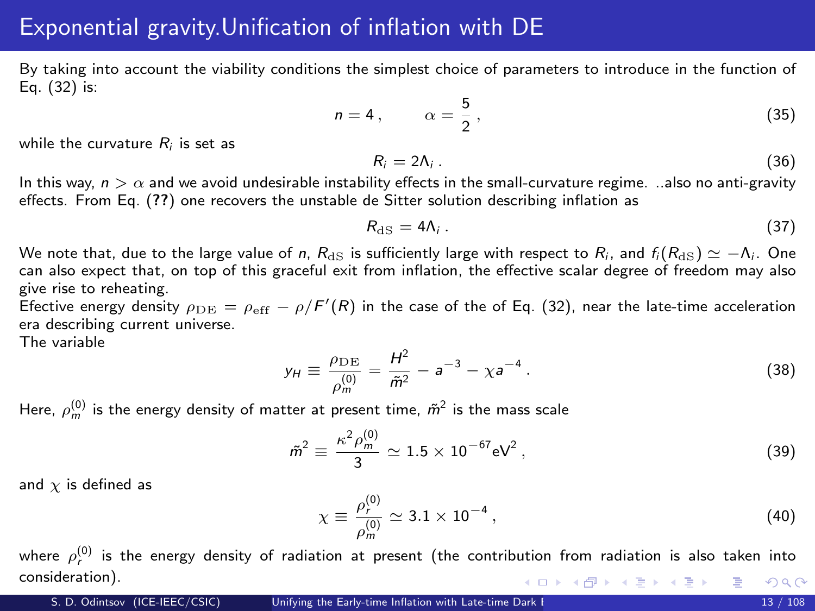### Exponential gravity.Unification of inflation with DE

By taking into account the viability conditions the simplest choice of parameters to introduce in the function of Eq. [\(32\)](#page-11-0) is:

$$
n = 4, \qquad \alpha = \frac{5}{2}, \tag{35}
$$

while the curvature  $R_i$  is set as

$$
R_i = 2\Lambda_i \,. \tag{36}
$$

In this way,  $n > \alpha$  and we avoid undesirable instability effects in the small-curvature regime. ..also no anti-gravity effects. From Eq. ([??](#page-0-1)) one recovers the unstable de Sitter solution describing inflation as

<span id="page-12-0"></span>
$$
R_{\rm dS} = 4\Lambda_i \,. \tag{37}
$$

We note that, due to the large value of n,  $R_{\text{dS}}$  is sufficiently large with respect to  $R_i$ , and  $f_i(R_{\text{dS}}) \simeq -\Lambda_i$ . One can also expect that, on top of this graceful exit from inflation, the effective scalar degree of freedom may also give rise to reheating.

Efective energy density  $\rho_{\rm DE} = \rho_{\rm eff} - \rho/F'(R)$  in the case of the of Eq. [\(32\)](#page-11-0), near the late-time acceleration era describing current universe.

The variable

$$
y_H \equiv \frac{\rho_{DE}}{\rho_m^{(0)}} = \frac{H^2}{\tilde{m}^2} - a^{-3} - \chi a^{-4} \,. \tag{38}
$$

Here,  $\rho_m^{(0)}$  is the energy density of matter at present time,  $\tilde{m}^2$  is the mass scale

$$
\tilde{m}^2 \equiv \frac{\kappa^2 \rho_m^{(0)}}{3} \simeq 1.5 \times 10^{-67} \text{eV}^2 \,, \tag{39}
$$

and  $\chi$  is defined as

$$
\chi \equiv \frac{\rho_r^{(0)}}{\rho_m^{(0)}} \simeq 3.1 \times 10^{-4} \,, \tag{40}
$$

where  $\rho_r^{(0)}$  is the energy density of radiation at present (the contribution from radiation is also taken into consideration). メロメ メ部 メメ きょうくきょう  $298$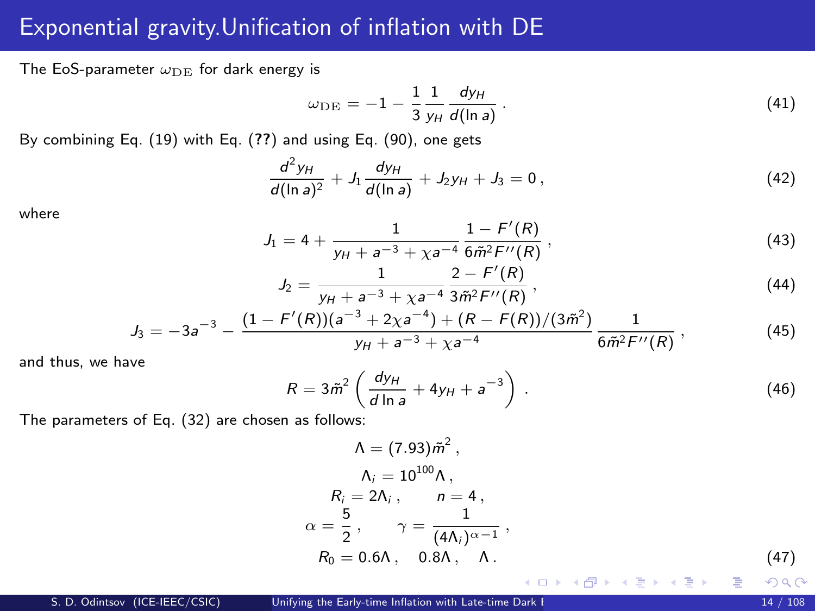## Exponential gravity.Unification of inflation with DE

The EoS-parameter  $\omega_{\rm DE}$  for dark energy is

<span id="page-13-1"></span><span id="page-13-0"></span>
$$
\omega_{\rm DE} = -1 - \frac{1}{3} \frac{1}{y_H} \frac{dy_H}{d(\ln a)}.
$$
 (41)

By combining Eq. [\(19\)](#page-8-0) with Eq. ([??](#page-0-1)) and using Eq. [\(90\)](#page-12-0), one gets

$$
\frac{d^2y_H}{d(\ln a)^2} + J_1 \frac{dy_H}{d(\ln a)} + J_2 y_H + J_3 = 0, \qquad (42)
$$

where

$$
J_1 = 4 + \frac{1}{y_H + a^{-3} + \chi a^{-4}} \frac{1 - F'(R)}{6\tilde{m}^2 F''(R)},
$$
\n(43)

$$
J_2 = \frac{1}{y_H + a^{-3} + \chi a^{-4}} \frac{2 - F'(R)}{3\tilde{m}^2 F''(R)},
$$
\n(44)

$$
J_3 = -3a^{-3} - \frac{(1 - F'(R))(a^{-3} + 2\chi a^{-4}) + (R - F(R))/(3\tilde{m}^2)}{y_H + a^{-3} + \chi a^{-4}} \frac{1}{6\tilde{m}^2 F''(R)},
$$
(45)

and thus, we have

$$
R = 3\tilde{m}^2 \left( \frac{dy_H}{d \ln a} + 4y_H + a^{-3} \right) \,. \tag{46}
$$

The parameters of Eq. [\(32\)](#page-11-0) are chosen as follows:

$$
\Lambda = (7.93)\tilde{m}^{2},
$$
\n
$$
\Lambda_{i} = 10^{100}\Lambda,
$$
\n
$$
R_{i} = 2\Lambda_{i}, \qquad n = 4,
$$
\n
$$
\alpha = \frac{5}{2}, \qquad \gamma = \frac{1}{(4\Lambda_{i})^{\alpha - 1}},
$$
\n
$$
R_{0} = 0.6\Lambda, \qquad 0.8\Lambda, \qquad \Lambda.
$$
\n
$$
(47)
$$
\n
$$
\alpha = 0.6\Lambda, \qquad 0.8\Lambda, \qquad \Lambda.
$$

 $\Omega$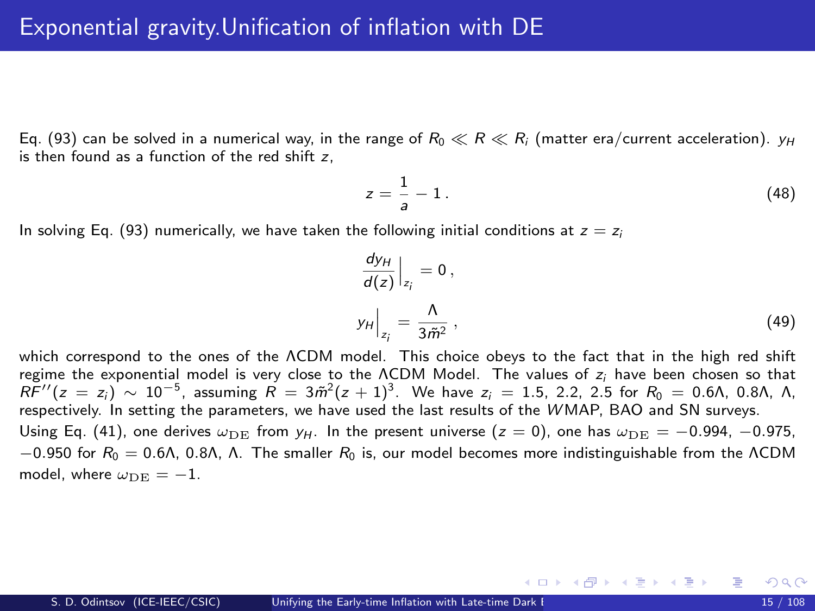Eq. [\(93\)](#page-13-0) can be solved in a numerical way, in the range of  $R_0 \ll R \ll R_i$  (matter era/current acceleration).  $v_H$ is then found as a function of the red shift z,

$$
z = \frac{1}{a} - 1. \tag{48}
$$

In solving Eq. [\(93\)](#page-13-0) numerically, we have taken the following initial conditions at  $z = z_i$ 

$$
\left. \frac{dy_H}{d(z)} \right|_{z_i} = 0, \n y_H \Big|_{z_i} = \frac{\Lambda}{3\tilde{m}^2},
$$
\n(49)

メロメ メ御 メメ きょくきょ

which correspond to the ones of the ΛCDM model. This choice obeys to the fact that in the high red shift regime the exponential model is very close to the  $\Lambda$ CDM Model. The values of  $z_i$  have been chosen so that  $R\bar{F}''(z = z_i) \sim 10^{-5}$ , assuming  $\bar{R} = 3\tilde{m}^2(z + 1)^3$ . We have  $z_i = 1.5$ , 2.2, 2.5 for  $R_0 = 0.6$ Λ, 0.8Λ, Λ, respectively. In setting the parameters, we have used the last results of the WMAP, BAO and SN surveys. Using Eq. [\(41\)](#page-13-1), one derives  $\omega_{\text{DE}}$  from  $y_H$ . In the present universe (z = 0), one has  $\omega_{\text{DE}} = -0.994$ , -0.975,  $-0.950$  for  $R_0 = 0.6\Lambda$ , 0.8Λ, Λ. The smaller  $R_0$  is, our model becomes more indistinguishable from the ΛCDM model, where  $\omega_{\rm DE} = -1$ .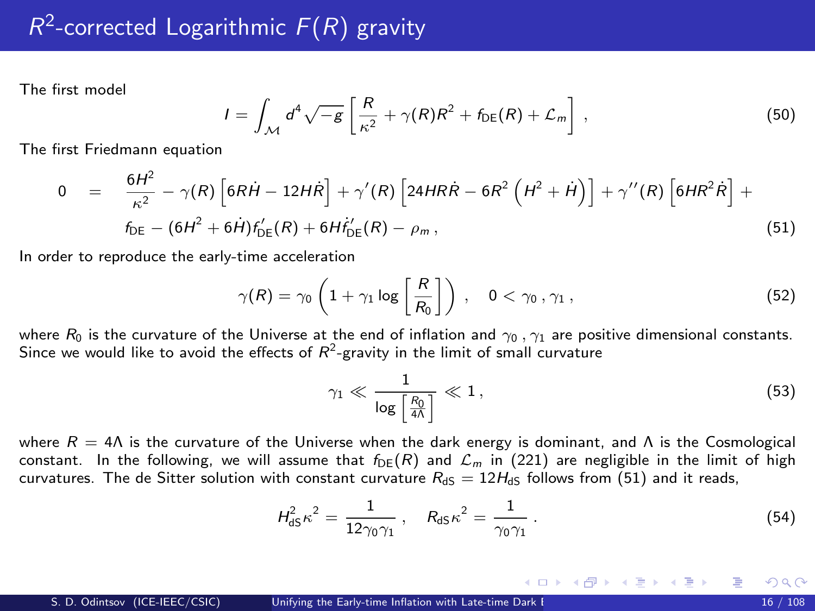<span id="page-15-0"></span>The first model

$$
I = \int_{\mathcal{M}} d^4 \sqrt{-g} \left[ \frac{R}{\kappa^2} + \gamma(R)R^2 + f_{\text{DE}}(R) + \mathcal{L}_m \right],
$$
 (50)

The first Friedmann equation

$$
0 = \frac{6H^2}{\kappa^2} - \gamma(R) \left[ 6R\dot{H} - 12H\dot{R} \right] + \gamma'(R) \left[ 24HR\dot{R} - 6R^2 \left( H^2 + \dot{H} \right) \right] + \gamma''(R) \left[ 6HR^2\dot{R} \right] + f_{DE} - (6H^2 + 6\dot{H})f'_{DE}(R) + 6Hf'_{DE}(R) - \rho_m,
$$
\n(51)

In order to reproduce the early-time acceleration

$$
\gamma(R) = \gamma_0 \left( 1 + \gamma_1 \log \left[ \frac{R}{R_0} \right] \right) , \quad 0 < \gamma_0, \gamma_1,
$$
 (52)

where  $R_0$  is the curvature of the Universe at the end of inflation and  $\gamma_0$ ,  $\gamma_1$  are positive dimensional constants. Since we would like to avoid the effects of  $\mathcal{R}^2$ -gravity in the limit of small curvature

<span id="page-15-5"></span><span id="page-15-3"></span><span id="page-15-2"></span><span id="page-15-1"></span>
$$
\gamma_1 \ll \frac{1}{\log\left[\frac{R_0}{4\Lambda}\right]} \ll 1\,,\tag{53}
$$

<span id="page-15-4"></span>メロメ メ都 メメ きょくきょう

where  $R = 4\Lambda$  is the curvature of the Universe when the dark energy is dominant, and  $\Lambda$  is the Cosmological constant. In the following, we will assume that  $f_{DF}(R)$  and  $\mathcal{L}_m$  in [\(221\)](#page-15-1) are negligible in the limit of high curvatures. The de Sitter solution with constant curvature  $R_{\text{dS}} = 12H_{\text{dS}}$  follows from [\(51\)](#page-15-2) and it reads,

$$
H_{\text{dS}}^2 \kappa^2 = \frac{1}{12\gamma_0 \gamma_1} \,, \quad R_{\text{dS}} \kappa^2 = \frac{1}{\gamma_0 \gamma_1} \,. \tag{54}
$$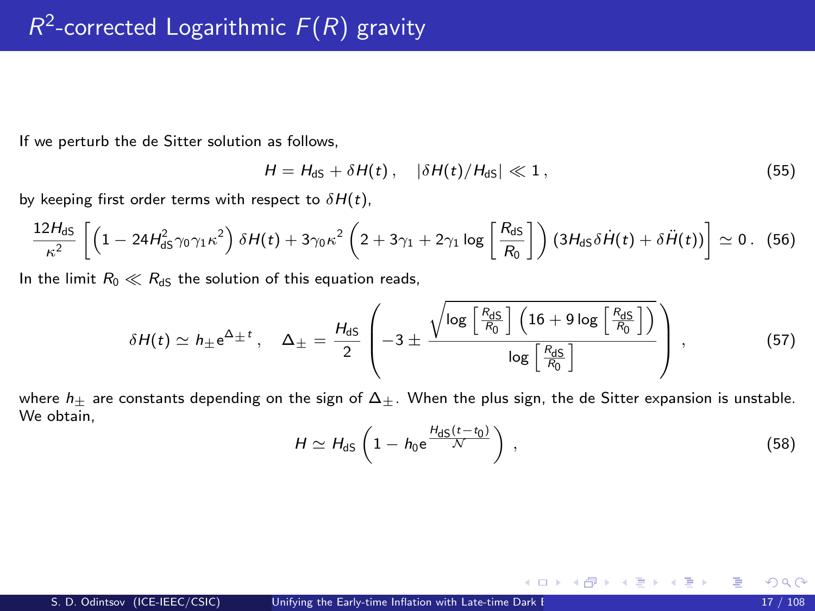If we perturb the de Sitter solution as follows,

$$
H = H_{\text{dS}} + \delta H(t), \quad |\delta H(t)/H_{\text{dS}}| \ll 1, \tag{55}
$$

by keeping first order terms with respect to  $\delta H(t)$ ,

$$
\frac{12H_{dS}}{\kappa^2}\left[\left(1-24H_{dS}^2\gamma_0\gamma_1\kappa^2\right)\delta H(t)+3\gamma_0\kappa^2\left(2+3\gamma_1+2\gamma_1\log\left[\frac{R_{dS}}{R_0}\right]\right)\left(3H_{dS}\delta\dot{H}(t)+\delta\ddot{H}(t)\right)\right]\simeq0. \tag{56}
$$

In the limit  $R_0 \ll R_{dS}$  the solution of this equation reads,

$$
\delta H(t) \simeq h_{\pm} e^{\Delta_{\pm} t} , \quad \Delta_{\pm} = \frac{H_{dS}}{2} \left( -3 \pm \frac{\sqrt{\log \left[ \frac{R_{dS}}{R_0} \right] \left( 16 + 9 \log \left[ \frac{R_{dS}}{R_0} \right] \right)}}{\log \left[ \frac{R_{dS}}{R_0} \right]} \right) , \tag{57}
$$

where  $h_{\pm}$  are constants depending on the sign of  $\Delta_{\pm}$ . When the plus sign, the de Sitter expansion is unstable. We obtain.

$$
H \simeq H_{\rm dS} \left( 1 - h_0 e^{\frac{H_{\rm dS}(t - t_0)}{N}} \right) \,, \tag{58}
$$

<span id="page-16-0"></span>メロメ メ御き メミメ メミメ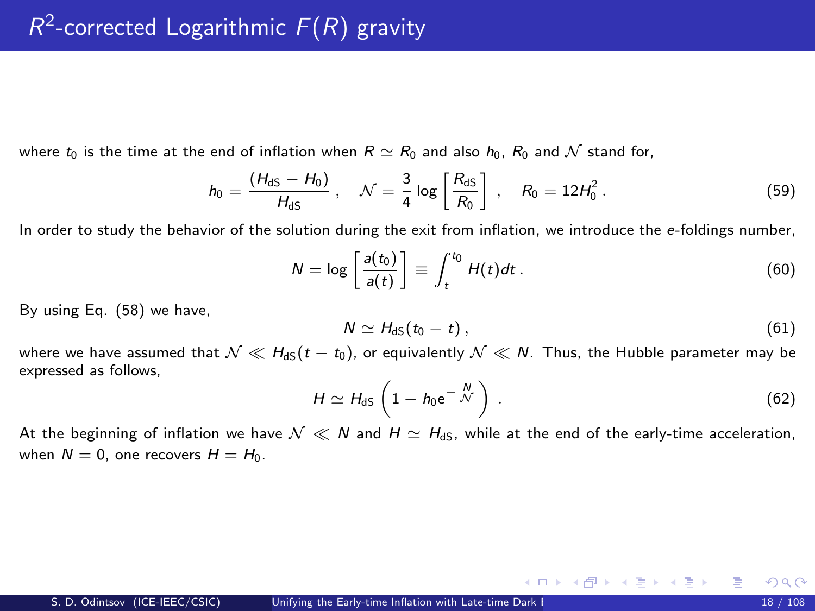where  $t_0$  is the time at the end of inflation when  $R \simeq R_0$  and also  $h_0$ ,  $R_0$  and N stand for,

$$
h_0 = \frac{(H_{\rm dS} - H_0)}{H_{\rm dS}}, \quad \mathcal{N} = \frac{3}{4} \log \left[ \frac{R_{\rm dS}}{R_0} \right], \quad R_0 = 12 H_0^2. \tag{59}
$$

In order to study the behavior of the solution during the exit from inflation, we introduce the e-foldings number,

$$
N = \log \left[\frac{a(t_0)}{a(t)}\right] \equiv \int_t^{t_0} H(t)dt \,. \tag{60}
$$

By using Eq. [\(58\)](#page-16-0) we have,

<span id="page-17-1"></span>
$$
N \simeq H_{\text{dS}}(t_0 - t) \,, \tag{61}
$$

where we have assumed that  $\mathcal{N} \ll H_{\text{dS}}(t - t_0)$ , or equivalently  $\mathcal{N} \ll N$ . Thus, the Hubble parameter may be expressed as follows,

$$
H \simeq H_{\rm dS} \left( 1 - h_0 e^{-\frac{N}{\mathcal{N}}} \right) \,. \tag{62}
$$

<span id="page-17-0"></span>メロメ メ御き メミメ メミメ

At the beginning of inflation we have  $\mathcal{N} \ll N$  and  $H \simeq H_{dS}$ , while at the end of the early-time acceleration, when  $N = 0$ , one recovers  $H = H_0$ .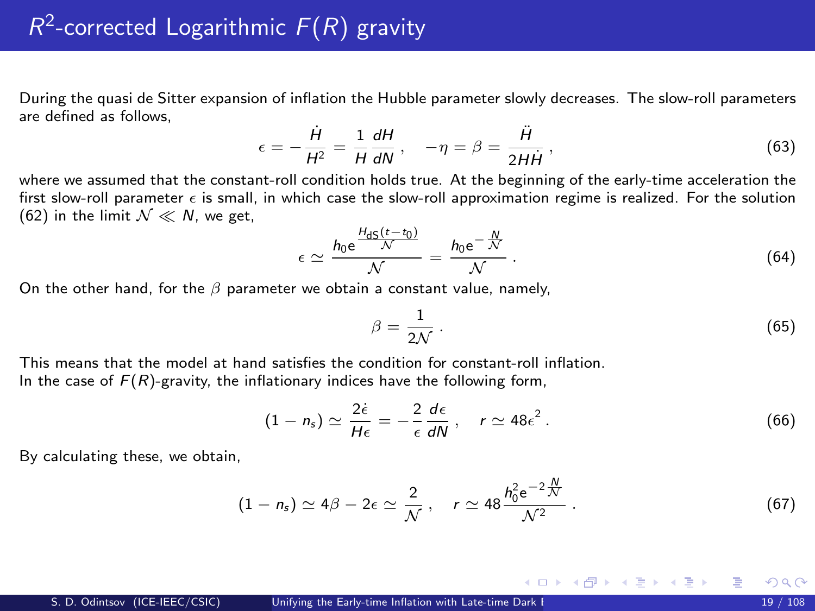During the quasi de Sitter expansion of inflation the Hubble parameter slowly decreases. The slow-roll parameters are defined as follows,

$$
\epsilon = -\frac{\dot{H}}{H^2} = \frac{1}{H} \frac{dH}{dN} \,, \quad -\eta = \beta = \frac{\ddot{H}}{2H\dot{H}} \,, \tag{63}
$$

where we assumed that the constant-roll condition holds true. At the beginning of the early-time acceleration the first slow-roll parameter  $\epsilon$  is small, in which case the slow-roll approximation regime is realized. For the solution [\(62\)](#page-17-0) in the limit  $\mathcal{N} \ll \mathcal{N}$ , we get,

$$
\epsilon \simeq \frac{h_0 e^{\frac{H_{\text{dS}}(t-t_0)}{\mathcal{N}}} }{\mathcal{N}} = \frac{h_0 e^{-\frac{N}{\mathcal{N}}}}{\mathcal{N}} \,. \tag{64}
$$

On the other hand, for the  $\beta$  parameter we obtain a constant value, namely,

$$
\beta = \frac{1}{2\mathcal{N}}\,. \tag{65}
$$

メロメ メ御き メミメ メミメ

This means that the model at hand satisfies the condition for constant-roll inflation. In the case of  $F(R)$ -gravity, the inflationary indices have the following form,

$$
(1 - n_s) \simeq \frac{2\dot{\epsilon}}{H\epsilon} = -\frac{2}{\epsilon} \frac{d\epsilon}{dN}, \quad r \simeq 48\epsilon^2. \tag{66}
$$

By calculating these, we obtain,

$$
(1 - n_s) \simeq 4\beta - 2\epsilon \simeq \frac{2}{\mathcal{N}}, \quad r \simeq 48 \frac{h_0^2 e^{-2\frac{\mathcal{N}}{\mathcal{N}}}}{\mathcal{N}^2} \,. \tag{67}
$$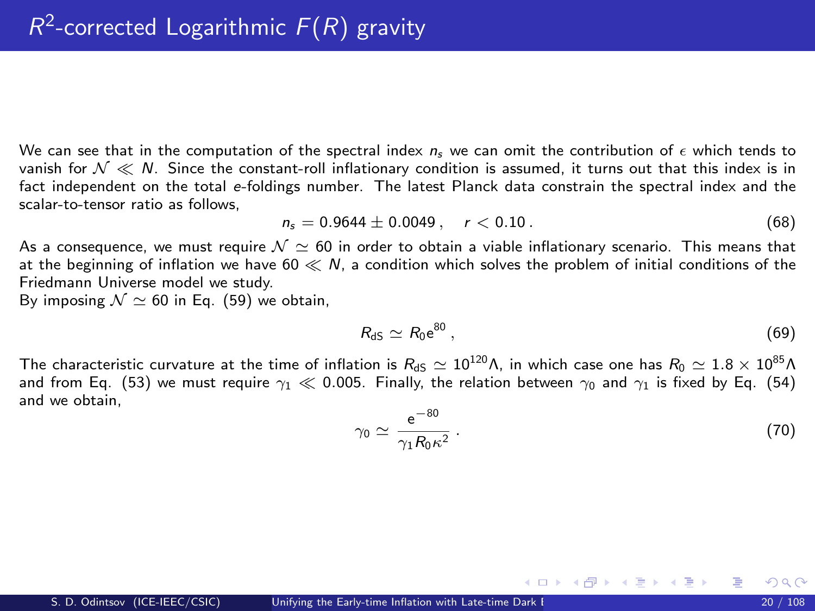We can see that in the computation of the spectral index  $n_s$  we can omit the contribution of  $\epsilon$  which tends to vanish for  $\mathcal{N} \ll N$ . Since the constant-roll inflationary condition is assumed, it turns out that this index is in fact independent on the total e-foldings number. The latest Planck data constrain the spectral index and the scalar-to-tensor ratio as follows,

$$
n_s = 0.9644 \pm 0.0049 \,, \quad r < 0.10 \,. \tag{68}
$$

As a consequence, we must require  $\mathcal{N} \simeq 60$  in order to obtain a viable inflationary scenario. This means that at the beginning of inflation we have  $60 \ll N$ , a condition which solves the problem of initial conditions of the Friedmann Universe model we study.

By imposing  $\mathcal{N} \simeq 60$  in Eq. [\(59\)](#page-17-1) we obtain,

$$
R_{\rm dS} \simeq R_0 e^{80} \,, \tag{69}
$$

The characteristic curvature at the time of inflation is  $R_{dS} \simeq 10^{120} \text{A}$ , in which case one has  $R_0 \simeq 1.8 \times 10^{85} \text{A}$ and from Eq. [\(53\)](#page-15-3) we must require  $\gamma_1 \ll 0.005$ . Finally, the relation between  $\gamma_0$  and  $\gamma_1$  is fixed by Eq. [\(54\)](#page-15-4) and we obtain,

$$
\gamma_0 \simeq \frac{\mathrm{e}^{-80}}{\gamma_1 R_0 \kappa^2} \,. \tag{70}
$$

メロト メ何ト メミト メミト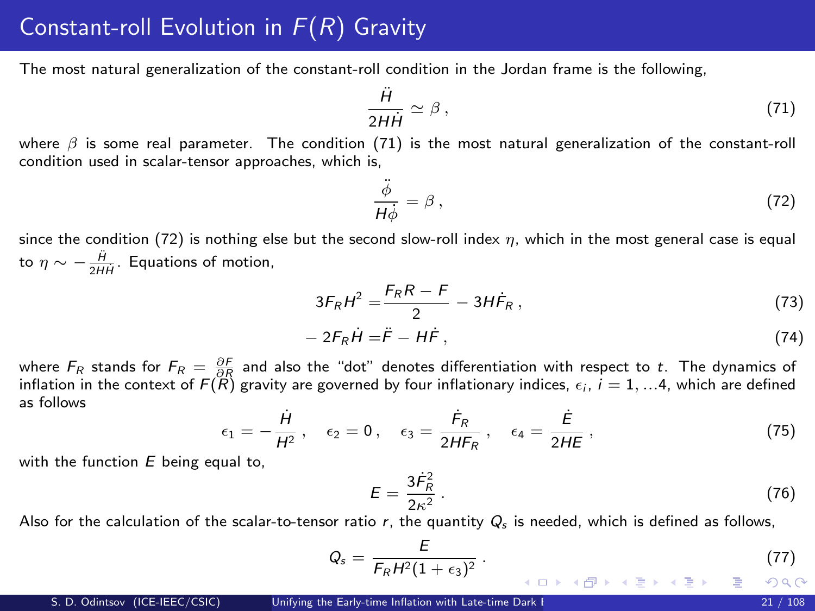# Constant-roll Evolution in  $F(R)$  Gravity

The most natural generalization of the constant-roll condition in the Jordan frame is the following,

<span id="page-20-0"></span>
$$
\frac{\ddot{H}}{2H\dot{H}} \simeq \beta \,,\tag{71}
$$

where  $\beta$  is some real parameter. The condition [\(71\)](#page-20-0) is the most natural generalization of the constant-roll condition used in scalar-tensor approaches, which is,

<span id="page-20-1"></span>
$$
\frac{\ddot{\phi}}{H\dot{\phi}} = \beta \,,\tag{72}
$$

since the condition [\(72\)](#page-20-1) is nothing else but the second slow-roll index  $\eta$ , which in the most general case is equal to  $\eta \sim -\frac{\ddot{H}}{2H\dot{H}}$ . Equations of motion,

$$
3F_RH^2 = \frac{F_RR - F}{2} - 3H\dot{F}_R, \qquad (73)
$$

$$
-2F_R\dot{H}=\ddot{F}-H\dot{F},\qquad(74)
$$

where  $F_R$  stands for  $F_R = \frac{\partial F}{\partial R}$  and also the "dot" denotes differentiation with respect to t. The dynamics of inflation in the context of  $F(R)$  gravity are governed by four inflationary indices,  $\epsilon_i$ ,  $i = 1, ...4$ , which are defined as follows

<span id="page-20-3"></span>
$$
\epsilon_1 = -\frac{\dot{H}}{H^2}, \quad \epsilon_2 = 0, \quad \epsilon_3 = \frac{\dot{F}_R}{2HF_R}, \quad \epsilon_4 = \frac{\dot{E}}{2HE}, \tag{75}
$$

with the function  $E$  being equal to,

$$
E = \frac{3\dot{F}_R^2}{2\kappa^2} \,. \tag{76}
$$

Also for the calculation of the scalar-to-tensor ratio r, the quantity  $Q_s$  is needed, which is defined as follows,

<span id="page-20-2"></span>
$$
Q_s = \frac{E}{F_R H^2 (1+\epsilon_3)^2} \,. \tag{77}
$$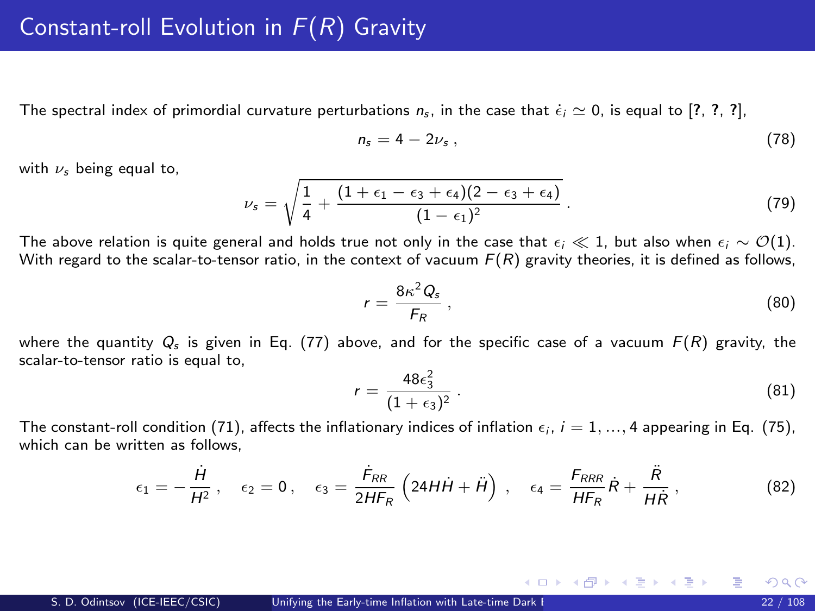The spectral index of primordial curvature perturbations  $n_s$ , in the case that  $\epsilon_i \simeq 0$ , is equal to [?, ?, ?],

$$
n_s = 4 - 2\nu_s \,,\tag{78}
$$

with  $\nu_s$  being equal to,

$$
\nu_s = \sqrt{\frac{1}{4} + \frac{(1+\epsilon_1-\epsilon_3+\epsilon_4)(2-\epsilon_3+\epsilon_4)}{(1-\epsilon_1)^2}}.
$$
\n(79)

The above relation is quite general and holds true not only in the case that  $\epsilon_i \ll 1$ , but also when  $\epsilon_i \sim \mathcal{O}(1)$ . With regard to the scalar-to-tensor ratio, in the context of vacuum  $F(R)$  gravity theories, it is defined as follows,

$$
r = \frac{8\kappa^2 Q_s}{F_R},\tag{80}
$$

where the quantity  $Q_s$  is given in Eq. [\(77\)](#page-20-2) above, and for the specific case of a vacuum  $F(R)$  gravity, the scalar-to-tensor ratio is equal to,

$$
r = \frac{48\epsilon_3^2}{(1+\epsilon_3)^2} \,. \tag{81}
$$

メロメ メ御き メミメ メミメ

The constant-roll condition [\(71\)](#page-20-0), affects the inflationary indices of inflation  $\epsilon_i$ ,  $i = 1, ..., 4$  appearing in Eq. [\(75\)](#page-20-3), which can be written as follows.

$$
\epsilon_1 = -\frac{\dot{H}}{H^2}, \quad \epsilon_2 = 0, \quad \epsilon_3 = \frac{\dot{F}_{RR}}{2HF_R} \left( 24H\dot{H} + \ddot{H} \right), \quad \epsilon_4 = \frac{F_{RRR}}{HF_R} \dot{R} + \frac{\ddot{R}}{H\dot{R}}, \tag{82}
$$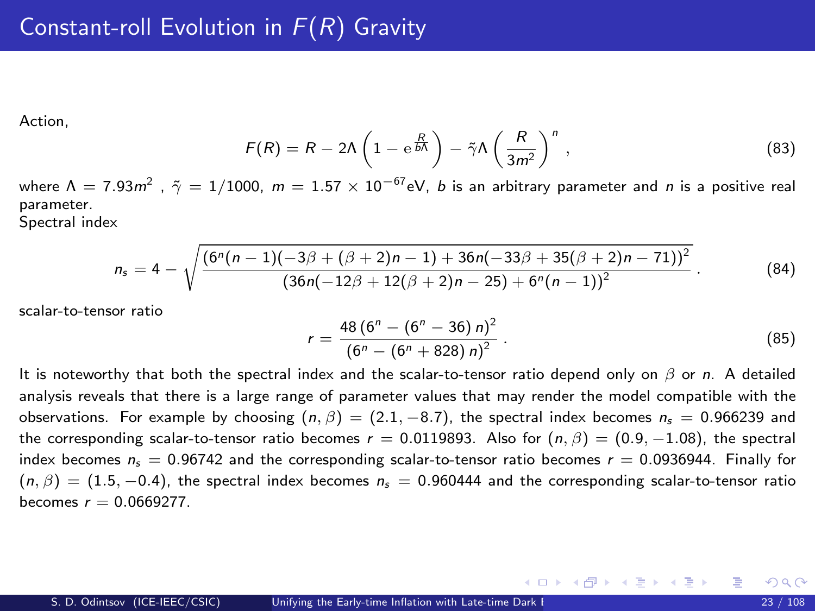Action,

$$
F(R) = R - 2\Lambda \left(1 - e^{\frac{R}{b\Lambda}}\right) - \tilde{\gamma}\Lambda \left(\frac{R}{3m^2}\right)^n,
$$
\n(83)

where  $\Lambda=7.93m^2$  ,  $\tilde{\gamma}=1/1000$ ,  $m=1.57\times 10^{-67}$ eV,  $b$  is an arbitrary parameter and  $n$  is a positive real parameter.

Spectral index

$$
n_{s} = 4 - \sqrt{\frac{(6^{n}(n-1)(-3\beta + (\beta + 2)n - 1) + 36n(-33\beta + 35(\beta + 2)n - 71))^{2}}{(36n(-12\beta + 12(\beta + 2)n - 25) + 6^{n}(n-1))^{2}}}.
$$
(84)

scalar-to-tensor ratio

$$
r = \frac{48 (6^n - (6^n - 36) n)^2}{(6^n - (6^n + 828) n)^2}.
$$
 (85)

メロメ メ部 メメ きょうくきょう

It is noteworthy that both the spectral index and the scalar-to-tensor ratio depend only on  $\beta$  or n. A detailed analysis reveals that there is a large range of parameter values that may render the model compatible with the observations. For example by choosing  $(n, \beta) = (2.1, -8.7)$ , the spectral index becomes  $n_s = 0.966239$  and the corresponding scalar-to-tensor ratio becomes  $r = 0.0119893$ . Also for  $(n, \beta) = (0.9, -1.08)$ , the spectral index becomes  $n_s = 0.96742$  and the corresponding scalar-to-tensor ratio becomes  $r = 0.0936944$ . Finally for  $(n, \beta) = (1.5, -0.4)$ , the spectral index becomes  $n_s = 0.960444$  and the corresponding scalar-to-tensor ratio becomes  $r = 0.0669277$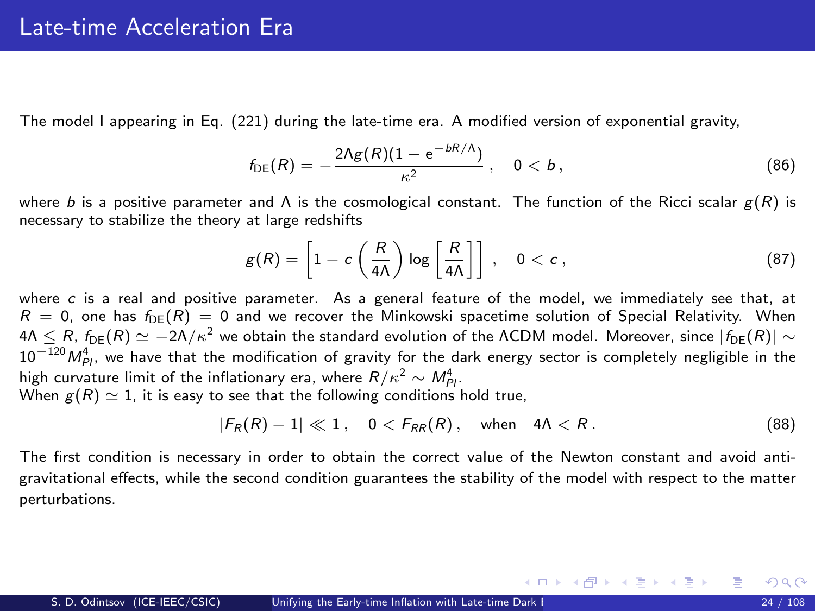The model I appearing in Eq. [\(221\)](#page-15-1) during the late-time era. A modified version of exponential gravity,

<span id="page-23-1"></span>
$$
f_{\text{DE}}(R) = -\frac{2\Lambda g(R)(1 - e^{-bR/\Lambda})}{\kappa^2}, \quad 0 < b \,, \tag{86}
$$

where b is a positive parameter and  $\Lambda$  is the cosmological constant. The function of the Ricci scalar  $g(R)$  is necessary to stabilize the theory at large redshifts

$$
g(R) = \left[1 - c\left(\frac{R}{4\Lambda}\right)\log\left[\frac{R}{4\Lambda}\right]\right], \quad 0 < c\,,\tag{87}
$$

where c is a real and positive parameter. As a general feature of the model, we immediately see that, at  $R = 0$ , one has  $f_{DE}(R) = 0$  and we recover the Minkowski spacetime solution of Special Relativity. When  $4\Lambda < R$ ,  $f_{\text{DE}}(R) \simeq -2\Lambda/\kappa^2$  we obtain the standard evolution of the ΛCDM model. Moreover, since  $|f_{\text{DE}}(R)| \sim$  $10^{-120}M_{Pl}^4$ , we have that the modification of gravity for the dark energy sector is completely negligible in the high curvature limit of the inflationary era, where  $R/\kappa^2 \sim M_{Pl}^4$ . When  $g(R) \simeq 1$ , it is easy to see that the following conditions hold true,

$$
|F_R(R)-1| \ll 1, \quad 0 < F_{RR}(R), \quad \text{when} \quad 4\Lambda < R. \tag{88}
$$

<span id="page-23-0"></span>メロメ メ都 メメ きょくきょう

The first condition is necessary in order to obtain the correct value of the Newton constant and avoid antigravitational effects, while the second condition guarantees the stability of the model with respect to the matter perturbations.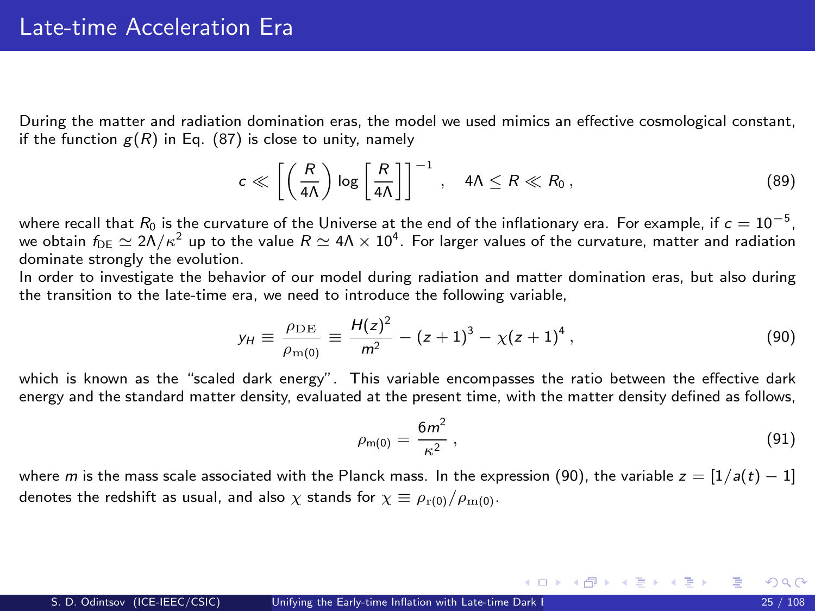During the matter and radiation domination eras, the model we used mimics an effective cosmological constant, if the function  $g(R)$  in Eq. [\(87\)](#page-23-0) is close to unity, namely

$$
c \ll \left[ \left( \frac{R}{4\Lambda} \right) \log \left[ \frac{R}{4\Lambda} \right] \right]^{-1}, \quad 4\Lambda \leq R \ll R_0,
$$
 (89)

where recall that  $R_0$  is the curvature of the Universe at the end of the inflationary era. For example, if  $c=10^{-5},$ we obtain  $f_{\rm DE}\simeq 2\Lambda/\kappa^2$  up to the value  $R\simeq 4\Lambda\times 10^4.$  For larger values of the curvature, matter and radiation dominate strongly the evolution.

In order to investigate the behavior of our model during radiation and matter domination eras, but also during the transition to the late-time era, we need to introduce the following variable,

$$
y_H \equiv \frac{\rho_{\rm DE}}{\rho_{\rm m(0)}} \equiv \frac{H(z)^2}{m^2} - (z+1)^3 - \chi(z+1)^4 \,, \tag{90}
$$

which is known as the "scaled dark energy". This variable encompasses the ratio between the effective dark energy and the standard matter density, evaluated at the present time, with the matter density defined as follows,

$$
\rho_{\mathsf{m}(0)} = \frac{6m^2}{\kappa^2} \,,\tag{91}
$$

メロメ メ御 メメ きょうくきょう

where m is the mass scale associated with the Planck mass. In the expression [\(90\)](#page-12-0), the variable  $z = [1/a(t) - 1]$ denotes the redshift as usual, and also  $\chi$  stands for  $\chi \equiv \rho_{r(0)}/\rho_{m(0)}$ .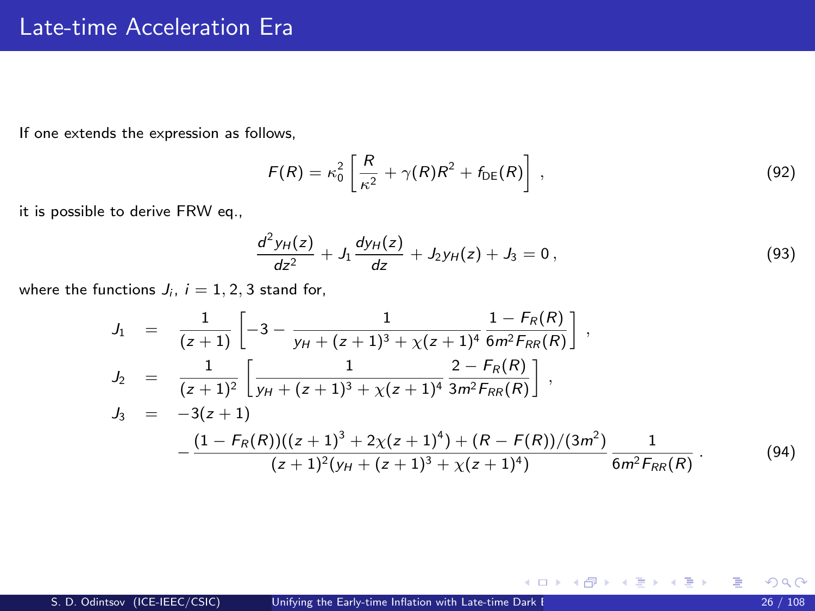If one extends the expression as follows,

$$
F(R) = \kappa_0^2 \left[ \frac{R}{\kappa^2} + \gamma(R)R^2 + f_{\text{DE}}(R) \right],
$$
\n(92)

it is possible to derive FRW eq.,

$$
\frac{d^2y_H(z)}{dz^2} + J_1 \frac{dy_H(z)}{dz} + J_2 y_H(z) + J_3 = 0, \qquad (93)
$$

メロメ メ御き メミメ メミメ

where the functions  $J_i$ ,  $i = 1, 2, 3$  stand for,

$$
J_1 = \frac{1}{(z+1)} \left[ -3 - \frac{1}{y_H + (z+1)^3 + \chi(z+1)^4} \frac{1 - F_R(R)}{6m^2 F_{RR}(R)} \right],
$$
  
\n
$$
J_2 = \frac{1}{(z+1)^2} \left[ \frac{1}{y_H + (z+1)^3 + \chi(z+1)^4} \frac{2 - F_R(R)}{3m^2 F_{RR}(R)} \right],
$$
  
\n
$$
J_3 = -3(z+1)
$$
  
\n
$$
-\frac{(1 - F_R(R))((z+1)^3 + 2\chi(z+1)^4) + (R - F(R))/(3m^2)}{(z+1)^2(y_H + (z+1)^3 + \chi(z+1)^4)} \frac{1}{6m^2 F_{RR}(R)}.
$$
  
\n(94)

活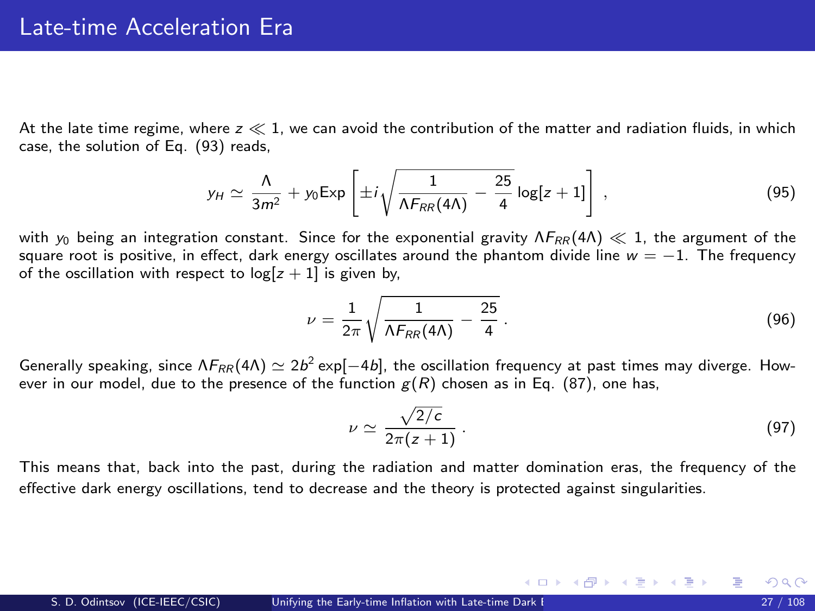At the late time regime, where  $z \ll 1$ , we can avoid the contribution of the matter and radiation fluids, in which case, the solution of Eq. [\(93\)](#page-13-0) reads,

$$
y_H \simeq \frac{\Lambda}{3m^2} + y_0 \operatorname{Exp}\left[\pm i\sqrt{\frac{1}{\Lambda F_{RR}(4\Lambda)} - \frac{25}{4}}\log[z+1]\right],\tag{95}
$$

with  $y_0$  being an integration constant. Since for the exponential gravity  $\Lambda F_{RR}(4\Lambda) \ll 1$ , the argument of the square root is positive, in effect, dark energy oscillates around the phantom divide line  $w = -1$ . The frequency of the oscillation with respect to  $log[z + 1]$  is given by,

$$
\nu = \frac{1}{2\pi} \sqrt{\frac{1}{\Lambda F_{RR}(4\Lambda)} - \frac{25}{4}}.
$$
\n(96)

Generally speaking, since  $\Lambda F_{RR}(4\Lambda) \simeq 2b^2 \exp[-4b]$ , the oscillation frequency at past times may diverge. However in our model, due to the presence of the function  $g(R)$  chosen as in Eq. [\(87\)](#page-23-0), one has,

$$
\nu \simeq \frac{\sqrt{2/c}}{2\pi(z+1)}\,. \tag{97}
$$

メロメ メ部 メメ きょうくきょう

This means that, back into the past, during the radiation and matter domination eras, the frequency of the effective dark energy oscillations, tend to decrease and the theory is protected against singularities.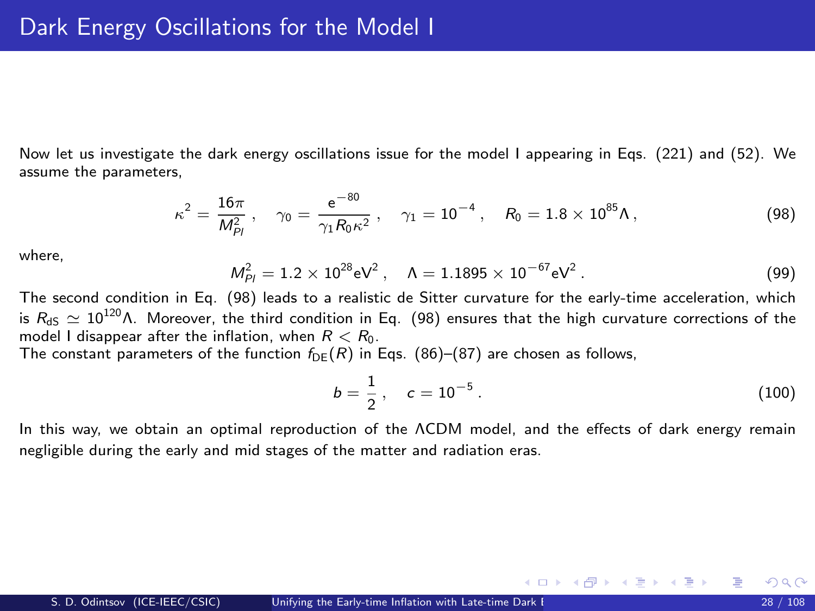Now let us investigate the dark energy oscillations issue for the model I appearing in Eqs. [\(221\)](#page-15-1) and [\(52\)](#page-15-5). We assume the parameters,

$$
\kappa^2 = \frac{16\pi}{M_{Pl}^2}, \quad \gamma_0 = \frac{e^{-80}}{\gamma_1 R_0 \kappa^2}, \quad \gamma_1 = 10^{-4}, \quad R_0 = 1.8 \times 10^{85} \Lambda,
$$
 (98)

where,

$$
M_{Pl}^2 = 1.2 \times 10^{28} \text{eV}^2 \,, \quad \Lambda = 1.1895 \times 10^{-67} \text{eV}^2 \,. \tag{99}
$$

The second condition in Eq. [\(98\)](#page-27-0) leads to a realistic de Sitter curvature for the early-time acceleration, which is  $R_{dS} \simeq 10^{120} \Lambda$ . Moreover, the third condition in Eq. [\(98\)](#page-27-0) ensures that the high curvature corrections of the model I disappear after the inflation, when  $R < R_0$ .

The constant parameters of the function  $f_{DE}(R)$  in Eqs. [\(86\)](#page-23-1)–[\(87\)](#page-23-0) are chosen as follows,

<span id="page-27-0"></span>
$$
b = \frac{1}{2}, \quad c = 10^{-5} \,. \tag{100}
$$

メロメ メ都 メメ 君 メメ ヨメ

In this way, we obtain an optimal reproduction of the ΛCDM model, and the effects of dark energy remain negligible during the early and mid stages of the matter and radiation eras.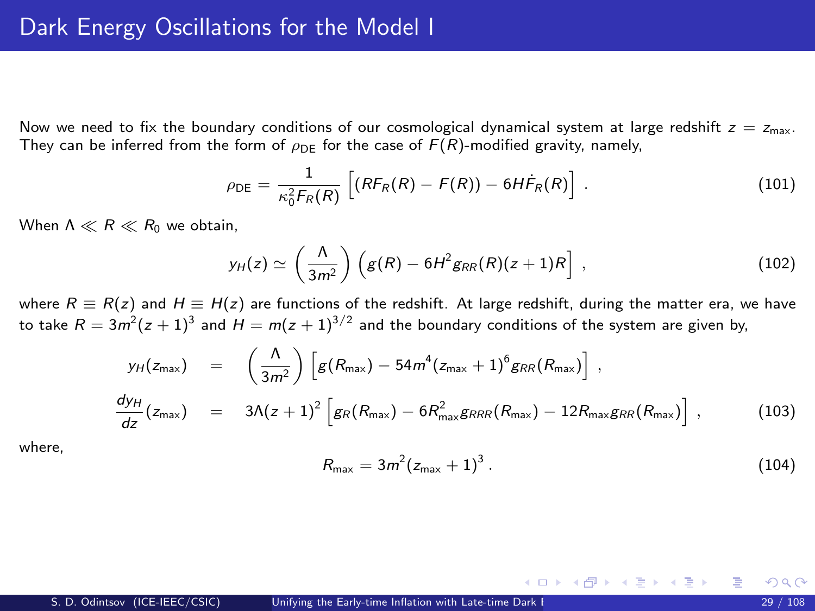Now we need to fix the boundary conditions of our cosmological dynamical system at large redshift  $z = z<sub>max</sub>$ . They can be inferred from the form of  $\rho_{\text{DE}}$  for the case of  $F(R)$ -modified gravity, namely,

$$
\rho_{\rm DE} = \frac{1}{\kappa_0^2 F_R(R)} \left[ (R F_R(R) - F(R)) - 6H \dot{F}_R(R) \right] \,. \tag{101}
$$

When  $\Lambda \ll R \ll R_0$  we obtain.

$$
y_H(z) \simeq \left(\frac{\Lambda}{3m^2}\right) \left(g(R) - 6H^2 g_{RR}(R)(z+1)R\right) ,\qquad (102)
$$

where  $R \equiv R(z)$  and  $H \equiv H(z)$  are functions of the redshift. At large redshift, during the matter era, we have to take  $R=3m^2(z+1)^3$  and  $H=m(z+1)^{3/2}$  and the boundary conditions of the system are given by,

$$
y_H(z_{\max}) = \left(\frac{\Lambda}{3m^2}\right) \left[g(R_{\max}) - 54m^4(z_{\max} + 1)^6 g_{RR}(R_{\max})\right],
$$
  
\n
$$
\frac{dy_H}{dz}(z_{\max}) = 3\Lambda(z+1)^2 \left[g_R(R_{\max}) - 6R_{\max}^2 g_{RR}(R_{\max}) - 12R_{\max} g_{RR}(R_{\max})\right],
$$
\n(103)

where,

$$
R_{\max} = 3m^2 (z_{\max} + 1)^3 \,. \tag{104}
$$

メロメ メ部 メメ きょうくきょう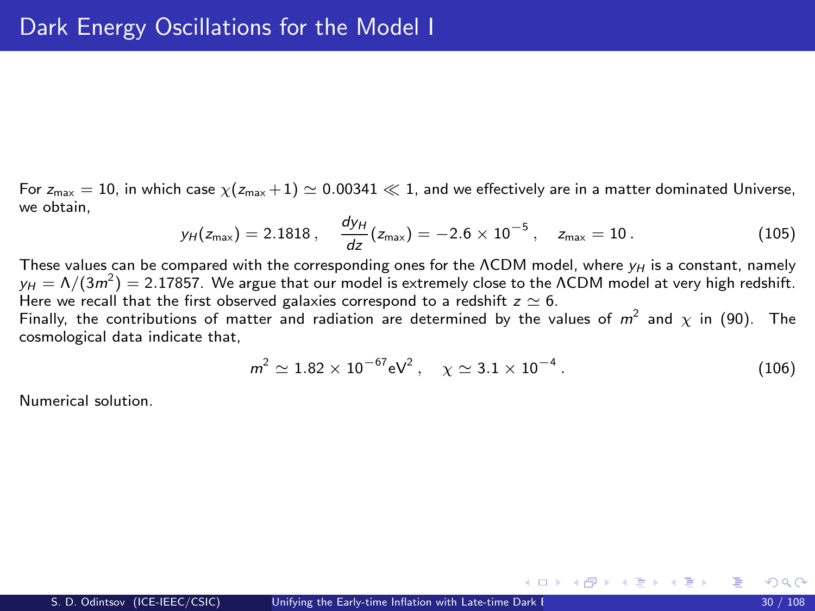For  $z_{\text{max}} = 10$ , in which case  $\chi(z_{\text{max}} + 1) \simeq 0.00341 \ll 1$ , and we effectively are in a matter dominated Universe, we obtain,

$$
y_H(z_{\text{max}}) = 2.1818\,, \quad \frac{dy_H}{dz}(z_{\text{max}}) = -2.6 \times 10^{-5}\,, \quad z_{\text{max}} = 10\,.
$$
 (105)

These values can be compared with the corresponding ones for the ΛCDM model, where  $y_H$  is a constant, namely  $y_H = \Lambda/(3m^2) = 2.17857$ . We argue that our model is extremely close to the <code>ACDM</code> model at very high redshift. Here we recall that the first observed galaxies correspond to a redshift  $z \simeq 6$ .

Finally, the contributions of matter and radiation are determined by the values of  $m^2$  and  $\chi$  in [\(90\)](#page-12-0). The cosmological data indicate that,

$$
m^2 \simeq 1.82 \times 10^{-67} \text{eV}^2 \,, \quad \chi \simeq 3.1 \times 10^{-4} \,. \tag{106}
$$

メロメ メ都 メメ 君 メメ ヨメ

Numerical solution.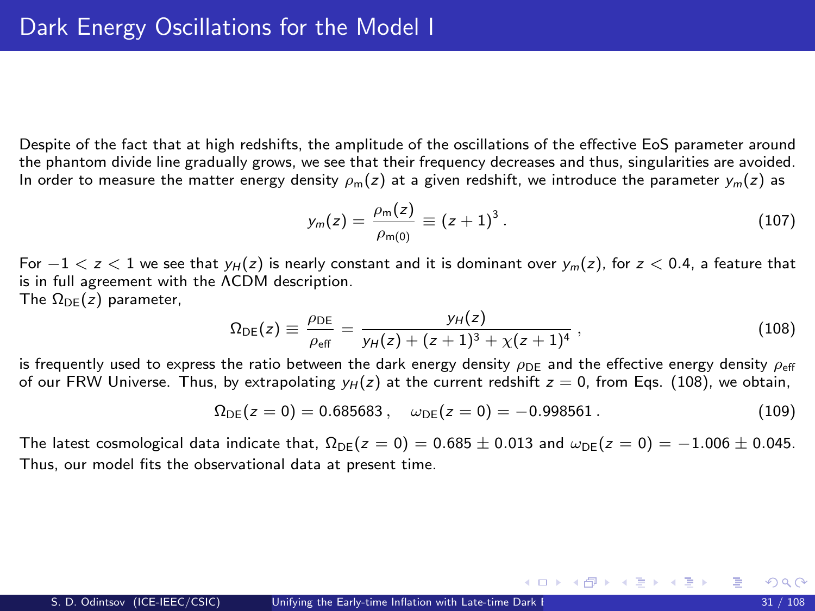Despite of the fact that at high redshifts, the amplitude of the oscillations of the effective EoS parameter around the phantom divide line gradually grows, we see that their frequency decreases and thus, singularities are avoided. In order to measure the matter energy density  $\rho_m(z)$  at a given redshift, we introduce the parameter  $y_m(z)$  as

$$
y_m(z) = \frac{\rho_m(z)}{\rho_{m(0)}} \equiv (z+1)^3.
$$
 (107)

<span id="page-30-0"></span>メロメ メ都 メメ きょくきょう

For  $-1 < z < 1$  we see that  $y_H(z)$  is nearly constant and it is dominant over  $y_m(z)$ , for  $z < 0.4$ , a feature that is in full agreement with the ΛCDM description. The  $\Omega_{\text{DE}}(z)$  parameter,

$$
\Omega_{\text{DE}}(z) \equiv \frac{\rho_{\text{DE}}}{\rho_{\text{eff}}} = \frac{y_H(z)}{y_H(z) + (z+1)^3 + \chi(z+1)^4} \,, \tag{108}
$$

is frequently used to express the ratio between the dark energy density  $\rho_{DE}$  and the effective energy density  $\rho_{eff}$ of our FRW Universe. Thus, by extrapolating  $y_H(z)$  at the current redshift  $z = 0$ , from Eqs. [\(108\)](#page-30-0), we obtain,

$$
\Omega_{DE}(z=0) = 0.685683 , \quad \omega_{DE}(z=0) = -0.998561 . \tag{109}
$$

The latest cosmological data indicate that,  $\Omega_{DE}(z = 0) = 0.685 \pm 0.013$  and  $\omega_{DE}(z = 0) = -1.006 \pm 0.045$ . Thus, our model fits the observational data at present time.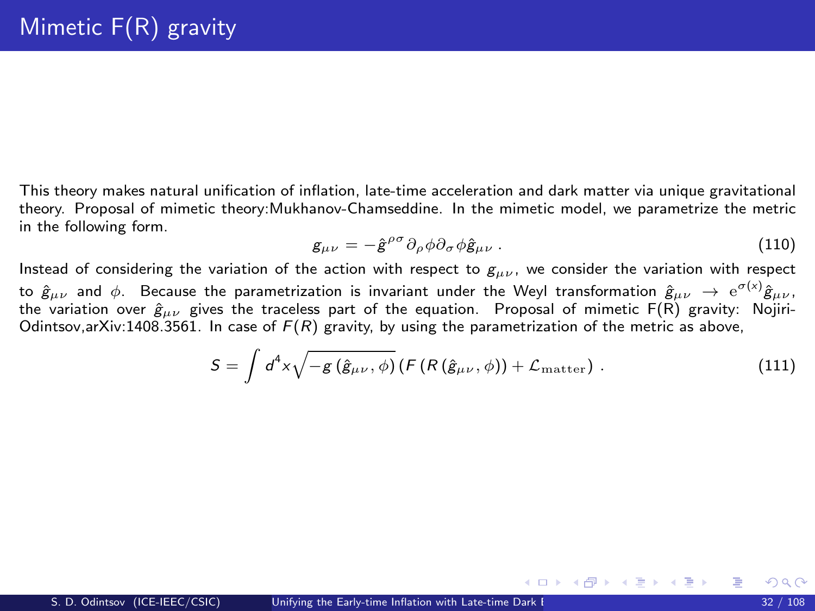This theory makes natural unification of inflation, late-time acceleration and dark matter via unique gravitational theory. Proposal of mimetic theory:Mukhanov-Chamseddine. In the mimetic model, we parametrize the metric in the following form.

$$
g_{\mu\nu} = -\hat{g}^{\rho\sigma}\partial_{\rho}\phi\partial_{\sigma}\phi\hat{g}_{\mu\nu} \,. \tag{110}
$$

メロメ メ御 メメ きょくきょ

Instead of considering the variation of the action with respect to  $g_{\mu\nu}$ , we consider the variation with respect to  $\hat g_{\mu\nu}$  and  $\phi$ . Because the parametrization is invariant under the Weyl transformation  $\hat g_{\mu\nu}\, \to\, {\rm e}^{\sigma(x)}\hat g_{\mu\nu}$  , the variation over  $\hat{g}_{\mu\nu}$  gives the traceless part of the equation. Proposal of mimetic F(R) gravity: Nojiri-Odintsov,arXiv:1408.3561. In case of  $F(R)$  gravity, by using the parametrization of the metric as above,

$$
S = \int d^4x \sqrt{-g(\hat{g}_{\mu\nu}, \phi)} (F(R(\hat{g}_{\mu\nu}, \phi)) + \mathcal{L}_{\text{matter}}) . \qquad (111)
$$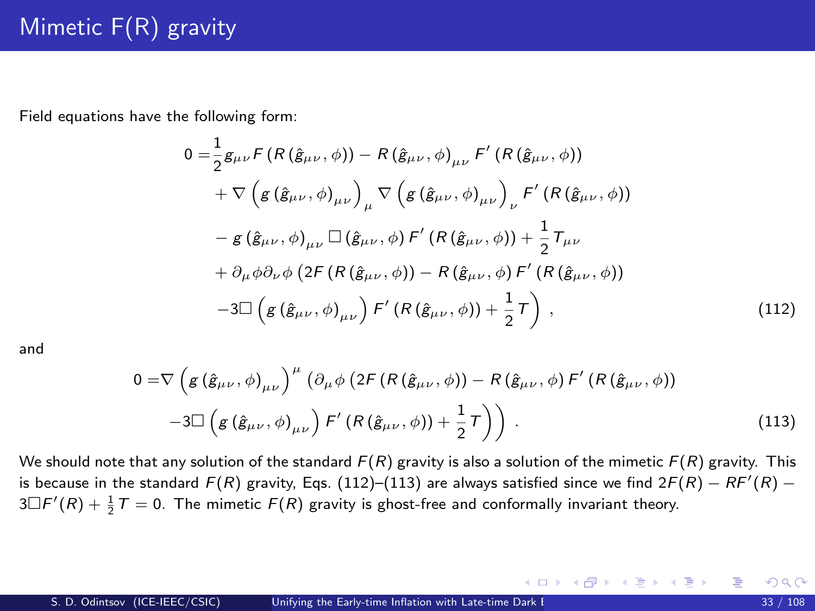Field equations have the following form:

<span id="page-32-0"></span>
$$
0 = \frac{1}{2}g_{\mu\nu}F(R(\hat{g}_{\mu\nu}, \phi)) - R(\hat{g}_{\mu\nu}, \phi)_{\mu\nu}F'(R(\hat{g}_{\mu\nu}, \phi))
$$
  
+  $\nabla \left(g(\hat{g}_{\mu\nu}, \phi)_{\mu\nu}\right)_{\mu} \nabla \left(g(\hat{g}_{\mu\nu}, \phi)_{\mu\nu}\right)_{\nu} F'(R(\hat{g}_{\mu\nu}, \phi))$   
-  $g(\hat{g}_{\mu\nu}, \phi)_{\mu\nu} \Box (\hat{g}_{\mu\nu}, \phi) F'(R(\hat{g}_{\mu\nu}, \phi)) + \frac{1}{2}T_{\mu\nu}$   
+  $\partial_{\mu}\phi\partial_{\nu}\phi(2F(R(\hat{g}_{\mu\nu}, \phi)) - R(\hat{g}_{\mu\nu}, \phi)F'(R(\hat{g}_{\mu\nu}, \phi))$   
-3 $\Box \left(g(\hat{g}_{\mu\nu}, \phi)_{\mu\nu}\right) F'(R(\hat{g}_{\mu\nu}, \phi)) + \frac{1}{2}T\right),$  (112)

and

<span id="page-32-1"></span>
$$
0 = \nabla \left( g \left( \hat{g}_{\mu\nu}, \phi \right)_{\mu\nu} \right)^{\mu} \left( \partial_{\mu} \phi \left( 2F \left( R \left( \hat{g}_{\mu\nu}, \phi \right) \right) - R \left( \hat{g}_{\mu\nu}, \phi \right) F' \left( R \left( \hat{g}_{\mu\nu}, \phi \right) \right) \right) \right) \right)
$$
  
-3
$$
-3\Box \left( g \left( \hat{g}_{\mu\nu}, \phi \right)_{\mu\nu} \right) F' \left( R \left( \hat{g}_{\mu\nu}, \phi \right) \right) + \frac{1}{2} \tau \right) \right) . \tag{113}
$$

We should note that any solution of the standard  $F(R)$  gravity is also a solution of the mimetic  $F(R)$  gravity. This is because in the standard  $F(R)$  gravity, Eqs. [\(112\)](#page-32-0)–[\(113\)](#page-32-1) are always satisfied since we find 2 $F(R) - RF'(R)$  –  $3\Box F'(R)+\frac{1}{2}T=0.$  The mimetic  $F(R)$  gravity is ghost-free and conformally invariant theory.

メロメ メ御き メミメ メミメー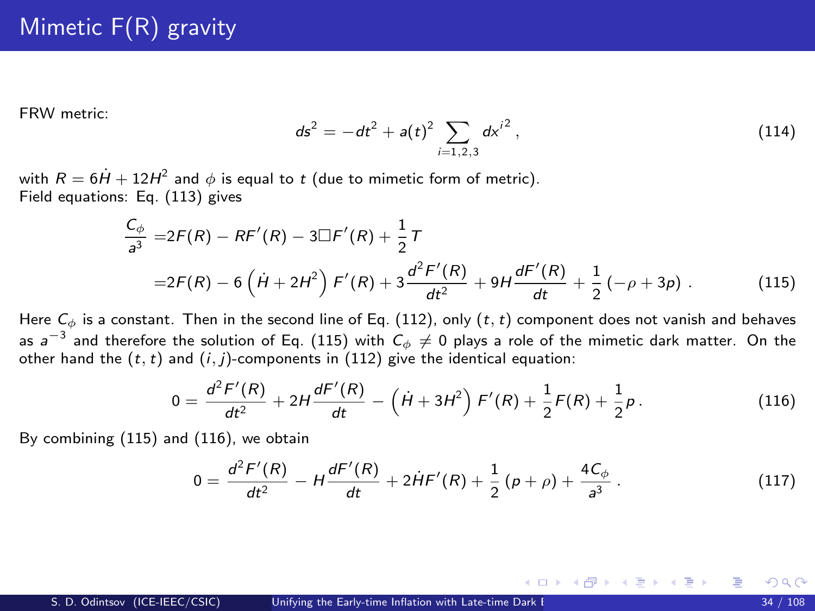FRW metric:

$$
ds^{2} = -dt^{2} + a(t)^{2} \sum_{i=1,2,3} dx^{i^{2}},
$$
\n(114)

with  $R=6\dot{H}+12H^2$  and  $\phi$  is equal to  $t$  (due to mimetic form of metric). Field equations: Eq. [\(113\)](#page-32-1) gives

<span id="page-33-0"></span>
$$
\frac{C_{\phi}}{a^3} = 2F(R) - RF'(R) - 3\Box F'(R) + \frac{1}{2}\tau
$$
  
= 2F(R) - 6(\dot{H} + 2H^2)F'(R) + 3\frac{d^2F'(R)}{dt^2} + 9H\frac{dF'(R)}{dt} + \frac{1}{2}(-\rho + 3\rho). (115)

Here  $C_{\phi}$  is a constant. Then in the second line of Eq. [\(112\)](#page-32-0), only  $(t, t)$  component does not vanish and behaves as  $a^{-3}$  and therefore the solution of Eq. [\(115\)](#page-33-0) with  $C_\phi \neq 0$  plays a role of the mimetic dark matter. On the other hand the  $(t, t)$  and  $(i, j)$ -components in [\(112\)](#page-32-0) give the identical equation:

<span id="page-33-1"></span>
$$
0 = \frac{d^2 F'(R)}{dt^2} + 2H \frac{dF'(R)}{dt} - \left(\dot{H} + 3H^2\right) F'(R) + \frac{1}{2}F(R) + \frac{1}{2}p. \tag{116}
$$

By combining [\(115\)](#page-33-0) and [\(116\)](#page-33-1), we obtain

$$
0 = \frac{d^2 F'(R)}{dt^2} - H \frac{dF'(R)}{dt} + 2\dot{H}F'(R) + \frac{1}{2}(\rho + \rho) + \frac{4C_\phi}{a^3}.
$$
 (117)

メロメ メ御 メメ きょくきょう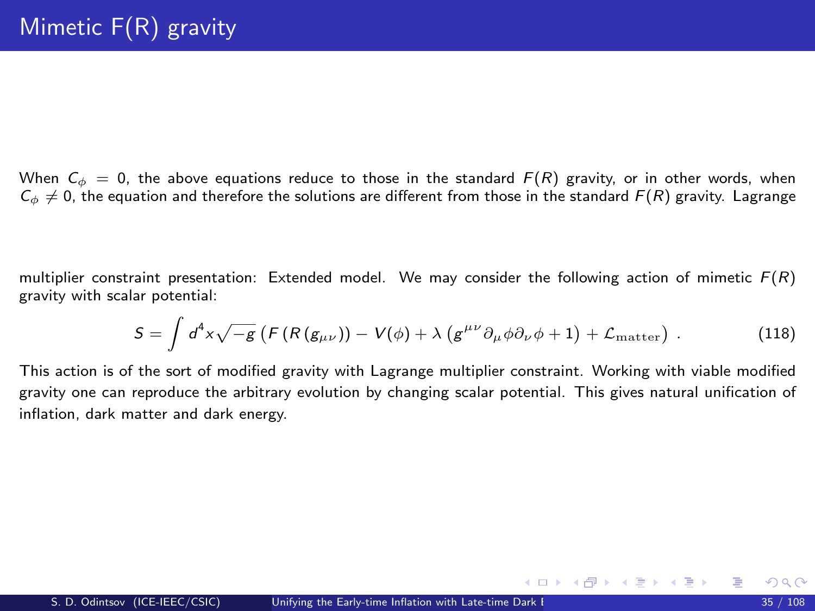When  $C_{\phi} = 0$ , the above equations reduce to those in the standard  $F(R)$  gravity, or in other words, when  $C_{\phi} \neq 0$ , the equation and therefore the solutions are different from those in the standard  $F(R)$  gravity. Lagrange

multiplier constraint presentation: Extended model. We may consider the following action of mimetic  $F(R)$ gravity with scalar potential:

$$
S = \int d^4x \sqrt{-g} \left( F(R(g_{\mu\nu})) - V(\phi) + \lambda \left( g^{\mu\nu} \partial_\mu \phi \partial_\nu \phi + 1 \right) + \mathcal{L}_{\text{matter}} \right) \,. \tag{118}
$$

This action is of the sort of modified gravity with Lagrange multiplier constraint. Working with viable modified gravity one can reproduce the arbitrary evolution by changing scalar potential. This gives natural unification of inflation, dark matter and dark energy.

メロメ メ御 メメ きょくきょ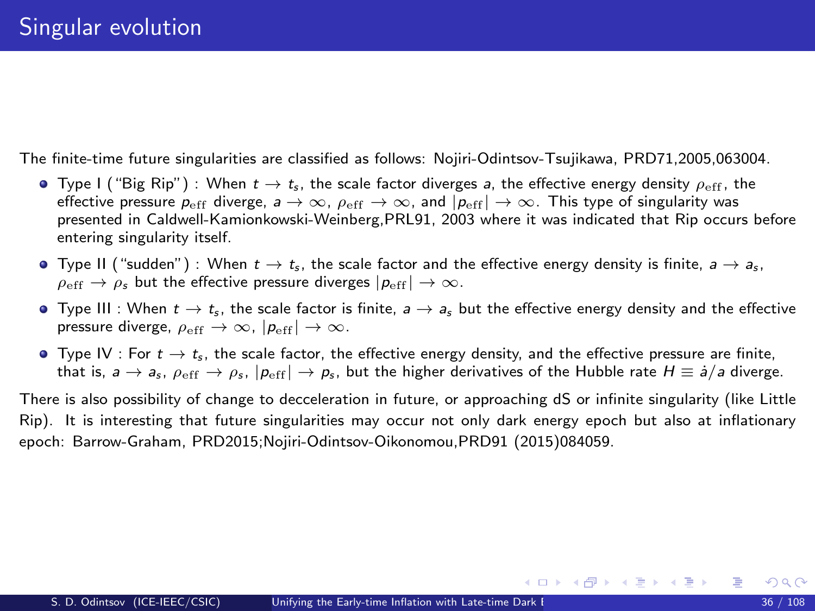The finite-time future singularities are classified as follows: Nojiri-Odintsov-Tsujikawa, PRD71,2005,063004.

- **•** Type I ("Big Rip") : When  $t \to t_s$ , the scale factor diverges a, the effective energy density  $\rho_{\text{eff}}$ , the effective pressure  $p_{\text{eff}}$  diverge,  $a \to \infty$ ,  $\rho_{\text{eff}} \to \infty$ , and  $|p_{\text{eff}}| \to \infty$ . This type of singularity was presented in Caldwell-Kamionkowski-Weinberg,PRL91, 2003 where it was indicated that Rip occurs before entering singularity itself.
- **•** Type II ("sudden") : When  $t \to t_s$ , the scale factor and the effective energy density is finite,  $a \to a_s$ ,  $\rho_{\text{eff}} \rightarrow \rho_s$  but the effective pressure diverges  $|p_{\text{eff}}| \rightarrow \infty$ .
- $\bullet$  Type III : When  $t \to t_s$ , the scale factor is finite,  $a \to a_s$  but the effective energy density and the effective pressure diverge,  $\rho_{\rm eff} \rightarrow \infty$ ,  $|p_{\rm eff}| \rightarrow \infty$ .
- $\bullet$  Type IV : For  $t \to t_{\rm s}$ , the scale factor, the effective energy density, and the effective pressure are finite, that is,  $a \to a_s$ ,  $\rho_{\text{eff}} \to \rho_s$ ,  $|\rho_{\text{eff}}| \to \rho_s$ , but the higher derivatives of the Hubble rate  $H \equiv \dot{a}/a$  diverge.

There is also possibility of change to decceleration in future, or approaching dS or infinite singularity (like Little Rip). It is interesting that future singularities may occur not only dark energy epoch but also at inflationary epoch: Barrow-Graham, PRD2015;Nojiri-Odintsov-Oikonomou,PRD91 (2015)084059.

メロメ メ部 メメ きょうくきょう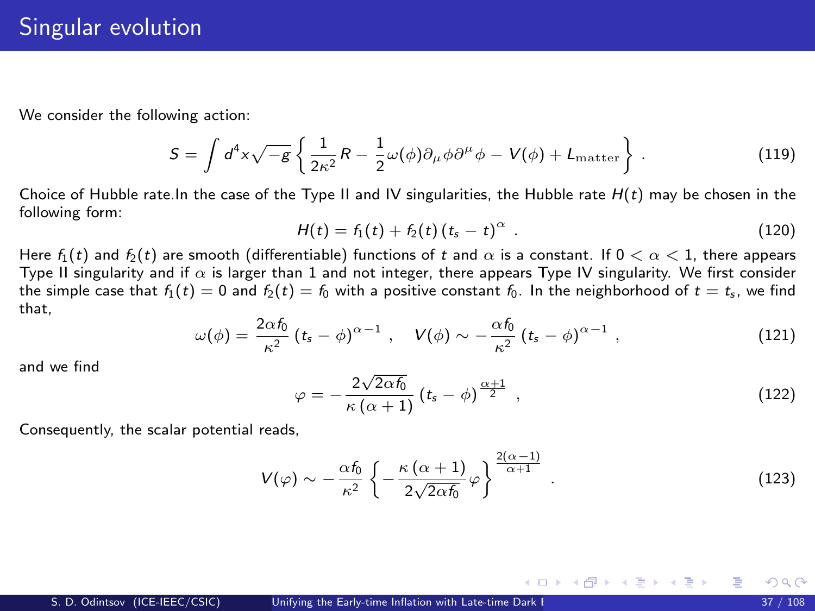We consider the following action:

$$
S = \int d^4x \sqrt{-g} \left\{ \frac{1}{2\kappa^2} R - \frac{1}{2} \omega(\phi) \partial_\mu \phi \partial^\mu \phi - V(\phi) + L_{\text{matter}} \right\}.
$$
 (119)

Choice of Hubble rate. In the case of the Type II and IV singularities, the Hubble rate  $H(t)$  may be chosen in the following form:

$$
H(t) = f_1(t) + f_2(t) (t_s - t)^{\alpha} . \qquad (120)
$$

Here  $f_1(t)$  and  $f_2(t)$  are smooth (differentiable) functions of t and  $\alpha$  is a constant. If  $0 < \alpha < 1$ , there appears Type II singularity and if  $\alpha$  is larger than 1 and not integer, there appears Type IV singularity. We first consider the simple case that  $f_1(t) = 0$  and  $f_2(t) = f_0$  with a positive constant  $f_0$ . In the neighborhood of  $t = t_s$ , we find that,

$$
\omega(\phi) = \frac{2\alpha\hbar}{\kappa^2} \left( t_s - \phi \right)^{\alpha - 1}, \quad V(\phi) \sim -\frac{\alpha\hbar}{\kappa^2} \left( t_s - \phi \right)^{\alpha - 1}, \tag{121}
$$

and we find

$$
\varphi = -\frac{2\sqrt{2\alpha f_0}}{\kappa \left(\alpha + 1\right)} \left(t_s - \phi\right)^{\frac{\alpha + 1}{2}}, \qquad (122)
$$

メロメ メ都 メメ 君 メメ ヨメ

Consequently, the scalar potential reads,

$$
V(\varphi) \sim -\frac{\alpha f_0}{\kappa^2} \left\{ -\frac{\kappa (\alpha + 1)}{2\sqrt{2\alpha f_0}} \varphi \right\}^{\frac{2(\alpha - 1)}{\alpha + 1}}.
$$
 (123)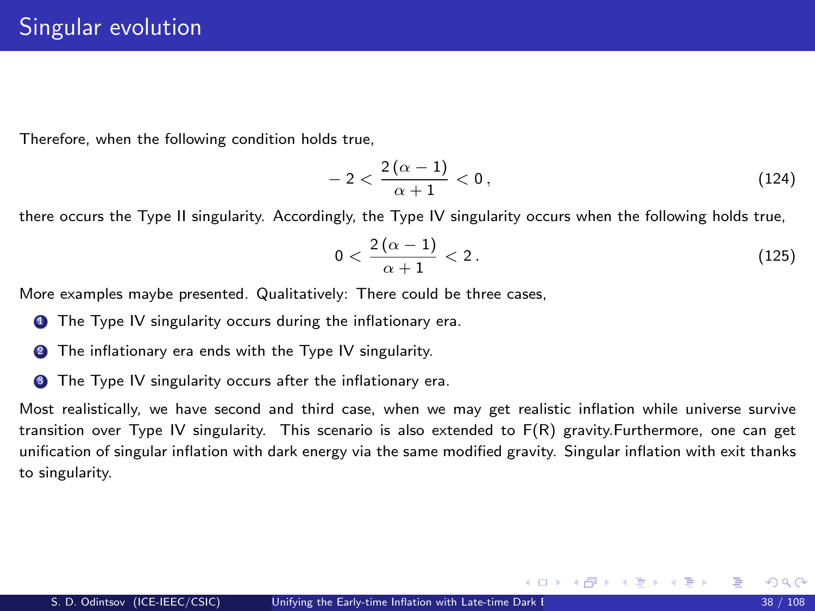Therefore, when the following condition holds true,

$$
-2<\frac{2(\alpha-1)}{\alpha+1}<0\,,\hspace{1.5cm} (124)
$$

there occurs the Type II singularity. Accordingly, the Type IV singularity occurs when the following holds true,

$$
0 < \frac{2(\alpha - 1)}{\alpha + 1} < 2. \tag{125}
$$

メロメ メ御き メミメ メミメ

More examples maybe presented. Qualitatively: There could be three cases,

- **1** The Type IV singularity occurs during the inflationary era.
- **2** The inflationary era ends with the Type IV singularity.
- **3** The Type IV singularity occurs after the inflationary era.

Most realistically, we have second and third case, when we may get realistic inflation while universe survive transition over Type IV singularity. This scenario is also extended to F(R) gravity.Furthermore, one can get unification of singular inflation with dark energy via the same modified gravity. Singular inflation with exit thanks to singularity.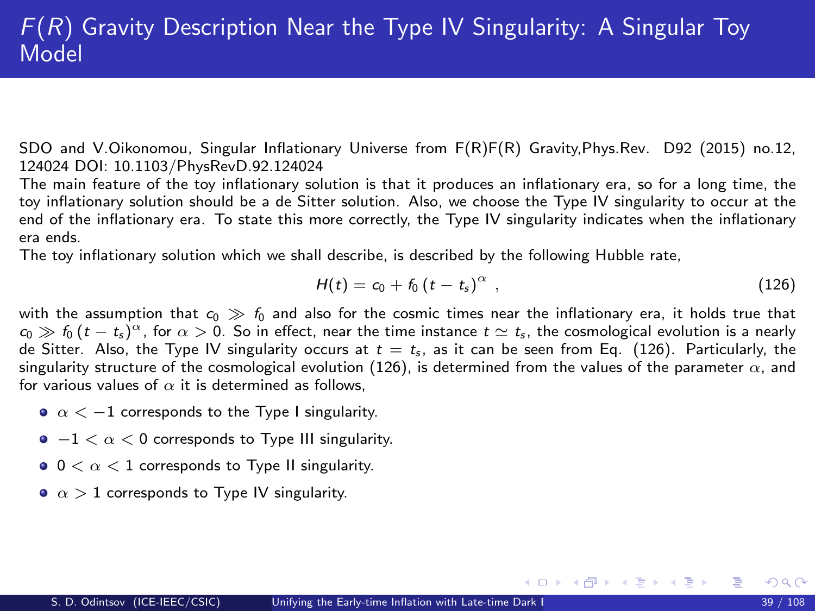SDO and V.Oikonomou, Singular Inflationary Universe from F(R)F(R) Gravity,Phys.Rev. D92 (2015) no.12, 124024 DOI: 10.1103/PhysRevD.92.124024

The main feature of the toy inflationary solution is that it produces an inflationary era, so for a long time, the toy inflationary solution should be a de Sitter solution. Also, we choose the Type IV singularity to occur at the end of the inflationary era. To state this more correctly, the Type IV singularity indicates when the inflationary era ends.

The toy inflationary solution which we shall describe, is described by the following Hubble rate,

<span id="page-38-0"></span>
$$
H(t) = c_0 + f_0 \left( t - t_s \right)^{\alpha} , \qquad (126)
$$

メロメ メ都 メメ 君 メメ ヨメ

with the assumption that  $c_0 \gg f_0$  and also for the cosmic times near the inflationary era, it holds true that  $c_0 \gg f_0 \, (t-t_s)^\alpha$ , for  $\alpha >0.$  So in effect, near the time instance  $t \simeq t_s$ , the cosmological evolution is a nearly de Sitter. Also, the Type IV singularity occurs at  $t = t<sub>s</sub>$ , as it can be seen from Eq. [\(126\)](#page-38-0). Particularly, the singularity structure of the cosmological evolution [\(126\)](#page-38-0), is determined from the values of the parameter  $\alpha$ , and for various values of  $\alpha$  it is determined as follows.

- $\alpha < -1$  corresponds to the Type I singularity.
- $-1 < \alpha < 0$  corresponds to Type III singularity.
- $0 < \alpha < 1$  corresponds to Type II singularity.
- $\alpha > 1$  corresponds to Type IV singularity.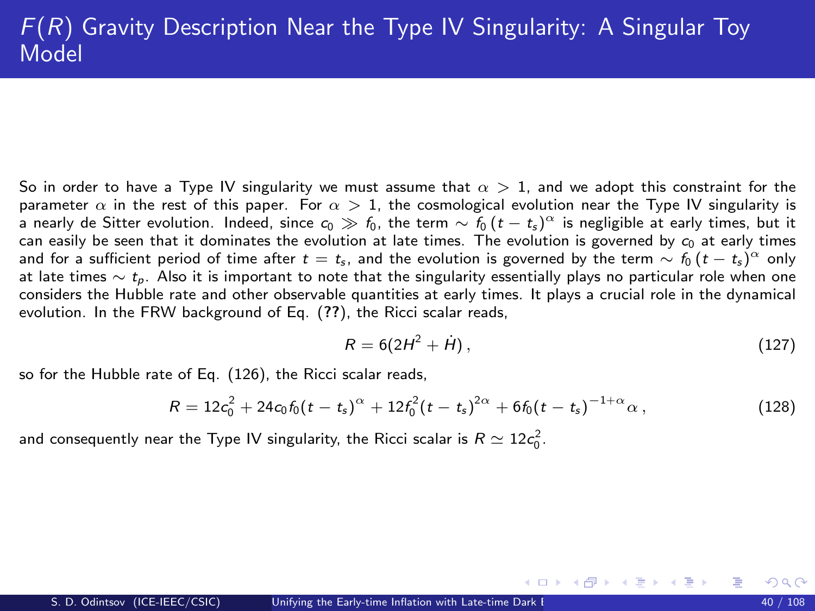So in order to have a Type IV singularity we must assume that  $\alpha > 1$ , and we adopt this constraint for the parameter  $\alpha$  in the rest of this paper. For  $\alpha > 1$ , the cosmological evolution near the Type IV singularity is a nearly de Sitter evolution. Indeed, since  $c_0\gg f_0$ , the term  $\sim f_0$   $(t-t_s)^\alpha$  is negligible at early times, but it can easily be seen that it dominates the evolution at late times. The evolution is governed by  $c_0$  at early times and for a sufficient period of time after  $t=t_s$ , and the evolution is governed by the term  $\sim f_0$   $(t-t_s)^\alpha$  only at late times  $\sim t_p$ . Also it is important to note that the singularity essentially plays no particular role when one considers the Hubble rate and other observable quantities at early times. It plays a crucial role in the dynamical evolution. In the FRW background of Eq. ([??](#page-0-1)), the Ricci scalar reads,

$$
R = 6(2H^2 + \dot{H}),\tag{127}
$$

メロメ メ都 メメ 君 メメ ヨメ

so for the Hubble rate of Eq. [\(126\)](#page-38-0), the Ricci scalar reads,

$$
R = 12c_0^2 + 24c_0f_0(t - t_s)^{\alpha} + 12f_0^2(t - t_s)^{2\alpha} + 6f_0(t - t_s)^{-1+\alpha}\alpha,
$$
\n(128)

and consequently near the Type IV singularity, the Ricci scalar is  $R\simeq 12c_0^2.$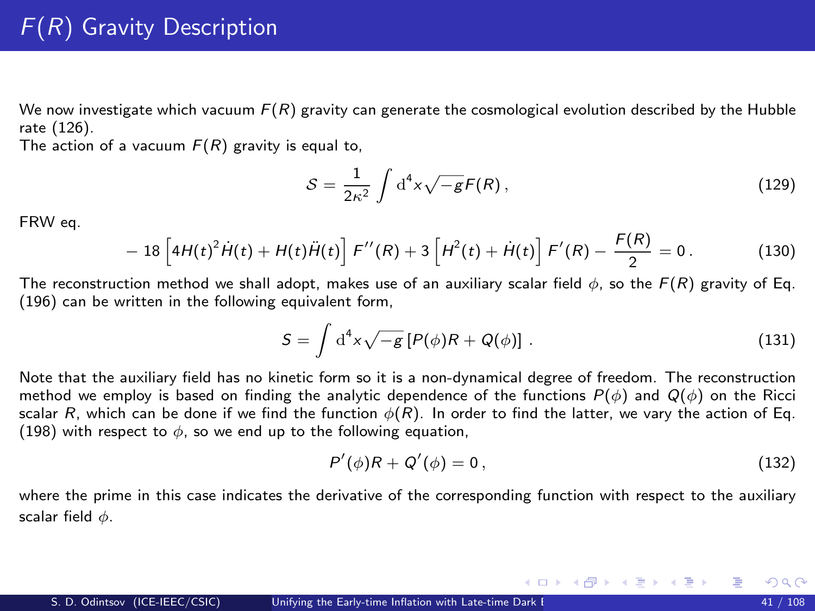We now investigate which vacuum  $F(R)$  gravity can generate the cosmological evolution described by the Hubble rate [\(126\)](#page-38-0).

The action of a vacuum  $F(R)$  gravity is equal to,

<span id="page-40-0"></span>
$$
S = \frac{1}{2\kappa^2} \int \mathrm{d}^4 x \sqrt{-g} F(R) \,, \tag{129}
$$

FRW eq.

$$
- 18 \left[ 4H(t)^2 \dot{H}(t) + H(t) \ddot{H}(t) \right] F''(R) + 3 \left[ H^2(t) + \dot{H}(t) \right] F'(R) - \frac{F(R)}{2} = 0. \tag{130}
$$

The reconstruction method we shall adopt, makes use of an auxiliary scalar field  $\phi$ , so the  $F(R)$  gravity of Eq. [\(196\)](#page-40-0) can be written in the following equivalent form,

<span id="page-40-1"></span>
$$
S = \int d^4x \sqrt{-g} \left[ P(\phi)R + Q(\phi) \right] \,. \tag{131}
$$

Note that the auxiliary field has no kinetic form so it is a non-dynamical degree of freedom. The reconstruction method we employ is based on finding the analytic dependence of the functions  $P(\phi)$  and  $Q(\phi)$  on the Ricci scalar R, which can be done if we find the function  $\phi(R)$ . In order to find the latter, we vary the action of Eq. [\(198\)](#page-40-1) with respect to  $\phi$ , so we end up to the following equation,

<span id="page-40-2"></span>
$$
P'(\phi)R + Q'(\phi) = 0, \qquad (132)
$$

メロメ メ部 メメ きょうくきょう

where the prime in this case indicates the derivative of the corresponding function with respect to the auxiliary scalar field  $\phi$ .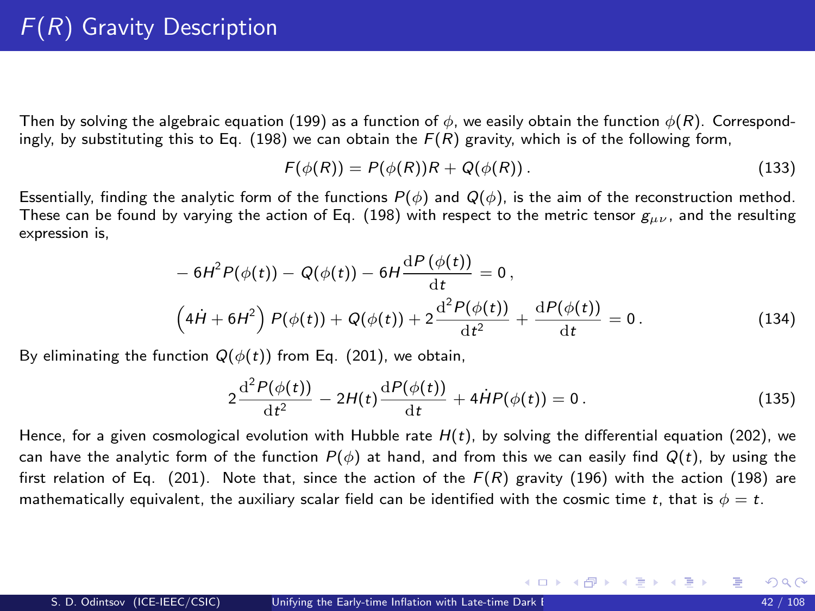# F(R) Gravity Description

Then by solving the algebraic equation [\(199\)](#page-40-2) as a function of  $\phi$ , we easily obtain the function  $\phi(R)$ . Correspond-ingly, by substituting this to Eq. [\(198\)](#page-40-1) we can obtain the  $F(R)$  gravity, which is of the following form,

$$
F(\phi(R)) = P(\phi(R))R + Q(\phi(R)).
$$
\n(133)

Essentially, finding the analytic form of the functions  $P(\phi)$  and  $Q(\phi)$ , is the aim of the reconstruction method. These can be found by varying the action of Eq. [\(198\)](#page-40-1) with respect to the metric tensor  $g_{\mu\nu}$ , and the resulting expression is,

<span id="page-41-0"></span>
$$
- 6H2P(\phi(t)) - Q(\phi(t)) - 6H \frac{dP(\phi(t))}{dt} = 0,
$$
  
\n
$$
(4H + 6H2) P(\phi(t)) + Q(\phi(t)) + 2\frac{d2P(\phi(t))}{dt2} + \frac{dP(\phi(t))}{dt} = 0.
$$
\n(134)

By eliminating the function  $Q(\phi(t))$  from Eq. [\(201\)](#page-41-0), we obtain.

<span id="page-41-1"></span>
$$
2\frac{\mathrm{d}^{2}P(\phi(t))}{\mathrm{d}t^{2}} - 2H(t)\frac{\mathrm{d}P(\phi(t))}{\mathrm{d}t} + 4\dot{H}P(\phi(t)) = 0.
$$
 (135)

メロメ メ都 メメ きょうぼうし

Hence, for a given cosmological evolution with Hubble rate  $H(t)$ , by solving the differential equation [\(202\)](#page-41-1), we can have the analytic form of the function  $P(\phi)$  at hand, and from this we can easily find  $Q(t)$ , by using the first relation of Eq. [\(201\)](#page-41-0). Note that, since the action of the  $F(R)$  gravity [\(196\)](#page-40-0) with the action [\(198\)](#page-40-1) are mathematically equivalent, the auxiliary scalar field can be identified with the cosmic time t, that is  $\phi = t$ .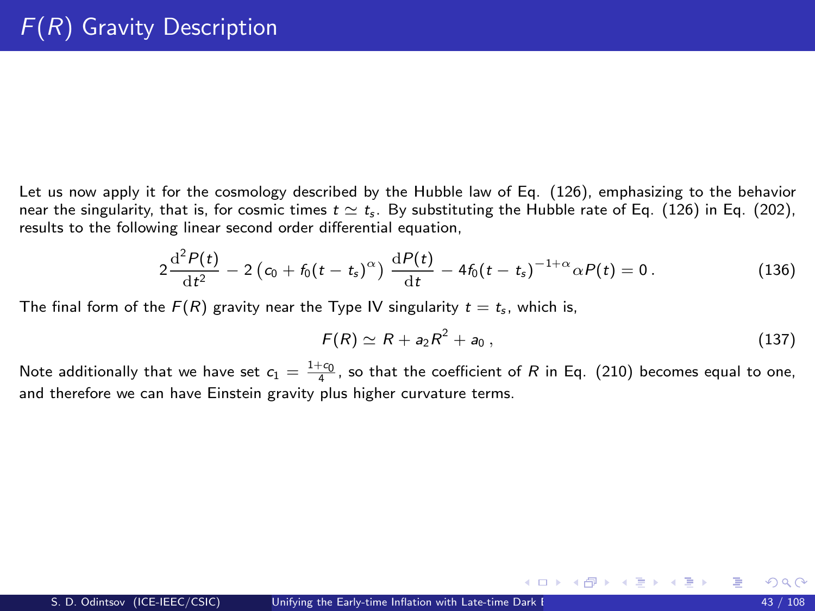Let us now apply it for the cosmology described by the Hubble law of Eq. [\(126\)](#page-38-0), emphasizing to the behavior near the singularity, that is, for cosmic times  $t \approx t_s$ . By substituting the Hubble rate of Eq. [\(126\)](#page-38-0) in Eq. [\(202\)](#page-41-1), results to the following linear second order differential equation,

$$
2\frac{d^2P(t)}{dt^2} - 2\left(c_0 + f_0(t - t_s)^{\alpha}\right)\frac{dP(t)}{dt} - 4f_0(t - t_s)^{-1+\alpha}\alpha P(t) = 0.
$$
 (136)

The final form of the  $F(R)$  gravity near the Type IV singularity  $t = t<sub>s</sub>$ , which is,

<span id="page-42-0"></span>
$$
F(R) \simeq R + a_2 R^2 + a_0 , \qquad (137)
$$

メロメ メ都 メメ きょうぼうし

Note additionally that we have set  $c_1 = \frac{1+c_0}{4}$ , so that the coefficient of R in Eq. [\(210\)](#page-42-0) becomes equal to one, and therefore we can have Einstein gravity plus higher curvature terms.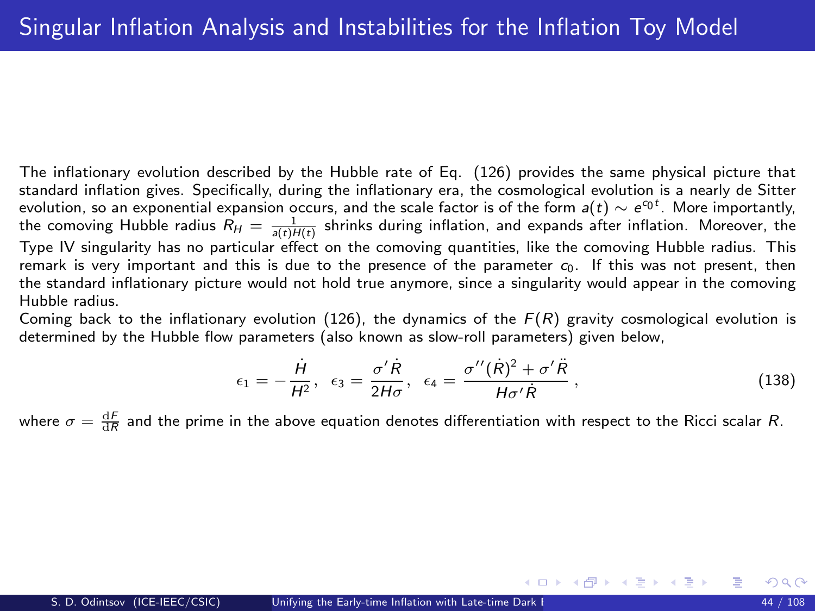<span id="page-43-0"></span>The inflationary evolution described by the Hubble rate of Eq. [\(126\)](#page-38-0) provides the same physical picture that standard inflation gives. Specifically, during the inflationary era, the cosmological evolution is a nearly de Sitter evolution, so an exponential expansion occurs, and the scale factor is of the form  $a(t)\sim e^{c_0t}$ . More importantly, the comoving Hubble radius  $R_H=\frac{1}{s(t)H(t)}$  shrinks during inflation, and expands after inflation. Moreover, the Type IV singularity has no particular effect on the comoving quantities, like the comoving Hubble radius. This remark is very important and this is due to the presence of the parameter  $c_0$ . If this was not present, then the standard inflationary picture would not hold true anymore, since a singularity would appear in the comoving Hubble radius.

Coming back to the inflationary evolution [\(126\)](#page-38-0), the dynamics of the  $F(R)$  gravity cosmological evolution is determined by the Hubble flow parameters (also known as slow-roll parameters) given below,

<span id="page-43-1"></span>
$$
\epsilon_1 = -\frac{\dot{H}}{H^2}, \quad \epsilon_3 = \frac{\sigma'\dot{R}}{2H\sigma}, \quad \epsilon_4 = \frac{\sigma''(\dot{R})^2 + \sigma'\ddot{R}}{H\sigma'\dot{R}}, \tag{138}
$$

メロメ メ都 メメ きょくきょう

where  $\sigma=\frac{\text{d}F}{\text{d}R}$  and the prime in the above equation denotes differentiation with respect to the Ricci scalar  $R$ .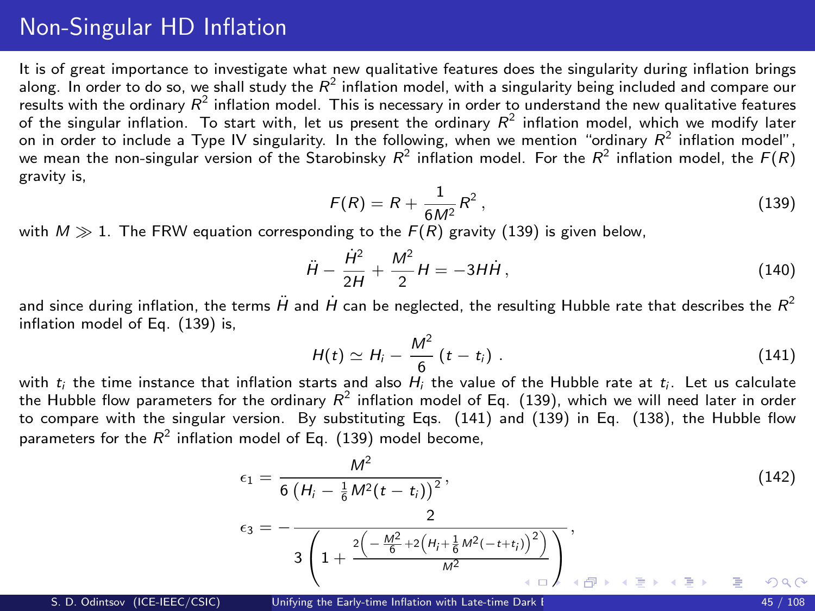## Non-Singular HD Inflation

It is of great importance to investigate what new qualitative features does the singularity during inflation brings along. In order to do so, we shall study the  $R^2$  inflation model, with a singularity being included and compare our results with the ordinary  $R^2$  inflation model. This is necessary in order to understand the new qualitative features of the singular inflation. To start with, let us present the ordinary  $R^2$  inflation model, which we modify later on in order to include a Type IV singularity. In the following, when we mention "ordinary  $R^2$  inflation model", we mean the non-singular version of the Starobinsky  $R^2$  inflation model. For the  $R^2$  inflation model, the  $F(R)$ gravity is,

<span id="page-44-0"></span>
$$
F(R) = R + \frac{1}{6M^2}R^2,
$$
\n(139)

with  $M \gg 1$ . The FRW equation corresponding to the  $F(R)$  gravity [\(139\)](#page-44-0) is given below,

$$
\ddot{H} - \frac{\dot{H}^2}{2H} + \frac{M^2}{2}H = -3H\dot{H},
$$
\n(140)

and since during inflation, the terms  $H$  and  $H$  can be neglected, the resulting Hubble rate that describes the  $R^2$ inflation model of Eq. [\(139\)](#page-44-0) is.

<span id="page-44-1"></span>
$$
H(t) \simeq H_i - \frac{M^2}{6} \left(t - t_i\right). \tag{141}
$$

with  $t_i$  the time instance that inflation starts and also  $H_i$  the value of the Hubble rate at  $t_i$ . Let us calculate the Hubble flow parameters for the ordinary  $R^2$  inflation model of Eq. [\(139\)](#page-44-0), which we will need later in order to compare with the singular version. By substituting Eqs. [\(141\)](#page-44-1) and [\(139\)](#page-44-0) in Eq. [\(138\)](#page-43-1), the Hubble flow parameters for the  $R^2$  inflation model of Eq. [\(139\)](#page-44-0) model become,

<span id="page-44-2"></span>
$$
\epsilon_{1} = \frac{M^{2}}{6\left(H_{i} - \frac{1}{6}M^{2}(t - t_{i})\right)^{2}},
$$
\n
$$
\epsilon_{3} = -\frac{2}{3\left(1 + \frac{2\left(-\frac{M^{2}}{6} + 2\left(H_{i} + \frac{1}{6}M^{2}\left(-t + t_{i}\right)\right)^{2}\right)}{M^{2}}\right)},
$$
\n
$$
\epsilon_{4} = \frac{2}{3\left(1 + \frac{2\left(-\frac{M^{2}}{6} + 2\left(H_{i} + \frac{1}{6}M^{2}\left(-t + t_{i}\right)\right)^{2}\right)}{M^{2}}\right)},
$$
\n
$$
\epsilon_{5} = \frac{2}{3\left(1 + \frac{2\left(-\frac{M^{2}}{6} + 2\left(H_{i} + \frac{1}{6}M^{2}\left(-t + t_{i}\right)\right)^{2}\right)}{M^{2}}\right)},
$$
\n
$$
\epsilon_{6} = \frac{2}{3\left(1 + \frac{2\left(-\frac{M^{2}}{6} + 2\left(H_{i} + \frac{1}{6}M^{2}\left(-t + t_{i}\right)\right)^{2}\right)}{M^{2}}\right)}.
$$
\n(142)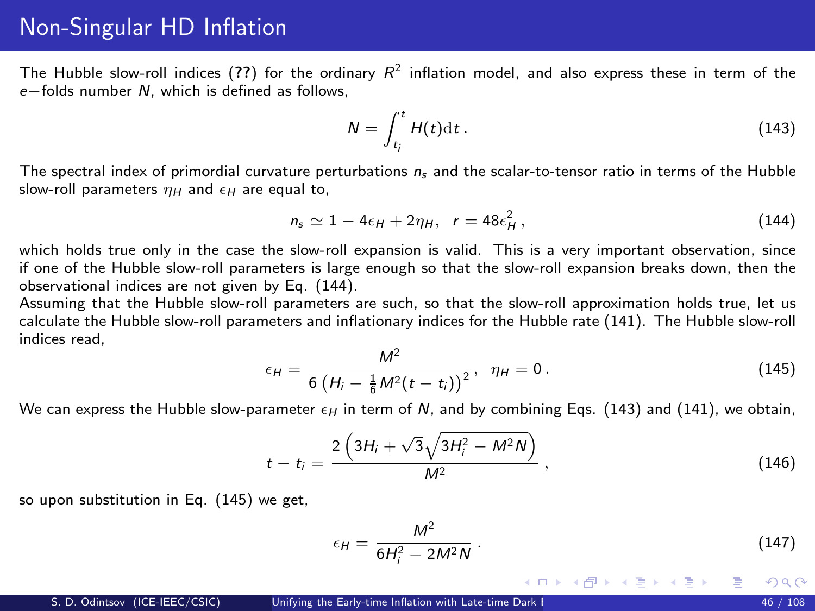#### <span id="page-45-0"></span>Non-Singular HD Inflation

The Hubble slow-roll indices ([??](#page-0-1)) for the ordinary  $R^2$  inflation model, and also express these in term of the e−folds number N, which is defined as follows,

<span id="page-45-2"></span>
$$
N = \int_{t_i}^t H(t) \mathrm{d}t \,. \tag{143}
$$

The spectral index of primordial curvature perturbations  $n_s$  and the scalar-to-tensor ratio in terms of the Hubble slow-roll parameters  $\eta_H$  and  $\epsilon_H$  are equal to,

<span id="page-45-1"></span>
$$
n_s \simeq 1 - 4\epsilon_H + 2\eta_H, \quad r = 48\epsilon_H^2 \,, \tag{144}
$$

which holds true only in the case the slow-roll expansion is valid. This is a very important observation, since if one of the Hubble slow-roll parameters is large enough so that the slow-roll expansion breaks down, then the observational indices are not given by Eq. [\(144\)](#page-45-1).

Assuming that the Hubble slow-roll parameters are such, so that the slow-roll approximation holds true, let us calculate the Hubble slow-roll parameters and inflationary indices for the Hubble rate [\(141\)](#page-44-1). The Hubble slow-roll indices read,

<span id="page-45-3"></span>
$$
\epsilon_H = \frac{M^2}{6\left(H_i - \frac{1}{6}M^2(t - t_i)\right)^2}, \ \ \eta_H = 0. \tag{145}
$$

We can express the Hubble slow-parameter  $\epsilon_H$  in term of N, and by combining Eqs. [\(143\)](#page-45-2) and [\(141\)](#page-44-1), we obtain,

$$
t - t_i = \frac{2\left(3H_i + \sqrt{3}\sqrt{3H_i^2 - M^2N}\right)}{M^2},
$$
\n(146)

so upon substitution in Eq. [\(145\)](#page-45-3) we get,

$$
\epsilon_H = \frac{M^2}{6H_1^2 - 2M^2N} \,. \tag{147}
$$

メロメ メ御き メミメ メミメ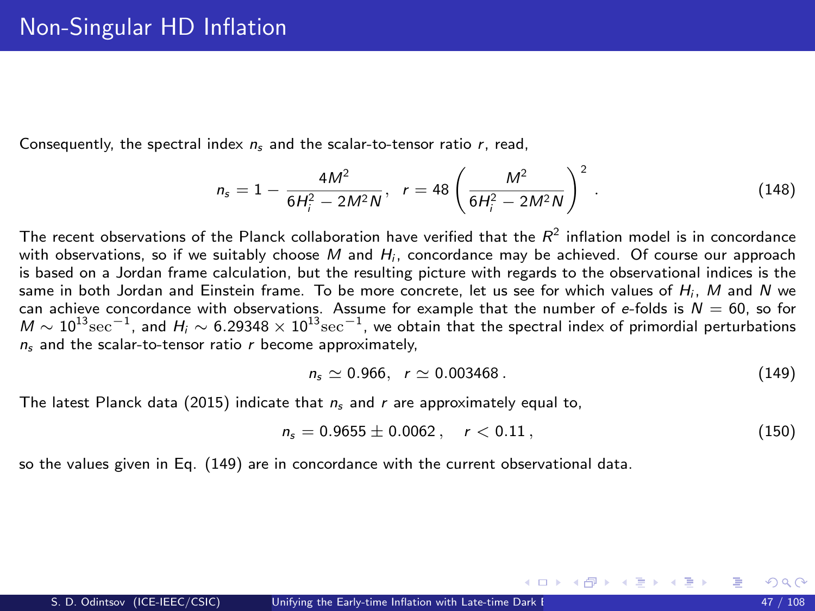Consequently, the spectral index  $n_s$  and the scalar-to-tensor ratio r, read,

$$
n_{s} = 1 - \frac{4M^{2}}{6H_{i}^{2} - 2M^{2}N}, \quad r = 48\left(\frac{M^{2}}{6H_{i}^{2} - 2M^{2}N}\right)^{2}.
$$
 (148)

The recent observations of the Planck collaboration have verified that the  $R^2$  inflation model is in concordance with observations, so if we suitably choose M and  $H_i$ , concordance may be achieved. Of course our approach is based on a Jordan frame calculation, but the resulting picture with regards to the observational indices is the same in both Jordan and Einstein frame. To be more concrete, let us see for which values of  $H_i$ , M and N we can achieve concordance with observations. Assume for example that the number of e-folds is  $N = 60$ , so for  $M\sim 10^{13}{\rm sec}^{-1}$ , and  $H_i\sim 6.29348\times 10^{13}{\rm sec}^{-1}$ , we obtain that the spectral index of primordial perturbations  $n_s$  and the scalar-to-tensor ratio r become approximately,

<span id="page-46-0"></span>
$$
n_s \simeq 0.966, r \simeq 0.003468 \,. \tag{149}
$$

メロト メ何ト メミト メミト

The latest Planck data (2015) indicate that  $n<sub>s</sub>$  and r are approximately equal to,

<span id="page-46-1"></span>
$$
n_s = 0.9655 \pm 0.0062 \,, \quad r < 0.11 \,, \tag{150}
$$

so the values given in Eq. [\(149\)](#page-46-0) are in concordance with the current observational data.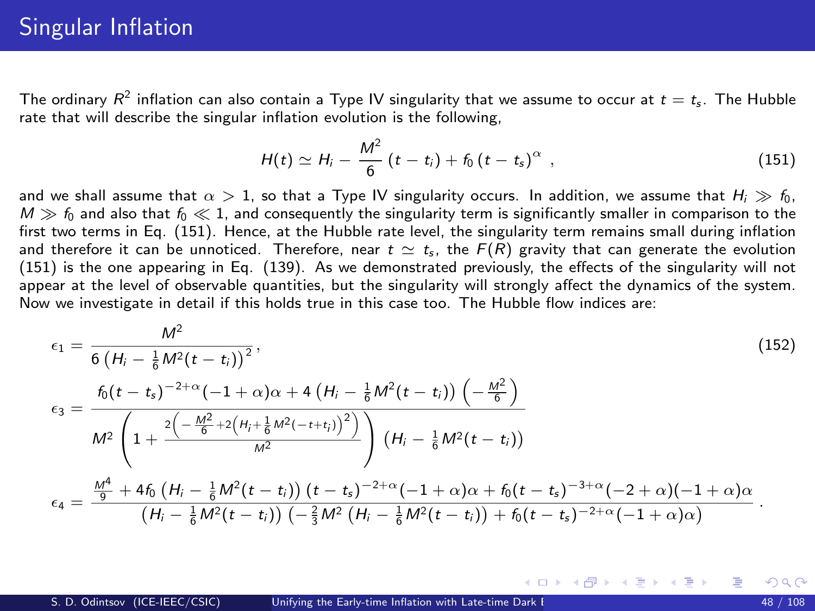The ordinary  $R^2$  inflation can also contain a Type IV singularity that we assume to occur at  $t=t_{\sf s}$ . The Hubble rate that will describe the singular inflation evolution is the following,

<span id="page-47-0"></span>
$$
H(t) \simeq H_i - \frac{M^2}{6} \left( t - t_i \right) + f_0 \left( t - t_s \right)^{\alpha} , \qquad (151)
$$

メロメ メ都 メメ 君 メメ ヨメ

and we shall assume that  $\alpha > 1$ , so that a Type IV singularity occurs. In addition, we assume that  $H_i \gg f_0$ ,  $M \gg f_0$  and also that  $f_0 \ll 1$ , and consequently the singularity term is significantly smaller in comparison to the first two terms in Eq. [\(151\)](#page-47-0). Hence, at the Hubble rate level, the singularity term remains small during inflation and therefore it can be unnoticed. Therefore, near  $t \simeq t_{\rm s}$ , the  $F(R)$  gravity that can generate the evolution [\(151\)](#page-47-0) is the one appearing in Eq. [\(139\)](#page-44-0). As we demonstrated previously, the effects of the singularity will not appear at the level of observable quantities, but the singularity will strongly affect the dynamics of the system. Now we investigate in detail if this holds true in this case too. The Hubble flow indices are:

$$
\epsilon_{1} = \frac{M^{2}}{6\left(H_{i} - \frac{1}{6}M^{2}(t - t_{i})\right)^{2}},
$$
\n
$$
\epsilon_{3} = \frac{f_{0}(t - t_{s})^{-2+\alpha}(-1 + \alpha)\alpha + 4\left(H_{i} - \frac{1}{6}M^{2}(t - t_{i})\right)\left(-\frac{M^{2}}{6}\right)}{M^{2}\left(1 + \frac{2\left(-\frac{M^{2}}{6} + 2\left(H_{i} + \frac{1}{6}M^{2}(-t + t_{i})\right)^{2}\right)}{M^{2}}\right)\left(H_{i} - \frac{1}{6}M^{2}(t - t_{i})\right)}
$$
\n
$$
\epsilon_{4} = \frac{\frac{M^{4}}{9} + 4f_{0}\left(H_{i} - \frac{1}{6}M^{2}(t - t_{i})\right)(t - t_{s})^{-2+\alpha}(-1 + \alpha)\alpha + f_{0}(t - t_{s})^{-3+\alpha}(-2 + \alpha)(-1 + \alpha)\alpha}{(H_{i} - \frac{1}{6}M^{2}(t - t_{i}))\left(-\frac{2}{3}M^{2}(t - t_{i})\right) + f_{0}(t - t_{s})^{-2+\alpha}(-1 + \alpha)\alpha}.
$$
\n(152)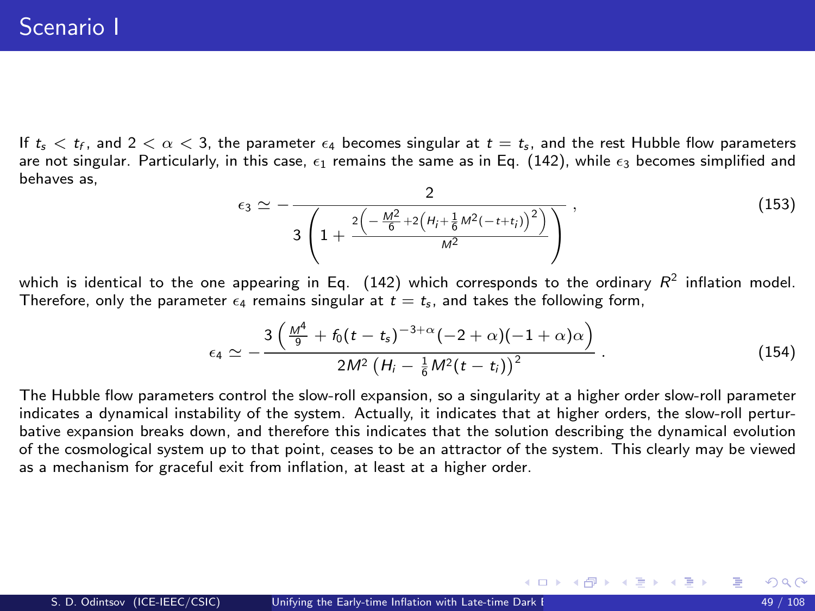## Scenario I

If  $t_{\sf s} < t_{\sf f},$  and  $2 < \alpha < 3$ , the parameter  $\epsilon_4$  becomes singular at  $t=t_{\sf s},$  and the rest Hubble flow parameters are not singular. Particularly, in this case,  $\epsilon_1$  remains the same as in Eq. [\(142\)](#page-44-2), while  $\epsilon_2$  becomes simplified and behaves as,

$$
\epsilon_3 \simeq -\frac{2}{3\left(1+\frac{2\left(-\frac{M^2}{6}+2\left(H_j+\frac{1}{6}M^2(-t+t_j)\right)^2\right)}{M^2}\right)}\,,\tag{153}
$$

which is identical to the one appearing in Eq.  $(142)$  which corresponds to the ordinary  $R^2$  inflation model. Therefore, only the parameter  $\epsilon_4$  remains singular at  $t = t_s$ , and takes the following form,

$$
\epsilon_4 \simeq -\frac{3\left(\frac{M^4}{9} + f_0(t-t_s)^{-3+\alpha}(-2+\alpha)(-1+\alpha)\alpha\right)}{2M^2\left(H_i - \frac{1}{6}M^2(t-t_i)\right)^2} \,. \tag{154}
$$

メロメ メ御き メミメ メミメ

The Hubble flow parameters control the slow-roll expansion, so a singularity at a higher order slow-roll parameter indicates a dynamical instability of the system. Actually, it indicates that at higher orders, the slow-roll perturbative expansion breaks down, and therefore this indicates that the solution describing the dynamical evolution of the cosmological system up to that point, ceases to be an attractor of the system. This clearly may be viewed as a mechanism for graceful exit from inflation, at least at a higher order.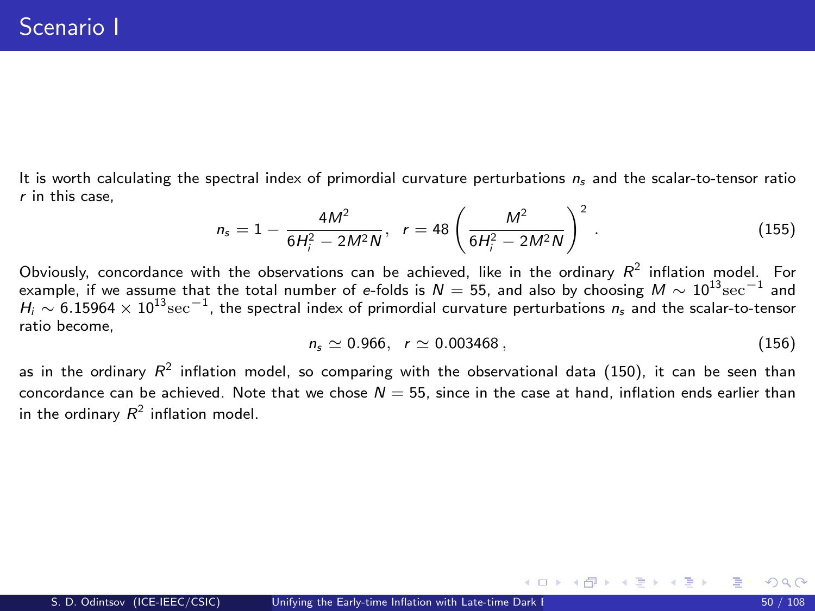It is worth calculating the spectral index of primordial curvature perturbations  $n_s$  and the scalar-to-tensor ratio r in this case,

$$
n_{s} = 1 - \frac{4M^{2}}{6H_{i}^{2} - 2M^{2}N}, \quad r = 48\left(\frac{M^{2}}{6H_{i}^{2} - 2M^{2}N}\right)^{2}.
$$
 (155)

Obviously, concordance with the observations can be achieved, like in the ordinary  $R^2$  inflation model. For example, if we assume that the total number of e-folds is  $N=55$ , and also by choosing  $M\sim 10^{13}{\rm sec}^{-1}$  and  $H_i \sim 6.15964 \times 10^{13} \rm sec^{-1}$ , the spectral index of primordial curvature perturbations  $n_s$  and the scalar-to-tensor ratio become,

$$
n_s \simeq 0.966, r \simeq 0.003468, \qquad (156)
$$

メロメ メ御き メミメ メミメ

as in the ordinary  $R^2$  inflation model, so comparing with the observational data [\(150\)](#page-46-1), it can be seen than concordance can be achieved. Note that we chose  $N = 55$ , since in the case at hand, inflation ends earlier than in the ordinary  $R^2$  inflation model.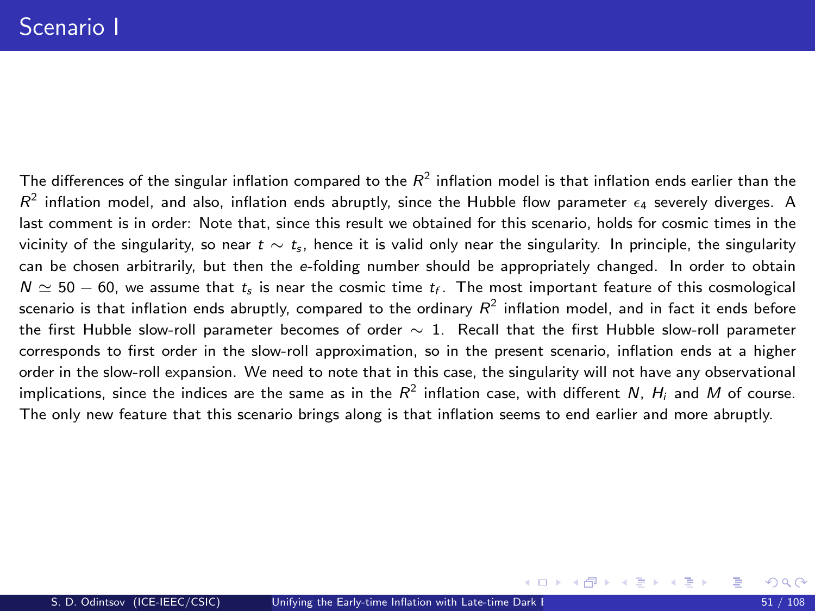The differences of the singular inflation compared to the  $R^2$  inflation model is that inflation ends earlier than the  $R^2$  inflation model, and also, inflation ends abruptly, since the Hubble flow parameter  $\epsilon_4$  severely diverges. A last comment is in order: Note that, since this result we obtained for this scenario, holds for cosmic times in the vicinity of the singularity, so near  $t \sim t_s$ , hence it is valid only near the singularity. In principle, the singularity can be chosen arbitrarily, but then the e-folding number should be appropriately changed. In order to obtain  $N \simeq 50-60$ , we assume that  $t_s$  is near the cosmic time  $t_f$ . The most important feature of this cosmological scenario is that inflation ends abruptly, compared to the ordinary  $R^2$  inflation model, and in fact it ends before the first Hubble slow-roll parameter becomes of order ∼ 1. Recall that the first Hubble slow-roll parameter corresponds to first order in the slow-roll approximation, so in the present scenario, inflation ends at a higher order in the slow-roll expansion. We need to note that in this case, the singularity will not have any observational implications, since the indices are the same as in the  $R^2$  inflation case, with different N,  $H_i$  and M of course. The only new feature that this scenario brings along is that inflation seems to end earlier and more abruptly.

メロメ メ都 メメ ミメ メヨメ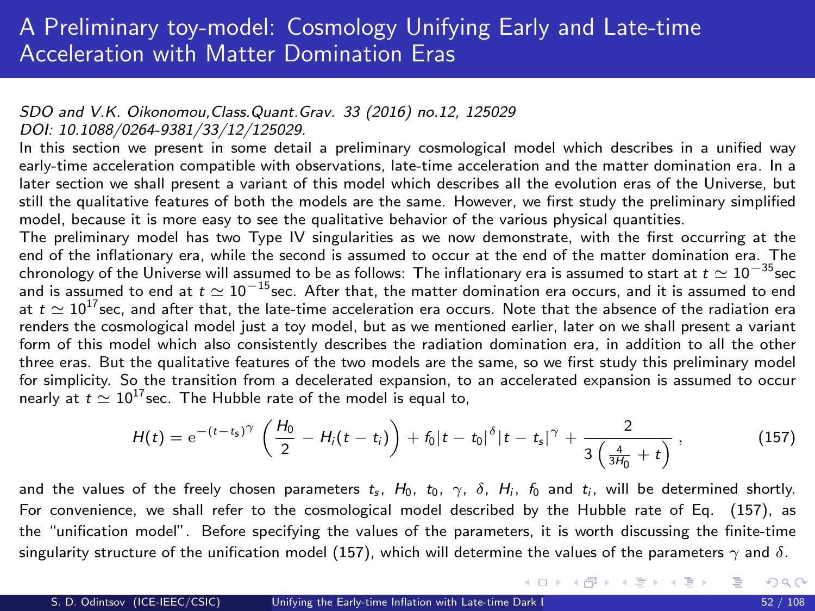#### SDO and V.K. Oikonomou,Class.Quant.Grav. 33 (2016) no.12, 125029 DOI: 10.1088/0264-9381/33/12/125029.

In this section we present in some detail a preliminary cosmological model which describes in a unified way early-time acceleration compatible with observations, late-time acceleration and the matter domination era. In a later section we shall present a variant of this model which describes all the evolution eras of the Universe, but still the qualitative features of both the models are the same. However, we first study the preliminary simplified model, because it is more easy to see the qualitative behavior of the various physical quantities.

The preliminary model has two Type IV singularities as we now demonstrate, with the first occurring at the end of the inflationary era, while the second is assumed to occur at the end of the matter domination era. The chronology of the Universe will assumed to be as follows: The inflationary era is assumed to start at  $t \simeq 10^{-35}$ sec and is assumed to end at  $t \simeq 10^{-15}$ sec. After that, the matter domination era occurs, and it is assumed to end at  $t \simeq 10^{17}$  sec, and after that, the late-time acceleration era occurs. Note that the absence of the radiation era renders the cosmological model just a toy model, but as we mentioned earlier, later on we shall present a variant form of this model which also consistently describes the radiation domination era, in addition to all the other three eras. But the qualitative features of the two models are the same, so we first study this preliminary model for simplicity. So the transition from a decelerated expansion, to an accelerated expansion is assumed to occur nearly at  $t \simeq 10^{17}$  sec. The Hubble rate of the model is equal to,

<span id="page-51-0"></span>
$$
H(t) = e^{-(t-t_s)\gamma} \left( \frac{H_0}{2} - H_i(t-t_i) \right) + f_0 |t-t_0|^{\delta} |t-t_s|^{\gamma} + \frac{2}{3 \left( \frac{4}{3H_0} + t \right)}, \qquad (157)
$$

and the values of the freely chosen parameters  $t_s$ ,  $H_0$ ,  $t_0$ ,  $\gamma$ ,  $\delta$ ,  $H_i$ ,  $f_0$  and  $t_i$ , will be determined shortly. For convenience, we shall refer to the cosmological model described by the Hubble rate of Eq. [\(157\)](#page-51-0), as the "unification model". Before specifying the values of the parameters, it is worth discussing the finite-time singularity structure of the unification model [\(157\)](#page-51-0), which will determine the values of the parameters  $\gamma$  and  $\delta$ .

メロメ メ御き メミメ メミメ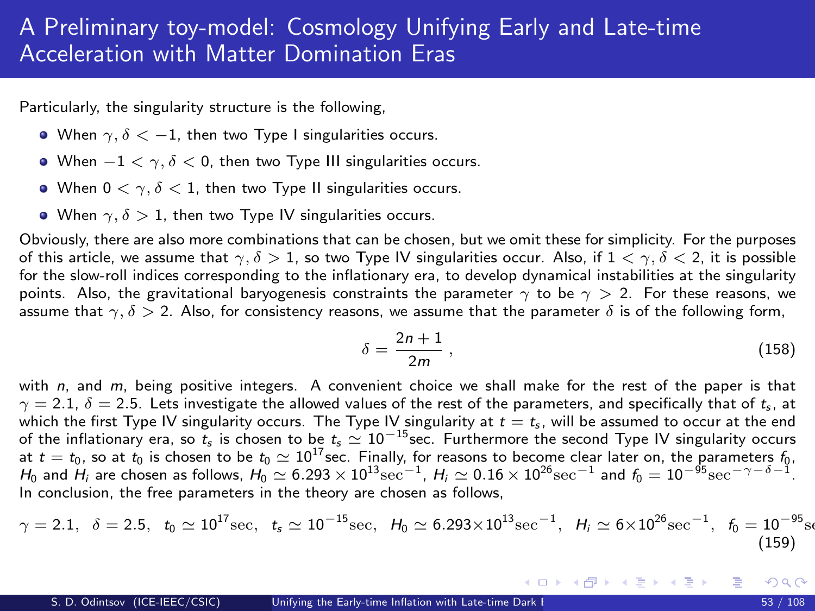# A Preliminary toy-model: Cosmology Unifying Early and Late-time Acceleration with Matter Domination Eras

Particularly, the singularity structure is the following,

- When  $\gamma$ ,  $\delta$  < -1, then two Type I singularities occurs.
- When  $-1 < \gamma$ ,  $\delta < 0$ , then two Type III singularities occurs.
- When  $0 < \gamma$ ,  $\delta < 1$ , then two Type II singularities occurs.
- When  $\gamma$ ,  $\delta > 1$ , then two Type IV singularities occurs.

Obviously, there are also more combinations that can be chosen, but we omit these for simplicity. For the purposes of this article, we assume that  $\gamma$ ,  $\delta > 1$ , so two Type IV singularities occur. Also, if  $1 < \gamma$ ,  $\delta < 2$ , it is possible for the slow-roll indices corresponding to the inflationary era, to develop dynamical instabilities at the singularity points. Also, the gravitational baryogenesis constraints the parameter  $\gamma$  to be  $\gamma > 2$ . For these reasons, we assume that  $\gamma$ ,  $\delta > 2$ . Also, for consistency reasons, we assume that the parameter  $\delta$  is of the following form,

$$
\delta = \frac{2n+1}{2m} \,,\tag{158}
$$

メロメ メ御 メメ きょうくきょう

with n, and m, being positive integers. A convenient choice we shall make for the rest of the paper is that  $\gamma = 2.1$ ,  $\delta = 2.5$ . Lets investigate the allowed values of the rest of the parameters, and specifically that of  $t_{s}$ , at which the first Type IV singularity occurs. The Type IV singularity at  $t = t_s$ , will be assumed to occur at the end of the inflationary era, so  $t_s$  is chosen to be  $t_s \simeq 10^{-15}$  sec. Furthermore the second Type IV singularity occurs at  $t = t_0$ , so at  $t_0$  is chosen to be  $t_0 \simeq 10^{17}$  sec. Finally, for reasons to become clear later on, the parameters  $t_0$ ,  $H_0$  and  $H_i$  are chosen as follows,  $H_0 \simeq 6.293 \times 10^{13} {\rm sec}^{-1}$ ,  $H_i \simeq 0.16 \times 10^{26} {\rm sec}^{-1}$  and  $f_0 = 10^{-95} {\rm sec}^{-\gamma-\delta-1}$ . In conclusion, the free parameters in the theory are chosen as follows,

<span id="page-52-0"></span>
$$
\gamma=2.1,~~\delta=2.5,~~t_0\simeq 10^{17}\text{sec},~~t_s\simeq 10^{-15}\text{sec},~~H_0\simeq 6.293\times 10^{13}\text{sec}^{-1},~~H_i\simeq 6\times 10^{26}\text{sec}^{-1},~~f_0=10^{-95}\text{sec}^{-1},
$$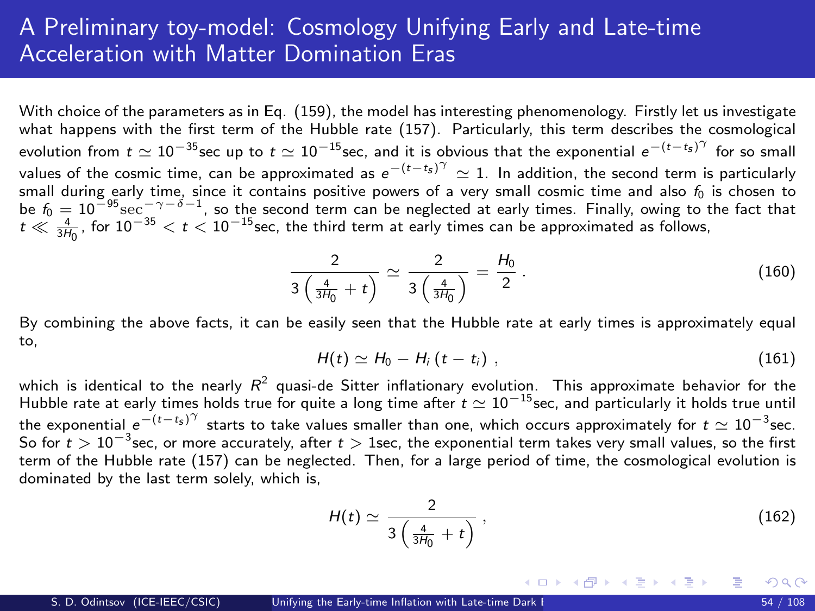## A Preliminary toy-model: Cosmology Unifying Early and Late-time Acceleration with Matter Domination Eras

With choice of the parameters as in Eq. [\(159\)](#page-52-0), the model has interesting phenomenology. Firstly let us investigate what happens with the first term of the Hubble rate [\(157\)](#page-51-0). Particularly, this term describes the cosmological evolution from  $t\simeq 10^{-35}$ sec up to  $t\simeq 10^{-15}$ sec, and it is obvious that the exponential  $e^{-(t-t_{\rm s})^\gamma}$  for so small values of the cosmic time, can be approximated as  $e^{-(t-t_s)^\gamma}\simeq 1.$  In addition, the second term is particularly small during early time, since it contains positive powers of a very small cosmic time and also  $f_0$  is chosen to be  $f_0 = 10^{-95} \text{sec}^{-\gamma-\delta-1}$ , so the second term can be neglected at early times. Finally, owing to the fact that  $t \ll \frac{4}{3H_0}$ , for  $10^{-35} < t < 10^{-15}$ sec, the third term at early times can be approximated as follows,

$$
\frac{2}{3\left(\frac{4}{3H_0}+t\right)}\simeq\frac{2}{3\left(\frac{4}{3H_0}\right)}=\frac{H_0}{2}.
$$
\n(160)

By combining the above facts, it can be easily seen that the Hubble rate at early times is approximately equal to,

$$
H(t) \simeq H_0 - H_i \left(t - t_i\right) \,, \tag{161}
$$

which is identical to the nearly  $R^2$  quasi-de Sitter inflationary evolution. This approximate behavior for the Hubble rate at early times holds true for quite a long time after  $t \simeq 10^{-15}$  sec, and particularly it holds true until the exponential  $e^{-(t-t_s)^\gamma}$  starts to take values smaller than one, which occurs approximately for  $t \simeq 10^{-3}$ sec. So for  $t > 10^{-3}$ sec, or more accurately, after  $t > 1$ sec, the exponential term takes very small values, so the first term of the Hubble rate [\(157\)](#page-51-0) can be neglected. Then, for a large period of time, the cosmological evolution is dominated by the last term solely, which is,

$$
H(t) \simeq \frac{2}{3\left(\frac{4}{3H_0} + t\right)}\,,\tag{162}
$$

メロメ メ都 メメ きょうぼうし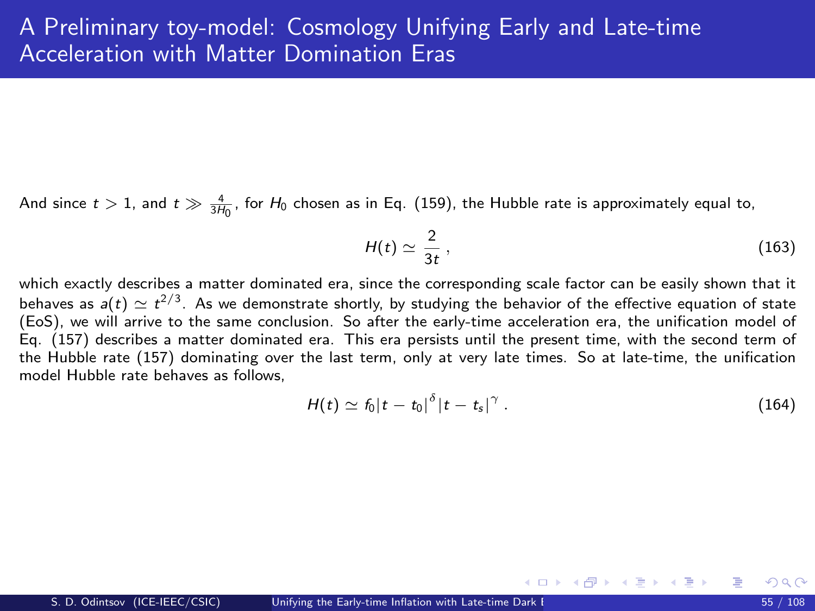And since  $t > 1$ , and  $t \gg \frac{4}{3H_0}$ , for  $H_0$  chosen as in Eq. [\(159\)](#page-52-0), the Hubble rate is approximately equal to,

$$
H(t) \simeq \frac{2}{3t} \,,\tag{163}
$$

which exactly describes a matter dominated era, since the corresponding scale factor can be easily shown that it behaves as  $a(t)\simeq t^{2/3}$ . As we demonstrate shortly, by studying the behavior of the effective equation of state (EoS), we will arrive to the same conclusion. So after the early-time acceleration era, the unification model of Eq. [\(157\)](#page-51-0) describes a matter dominated era. This era persists until the present time, with the second term of the Hubble rate [\(157\)](#page-51-0) dominating over the last term, only at very late times. So at late-time, the unification model Hubble rate behaves as follows

$$
H(t) \simeq f_0 |t - t_0|^\delta |t - t_s|^\gamma \,. \tag{164}
$$

メロメ メ御き メミメ メミメ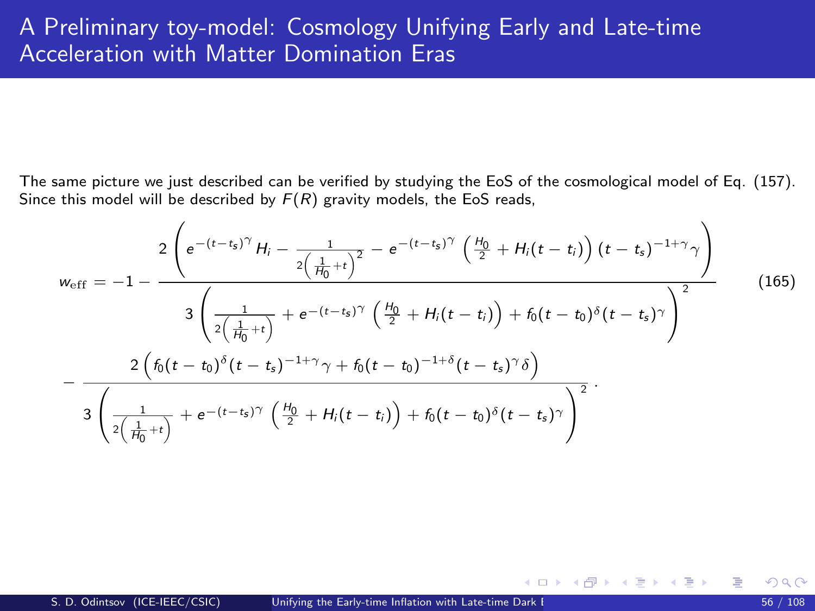The same picture we just described can be verified by studying the EoS of the cosmological model of Eq. [\(157\)](#page-51-0). Since this model will be described by  $F(R)$  gravity models, the EoS reads,

$$
w_{\text{eff}} = -1 - \frac{2 \left(e^{-(t-t_s)^{\gamma}} H_i - \frac{1}{2\left(\frac{1}{H_0} + t\right)^2} - e^{-(t-t_s)^{\gamma}} \left(\frac{H_0}{2} + H_i(t - t_i)\right) (t - t_s)^{-1+\gamma} \gamma\right)}{3 \left(\frac{1}{2\left(\frac{1}{H_0} + t\right)} + e^{-(t-t_s)^{\gamma}} \left(\frac{H_0}{2} + H_i(t - t_i)\right) + f_0(t - t_0)^{\delta} (t - t_s)^{\gamma}\right)^2} - \frac{2 \left(f_0(t - t_0)^{\delta} (t - t_s)^{-1+\gamma} \gamma + f_0(t - t_0)^{-1+\delta} (t - t_s)^{\gamma} \delta\right)}{3 \left(\frac{1}{2\left(\frac{1}{H_0} + t\right)} + e^{-(t-t_s)^{\gamma}} \left(\frac{H_0}{2} + H_i(t - t_i)\right) + f_0(t - t_0)^{\delta} (t - t_s)^{\gamma}\right)^2}.
$$
\n(165)

メロメ メ都 メメ 君 メメ ヨメ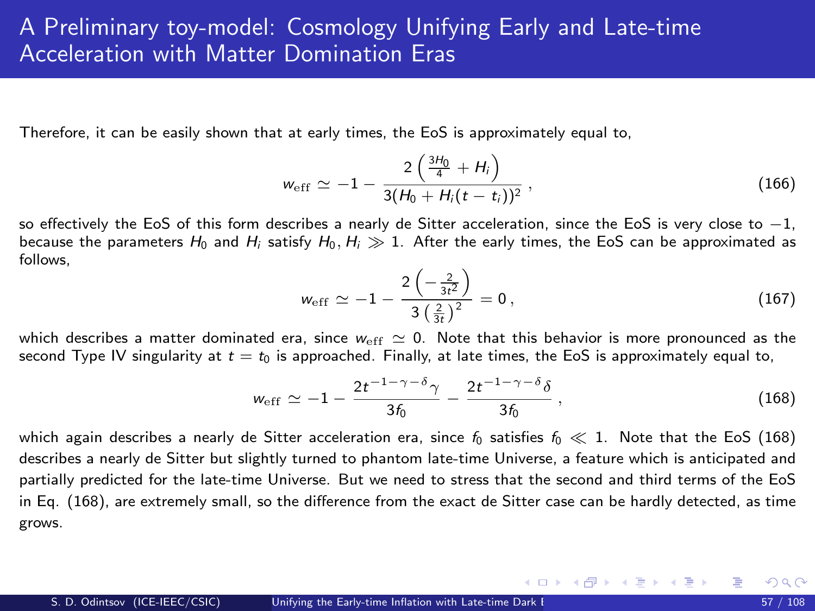<span id="page-56-1"></span>Therefore, it can be easily shown that at early times, the EoS is approximately equal to,

$$
w_{\rm eff} \simeq -1 - \frac{2\left(\frac{3H_0}{4} + H_i\right)}{3(H_0 + H_i(t - t_i))^2},
$$
\n(166)

so effectively the EoS of this form describes a nearly de Sitter acceleration, since the EoS is very close to  $-1$ . because the parameters  $H_0$  and  $H_i$  satisfy  $H_0, H_i \gg 1$ . After the early times, the EoS can be approximated as follows,

$$
w_{\rm eff} \simeq -1 - \frac{2\left(-\frac{2}{3t^2}\right)}{3\left(\frac{2}{3t}\right)^2} = 0, \qquad (167)
$$

メロメ メ部 メメ きょうくきょう

which describes a matter dominated era, since  $w_{\text{eff}} \simeq 0$ . Note that this behavior is more pronounced as the second Type IV singularity at  $t = t_0$  is approached. Finally, at late times, the EoS is approximately equal to,

<span id="page-56-0"></span>
$$
w_{\rm eff} \simeq -1 - \frac{2t^{-1-\gamma-\delta}\gamma}{3\delta_0} - \frac{2t^{-1-\gamma-\delta}\delta}{3\delta_0} \,, \tag{168}
$$

which again describes a nearly de Sitter acceleration era, since  $f_0$  satisfies  $f_0 \ll 1$ . Note that the EoS [\(168\)](#page-56-0) describes a nearly de Sitter but slightly turned to phantom late-time Universe, a feature which is anticipated and partially predicted for the late-time Universe. But we need to stress that the second and third terms of the EoS in Eq. [\(168\)](#page-56-0), are extremely small, so the difference from the exact de Sitter case can be hardly detected, as time grows.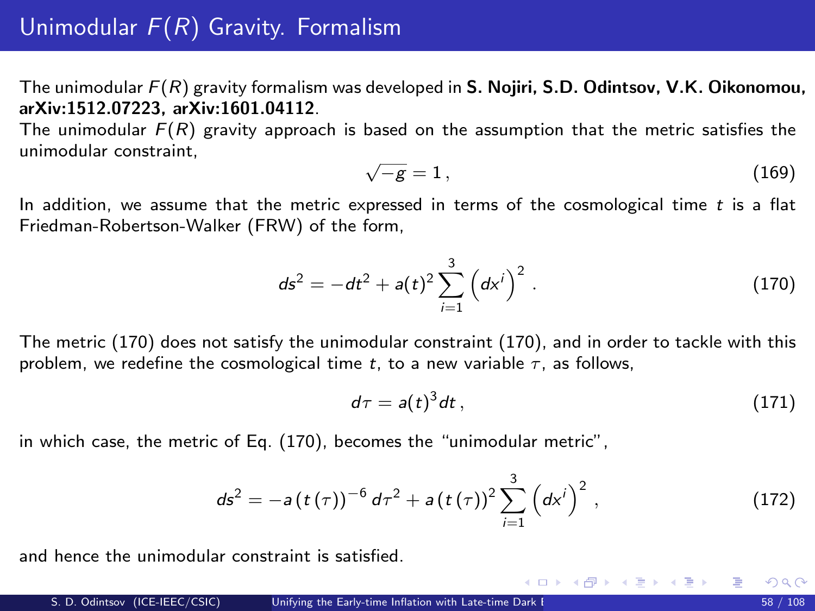<span id="page-57-2"></span>The unimodular  $F(R)$  gravity formalism was developed in S. Nojiri, S.D. Odintsov, V.K. Oikonomou, arXiv:1512.07223, arXiv:1601.04112.

The unimodular  $F(R)$  gravity approach is based on the assumption that the metric satisfies the unimodular constraint, √

<span id="page-57-1"></span>
$$
\sqrt{-g} = 1, \tag{169}
$$

In addition, we assume that the metric expressed in terms of the cosmological time  $t$  is a flat Friedman-Robertson-Walker (FRW) of the form,

$$
ds^{2} = -dt^{2} + a(t)^{2} \sum_{i=1}^{3} (dx^{i})^{2}
$$
 (170)

The metric [\(170\)](#page-33-0) does not satisfy the unimodular constraint [\(170\)](#page-33-0), and in order to tackle with this problem, we redefine the cosmological time t, to a new variable  $\tau$ , as follows,

$$
d\tau = a(t)^3 dt \,, \tag{171}
$$

メロメ メ都 メメ きょうくぼう

in which case, the metric of Eq. [\(170\)](#page-33-0), becomes the "unimodular metric",

<span id="page-57-0"></span>
$$
ds^{2} = -a(t(\tau))^{-6} d\tau^{2} + a(t(\tau))^{2} \sum_{i=1}^{3} (dx^{i})^{2}, \qquad (172)
$$

and hence the unimodular constraint is satisfied.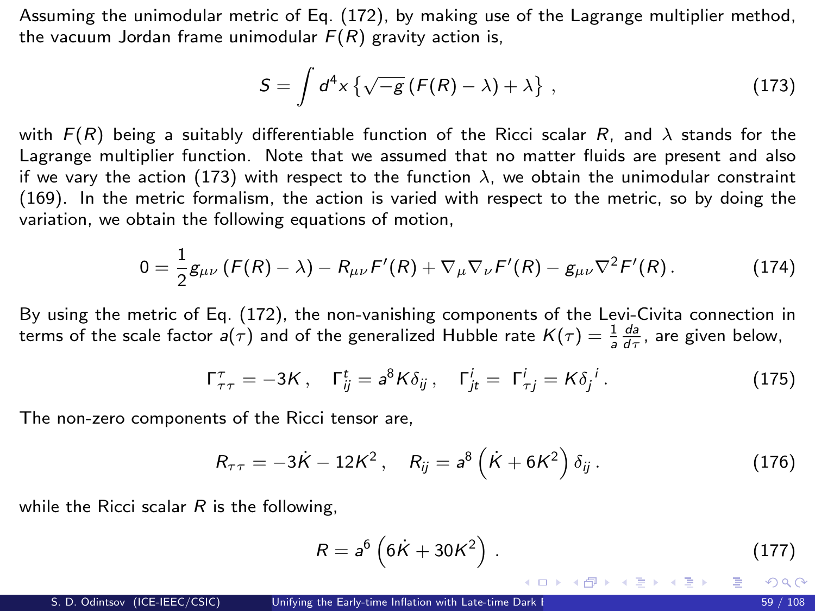Assuming the unimodular metric of Eq. [\(172\)](#page-57-0), by making use of the Lagrange multiplier method, the vacuum Jordan frame unimodular  $F(R)$  gravity action is,

<span id="page-58-0"></span>
$$
S = \int d^4x \left\{ \sqrt{-g} \left( F(R) - \lambda \right) + \lambda \right\} , \qquad (173)
$$

with  $F(R)$  being a suitably differentiable function of the Ricci scalar R, and  $\lambda$  stands for the Lagrange multiplier function. Note that we assumed that no matter fluids are present and also if we vary the action [\(173\)](#page-58-0) with respect to the function  $\lambda$ , we obtain the unimodular constraint [\(169\)](#page-57-1). In the metric formalism, the action is varied with respect to the metric, so by doing the variation, we obtain the following equations of motion,

$$
0 = \frac{1}{2}g_{\mu\nu}\left(F(R) - \lambda\right) - R_{\mu\nu}F'(R) + \nabla_{\mu}\nabla_{\nu}F'(R) - g_{\mu\nu}\nabla^2F'(R). \tag{174}
$$

By using the metric of Eq. [\(172\)](#page-57-0), the non-vanishing components of the Levi-Civita connection in terms of the scale factor  $a(\tau)$  and of the generalized Hubble rate  $K(\tau)=\frac{1}{a}\frac{da}{d\tau}$ , are given below,

$$
\Gamma^{\tau}_{\tau\tau} = -3K, \quad \Gamma^t_{ij} = a^8 K \delta_{ij}, \quad \Gamma^i_{jt} = \Gamma^i_{\tau j} = K \delta_j^i. \tag{175}
$$

The non-zero components of the Ricci tensor are,

$$
R_{\tau\tau} = -3\dot{K} - 12K^2, \quad R_{ij} = a^8 \left( \dot{K} + 6K^2 \right) \delta_{ij} \,. \tag{176}
$$

while the Ricci scalar  $R$  is the following.

<span id="page-58-1"></span>
$$
R = a^{6} \left( 6K + 30K^{2} \right).
$$
 (177)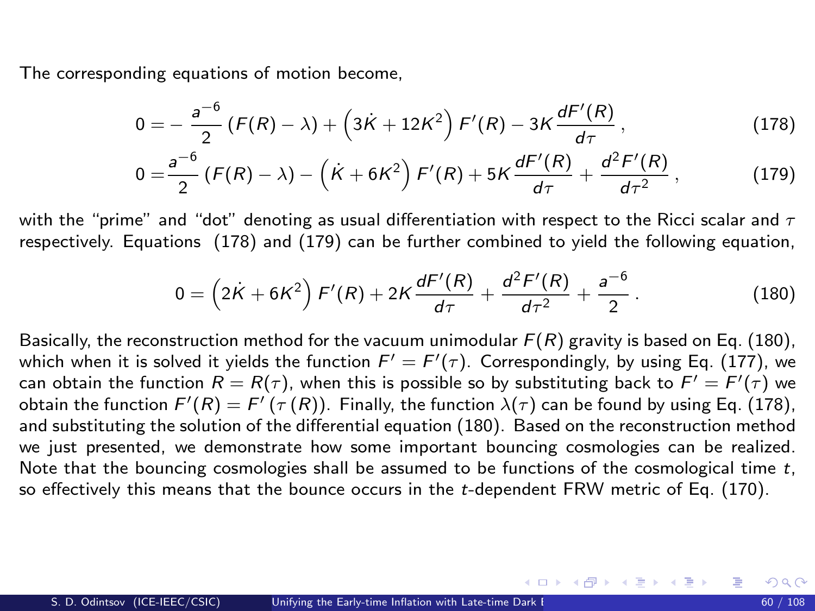<span id="page-59-3"></span>The corresponding equations of motion become.

$$
0 = -\frac{a^{-6}}{2} (F(R) - \lambda) + (3\dot{K} + 12K^2) F'(R) - 3K \frac{dF'(R)}{d\tau},
$$
\n(178)

<span id="page-59-1"></span><span id="page-59-0"></span>
$$
0 = \frac{a^{-6}}{2} \left( F(R) - \lambda \right) - \left( \dot{K} + 6K^2 \right) F'(R) + 5K \frac{dF'(R)}{d\tau} + \frac{d^2F'(R)}{d\tau^2}, \qquad (179)
$$

with the "prime" and "dot" denoting as usual differentiation with respect to the Ricci scalar and  $\tau$ respectively. Equations [\(178\)](#page-59-0) and [\(179\)](#page-59-1) can be further combined to yield the following equation,

<span id="page-59-2"></span>
$$
0 = \left(2\dot{K} + 6K^2\right)F'(R) + 2K\frac{dF'(R)}{d\tau} + \frac{d^2F'(R)}{d\tau^2} + \frac{a^{-6}}{2}.
$$
 (180)

Basically, the reconstruction method for the vacuum unimodular  $F(R)$  gravity is based on Eq. [\(180\)](#page-59-2), which when it is solved it yields the function  $F' = F'(\tau)$ . Correspondingly, by using Eq. [\(177\)](#page-58-1), we can obtain the function  $R = R(\tau)$ , when this is possible so by substituting back to  $F' = F'(\tau)$  we obtain the function  $F'(R) = F'(\tau(R))$ . Finally, the function  $\lambda(\tau)$  can be found by using Eq. [\(178\)](#page-59-0), and substituting the solution of the differential equation [\(180\)](#page-59-2). Based on the reconstruction method we just presented, we demonstrate how some important bouncing cosmologies can be realized. Note that the bouncing cosmologies shall be assumed to be functions of the cosmological time  $t$ , so effectively this means that the bounce occurs in the t-dependent FRW metric of Eq. [\(170\)](#page-33-0).

メロメ メ御き メミメ メミメー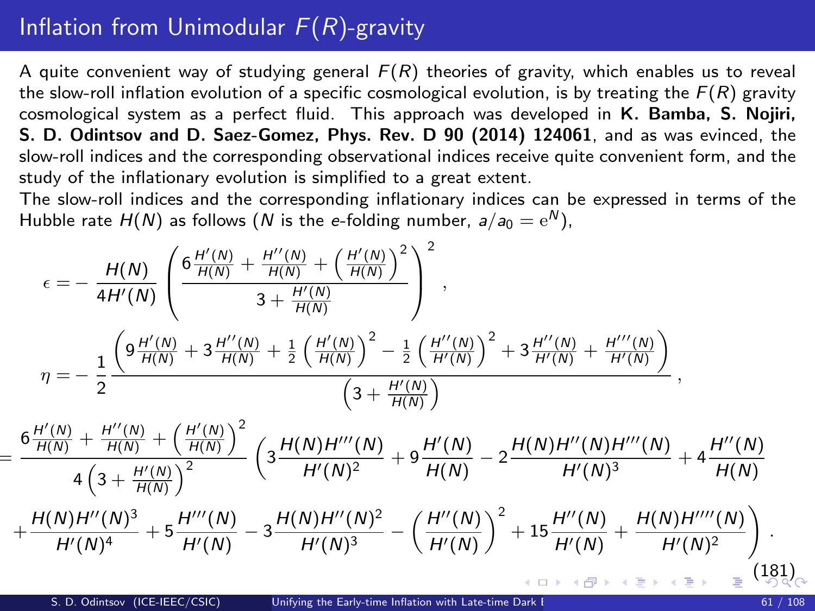# <span id="page-60-1"></span>Inflation from Unimodular  $F(R)$ -gravity

A quite convenient way of studying general  $F(R)$  theories of gravity, which enables us to reveal the slow-roll inflation evolution of a specific cosmological evolution, is by treating the  $F(R)$  gravity cosmological system as a perfect fluid. This approach was developed in K. Bamba, S. Nojiri, S. D. Odintsov and D. Saez-Gomez, Phys. Rev. D 90 (2014) 124061, and as was evinced, the slow-roll indices and the corresponding observational indices receive quite convenient form, and the study of the inflationary evolution is simplified to a great extent.

The slow-roll indices and the corresponding inflationary indices can be expressed in terms of the Hubble rate  $H(N)$  as follows ( $N$  is the  $e$ -folding number,  $a/a_0 = \mathrm{e}^N$ ),

<span id="page-60-0"></span>
$$
\epsilon = -\frac{H(N)}{4H'(N)} \left( \frac{6 \frac{H'(N)}{H(N)} + \frac{H''(N)}{H(N)} + \left(\frac{H'(N)}{H(N)}\right)^2}{3 + \frac{H'(N)}{H(N)}} \right)^2,
$$
  

$$
\eta = -\frac{1}{2} \frac{\left(9 \frac{H'(N)}{H(N)} + 3 \frac{H''(N)}{H(N)} + \frac{1}{2} \left(\frac{H'(N)}{H(N)}\right)^2 - \frac{1}{2} \left(\frac{H''(N)}{H'(N)}\right)^2 + 3 \frac{H''(N)}{H'(N)} + \frac{H'''(N)}{H'(N)}\right)}{\left(3 + \frac{H'(N)}{H(N)}\right)},
$$

$$
=\frac{6\frac{H'(N)}{H(N)}+\frac{H''(N)}{H(N)}+\left(\frac{H'(N)}{H(N)}\right)^2}{4\left(3+\frac{H'(N)}{H(N)}\right)^2}\left(3\frac{H(N)H'''(N)}{H'(N)^2}+9\frac{H'(N)}{H(N)}-2\frac{H(N)H''(N)H'''(N)}{H'(N)^3}+4\frac{H''(N)}{H(N)}\\+\frac{H(N)H'''(N)^3}{H'(N)^4}+5\frac{H'''(N)}{H'(N)}-3\frac{H(N)H'''(N)^2}{H'(N)^3}-\left(\frac{H''(N)}{H'(N)}\right)^2+15\frac{H''(N)}{H'(N)}+\frac{H(N)H''''(N)}{H'(N)^2}\right).
$$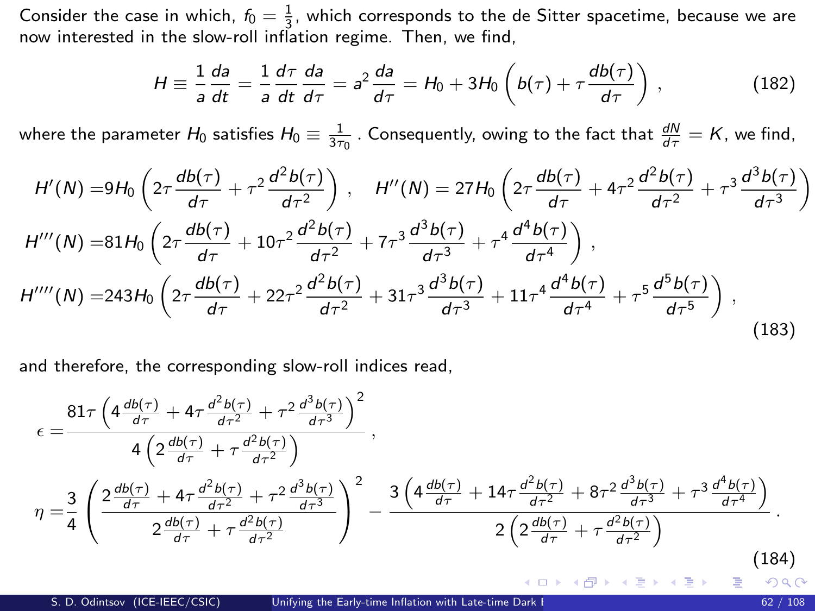Consider the case in which,  $f_0 = \frac{1}{3}$ , which corresponds to the de Sitter spacetime, because we are now interested in the slow-roll inflation regime. Then, we find,

$$
H \equiv \frac{1}{a}\frac{da}{dt} = \frac{1}{a}\frac{d\tau}{dt}\frac{da}{d\tau} = a^2\frac{da}{d\tau} = H_0 + 3H_0\left(b(\tau) + \tau\frac{db(\tau)}{d\tau}\right),
$$
 (182)

where the parameter  $H_0$  satisfies  $H_0\equiv \frac{1}{3\tau_0}$  . Consequently, owing to the fact that  $\frac{dN}{d\tau}=K$ , we find,

$$
H'(N) = 9H_0 \left(2\tau \frac{db(\tau)}{d\tau} + \tau^2 \frac{d^2b(\tau)}{d\tau^2}\right), \quad H''(N) = 27H_0 \left(2\tau \frac{db(\tau)}{d\tau} + 4\tau^2 \frac{d^2b(\tau)}{d\tau^2} + \tau^3 \frac{d^3b(\tau)}{d\tau^3}\right)
$$
  
\n
$$
H'''(N) = 81H_0 \left(2\tau \frac{db(\tau)}{d\tau} + 10\tau^2 \frac{d^2b(\tau)}{d\tau^2} + 7\tau^3 \frac{d^3b(\tau)}{d\tau^3} + \tau^4 \frac{d^4b(\tau)}{d\tau^4}\right),
$$
  
\n
$$
H''''(N) = 243H_0 \left(2\tau \frac{db(\tau)}{d\tau} + 22\tau^2 \frac{d^2b(\tau)}{d\tau^2} + 31\tau^3 \frac{d^3b(\tau)}{d\tau^3} + 11\tau^4 \frac{d^4b(\tau)}{d\tau^4} + \tau^5 \frac{d^5b(\tau)}{d\tau^5}\right),
$$
\n(183)

and therefore, the corresponding slow-roll indices read,

$$
\epsilon = \frac{81\tau \left(4\frac{db(\tau)}{d\tau} + 4\tau \frac{d^2b(\tau)}{d\tau^2} + \tau^2 \frac{d^3b(\tau)}{d\tau^3}\right)^2}{4\left(2\frac{db(\tau)}{d\tau} + \tau \frac{d^2b(\tau)}{d\tau^2}\right)},
$$
\n
$$
\eta = \frac{3}{4} \left(\frac{2\frac{db(\tau)}{d\tau} + 4\tau \frac{d^2b(\tau)}{d\tau^2} + \tau^2 \frac{d^3b(\tau)}{d\tau^3}}{2\frac{db(\tau)}{d\tau} + \tau \frac{d^2b(\tau)}{d\tau^2}}\right)^2 - \frac{3\left(4\frac{db(\tau)}{d\tau} + 14\tau \frac{d^2b(\tau)}{d\tau^2} + 8\tau^2 \frac{d^3b(\tau)}{d\tau^3} + \tau^3 \frac{d^4b(\tau)}{d\tau^4}\right)}{2\left(2\frac{db(\tau)}{d\tau} + \tau \frac{d^2b(\tau)}{d\tau^2}\right)}.
$$
\n(184)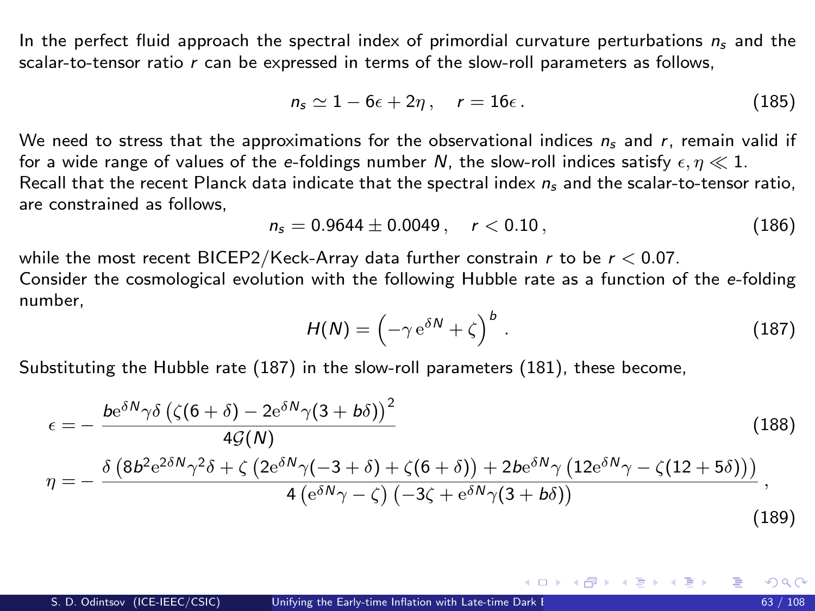<span id="page-62-1"></span>In the perfect fluid approach the spectral index of primordial curvature perturbations  $n_s$  and the scalar-to-tensor ratio r can be expressed in terms of the slow-roll parameters as follows,

$$
n_s \simeq 1 - 6\epsilon + 2\eta \,, \quad r = 16\epsilon \,. \tag{185}
$$

We need to stress that the approximations for the observational indices  $n_s$  and r, remain valid if for a wide range of values of the e-foldings number N, the slow-roll indices satisfy  $\epsilon, \eta \ll 1$ . Recall that the recent Planck data indicate that the spectral index  $n_s$  and the scalar-to-tensor ratio, are constrained as follows,

$$
n_s = 0.9644 \pm 0.0049 \,, \quad r < 0.10 \,, \tag{186}
$$

while the most recent BICEP2/Keck-Array data further constrain r to be  $r < 0.07$ . Consider the cosmological evolution with the following Hubble rate as a function of the e-folding

number,

<span id="page-62-0"></span>
$$
H(N) = \left(-\gamma e^{\delta N} + \zeta\right)^b. \tag{187}
$$

メロメ メ都 メメ 君 メメ ヨメ

Substituting the Hubble rate [\(187\)](#page-62-0) in the slow-roll parameters [\(181\)](#page-60-0), these become,

<span id="page-62-3"></span><span id="page-62-2"></span>
$$
\epsilon = -\frac{be^{\delta N} \gamma \delta \left( \zeta (6+\delta) - 2e^{\delta N} \gamma (3+b\delta) \right)^2}{4 \mathcal{G}(N)} \tag{188}
$$
\n
$$
\eta = -\frac{\delta \left( 8b^2 e^{2\delta N} \gamma^2 \delta + \zeta \left( 2e^{\delta N} \gamma (-3+\delta) + \zeta (6+\delta) \right) + 2be^{\delta N} \gamma \left( 12e^{\delta N} \gamma - \zeta (12+5\delta) \right) \right)}{4 \left( e^{\delta N} \gamma - \zeta \right) \left( -3\zeta + e^{\delta N} \gamma (3+b\delta) \right)}, \tag{189}
$$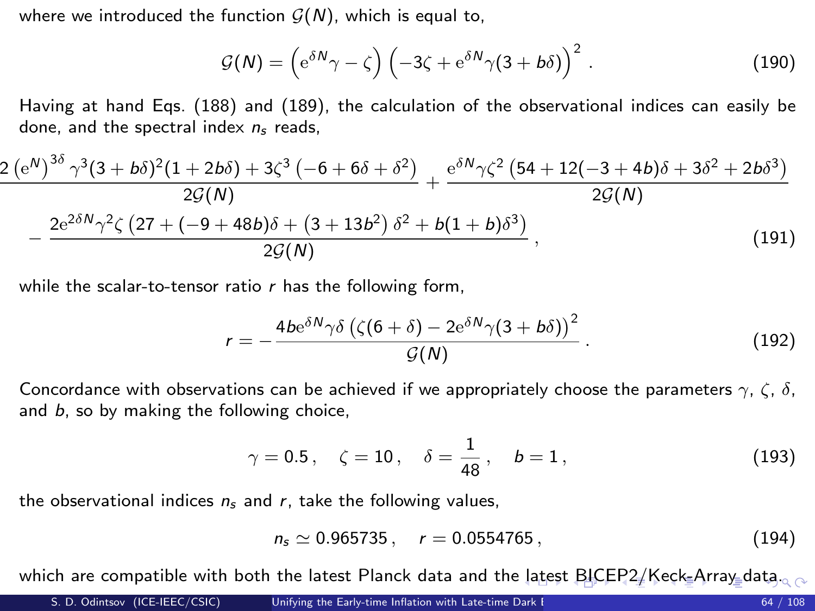<span id="page-63-0"></span>where we introduced the function  $G(N)$ , which is equal to,

$$
\mathcal{G}(N) = \left(e^{\delta N}\gamma - \zeta\right) \left(-3\zeta + e^{\delta N}\gamma(3 + b\delta)\right)^2.
$$
 (190)

Having at hand Eqs. [\(188\)](#page-62-2) and [\(189\)](#page-62-3), the calculation of the observational indices can easily be done, and the spectral index  $n_s$  reads,

$$
\frac{2\left(e^{N}\right)^{3\delta}\gamma^{3}(3+b\delta)^{2}(1+2b\delta)+3\zeta^{3}\left(-6+6\delta+\delta^{2}\right)}{2\mathcal{G}(N)}+\frac{e^{\delta N}\gamma\zeta^{2}\left(54+12(-3+4b)\delta+3\delta^{2}+2b\delta^{3}\right)}{2\mathcal{G}(N)}-\frac{2e^{2\delta N}\gamma^{2}\zeta\left(27+(-9+48b)\delta+(3+13b^{2})\delta^{2}+b(1+b)\delta^{3}\right)}{2\mathcal{G}(N)},
$$
\n(191)

while the scalar-to-tensor ratio  $r$  has the following form,

$$
r = -\frac{4be^{\delta N} \gamma \delta \left( \zeta (6+\delta) - 2e^{\delta N} \gamma (3+b\delta) \right)^2}{\mathcal{G}(N)} \,. \tag{192}
$$

Concordance with observations can be achieved if we appropriately choose the parameters  $\gamma$ ,  $\zeta$ ,  $\delta$ , and b, so by making the following choice,

$$
\gamma = 0.5
$$
,  $\zeta = 10$ ,  $\delta = \frac{1}{48}$ ,  $b = 1$ , (193)

the observational indices  $n_s$  and r, take the following values,

$$
n_s \simeq 0.965735 \,, \quad r = 0.0554765 \,, \tag{194}
$$

which are compatible with both the [la](#page-62-1)t[est](#page-64-0) Planck data and the latest [BIC](#page-63-0)[E](#page-64-0)[P](#page-59-3)[2](#page-60-1)[/](#page-64-0)[Ke](#page-65-0)[c](#page-56-1)[k](#page-57-2)=A[r](#page-65-0)[ray](#page-0-0)=data...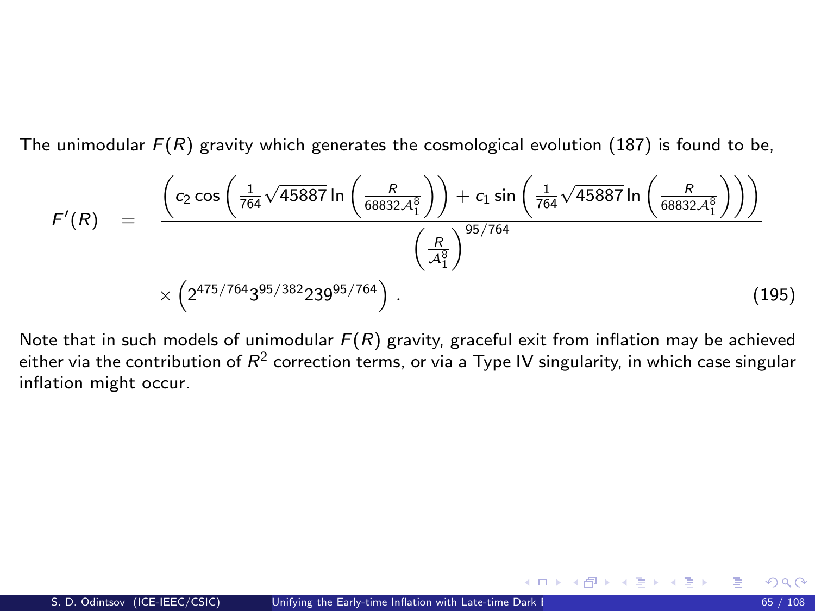<span id="page-64-0"></span>The unimodular  $F(R)$  gravity which generates the cosmological evolution [\(187\)](#page-62-0) is found to be,

$$
F'(R) = \frac{\left(c_2 \cos\left(\frac{1}{764}\sqrt{45887} \ln\left(\frac{R}{68832A_1^8}\right)\right) + c_1 \sin\left(\frac{1}{764}\sqrt{45887} \ln\left(\frac{R}{68832A_1^8}\right)\right)\right)}{\left(\frac{R}{A_1^8}\right)^{95/764}}
$$
\n
$$
\times \left(2^{475/764}3^{95/382}239^{95/764}\right). \tag{195}
$$

Note that in such models of unimodular  $F(R)$  gravity, graceful exit from inflation may be achieved either via the contribution of  $R^2$  correction terms, or via a Type IV singularity, in which case singular inflation might occur.

メロメ メ都 メメ きょうぼうし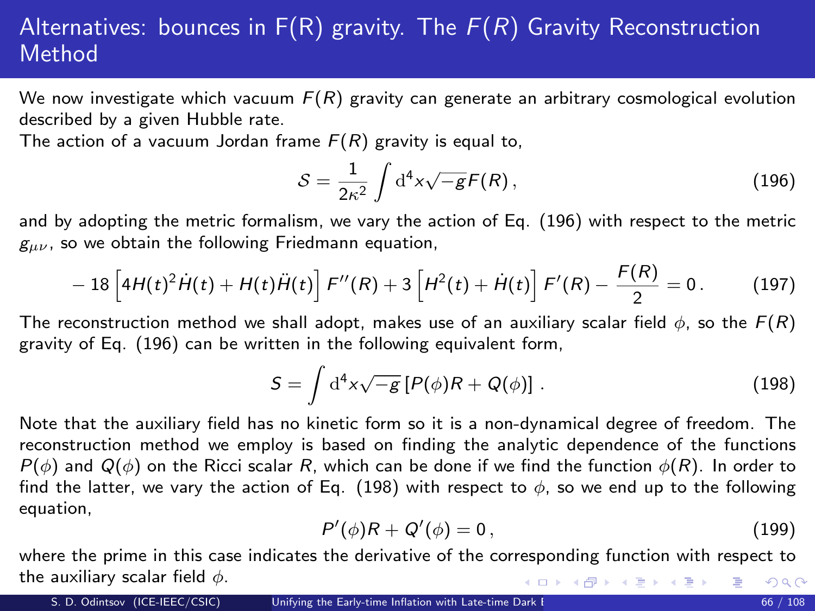# <span id="page-65-0"></span>Alternatives: bounces in  $F(R)$  gravity. The  $F(R)$  Gravity Reconstruction **Method**

We now investigate which vacuum  $F(R)$  gravity can generate an arbitrary cosmological evolution described by a given Hubble rate.

The action of a vacuum Jordan frame  $F(R)$  gravity is equal to,

$$
S = \frac{1}{2\kappa^2} \int \mathrm{d}^4 x \sqrt{-g} F(R) \,, \tag{196}
$$

and by adopting the metric formalism, we vary the action of Eq. [\(196\)](#page-40-0) with respect to the metric  $g_{\mu\nu}$ , so we obtain the following Friedmann equation,

$$
- 18 \left[ 4H(t)^2 \dot{H}(t) + H(t) \ddot{H}(t) \right] F''(R) + 3 \left[ H^2(t) + \dot{H}(t) \right] F'(R) - \frac{F(R)}{2} = 0. \tag{197}
$$

The reconstruction method we shall adopt, makes use of an auxiliary scalar field  $\phi$ , so the  $F(R)$ gravity of Eq. [\(196\)](#page-40-0) can be written in the following equivalent form,

$$
S = \int d^4x \sqrt{-g} \left[ P(\phi)R + Q(\phi) \right]. \tag{198}
$$

Note that the auxiliary field has no kinetic form so it is a non-dynamical degree of freedom. The reconstruction method we employ is based on finding the analytic dependence of the functions  $P(\phi)$  and  $Q(\phi)$  on the Ricci scalar R, which can be done if we find the function  $\phi(R)$ . In order to find the latter, we vary the action of Eq. [\(198\)](#page-40-1) with respect to  $\phi$ , so we end up to the following equation,

$$
P'(\phi)R + Q'(\phi) = 0, \qquad (199)
$$

where the prime in this case indicates the derivative of the corresponding function with respect to the auxiliary scalar field  $\phi$ . K ロ > K dP > K 경 > K 경 > 시 경 +  $299$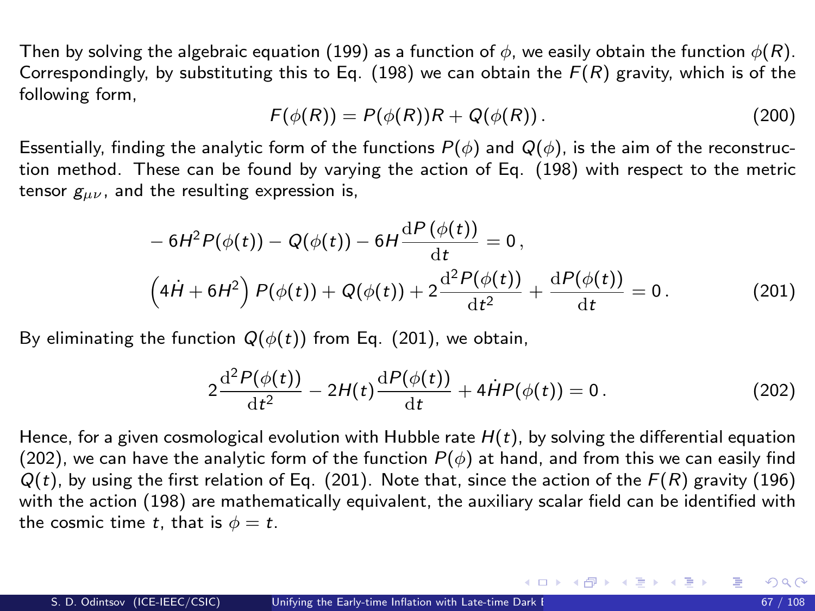Then by solving the algebraic equation [\(199\)](#page-40-2) as a function of  $\phi$ , we easily obtain the function  $\phi(R)$ . Correspondingly, by substituting this to Eq. [\(198\)](#page-40-1) we can obtain the  $F(R)$  gravity, which is of the following form,

$$
F(\phi(R)) = P(\phi(R))R + Q(\phi(R)). \qquad (200)
$$

Essentially, finding the analytic form of the functions  $P(\phi)$  and  $Q(\phi)$ , is the aim of the reconstruction method. These can be found by varying the action of Eq. [\(198\)](#page-40-1) with respect to the metric tensor  $g_{\mu\nu}$ , and the resulting expression is,

$$
- 6H2P(\phi(t)) - Q(\phi(t)) - 6H\frac{dP(\phi(t))}{dt} = 0,
$$
  

$$
(4H + 6H2) P(\phi(t)) + Q(\phi(t)) + 2\frac{d2P(\phi(t))}{dt2} + \frac{dP(\phi(t))}{dt} = 0.
$$
 (201)

By eliminating the function  $Q(\phi(t))$  from Eq. [\(201\)](#page-41-0), we obtain,

$$
2\frac{\mathrm{d}^2P(\phi(t))}{\mathrm{d}t^2} - 2H(t)\frac{\mathrm{d}P(\phi(t))}{\mathrm{d}t} + 4\dot{H}P(\phi(t)) = 0.
$$
 (202)

メロメ メ部 メメ きょうくきょう

Hence, for a given cosmological evolution with Hubble rate  $H(t)$ , by solving the differential equation [\(202\)](#page-41-1), we can have the analytic form of the function  $P(\phi)$  at hand, and from this we can easily find  $Q(t)$ , by using the first relation of Eq. [\(201\)](#page-41-0). Note that, since the action of the  $F(R)$  gravity [\(196\)](#page-40-0) with the action [\(198\)](#page-40-1) are mathematically equivalent, the auxiliary scalar field can be identified with the cosmic time t, that is  $\phi = t$ .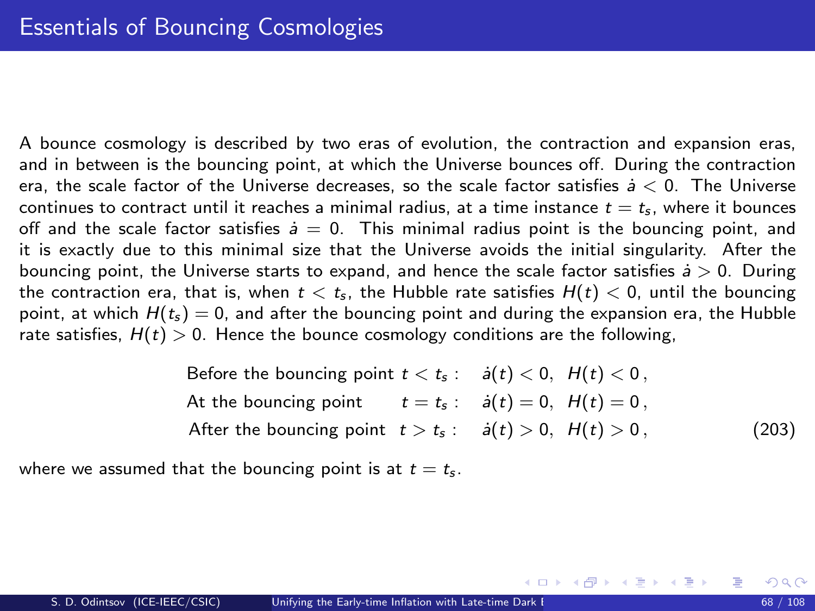<span id="page-67-1"></span>A bounce cosmology is described by two eras of evolution, the contraction and expansion eras, and in between is the bouncing point, at which the Universe bounces off. During the contraction era, the scale factor of the Universe decreases, so the scale factor satisfies  $\dot{a} < 0$ . The Universe continues to contract until it reaches a minimal radius, at a time instance  $t = t<sub>s</sub>$ , where it bounces off and the scale factor satisfies  $\dot{a} = 0$ . This minimal radius point is the bouncing point, and it is exactly due to this minimal size that the Universe avoids the initial singularity. After the bouncing point, the Universe starts to expand, and hence the scale factor satisfies  $\dot{a} > 0$ . During the contraction era, that is, when  $t < t<sub>s</sub>$ , the Hubble rate satisfies  $H(t) < 0$ , until the bouncing point, at which  $H(t_5) = 0$ , and after the bouncing point and during the expansion era, the Hubble rate satisfies,  $H(t) > 0$ . Hence the bounce cosmology conditions are the following,

> <span id="page-67-0"></span>Before the bouncing point  $t < t_s$ :  $\dot{a}(t) < 0$ ,  $H(t) < 0$ , At the bouncing point  $t = t_s : \dot{a}(t) = 0, H(t) = 0$ , After the bouncing point  $t > t_s$ :  $\dot{a}(t) > 0$ ,  $H(t) > 0$ , (203)

where we assumed that the bouncing point is at  $t = t_s$ .

G.

メロメ メ都 メメ きょうくぼ メー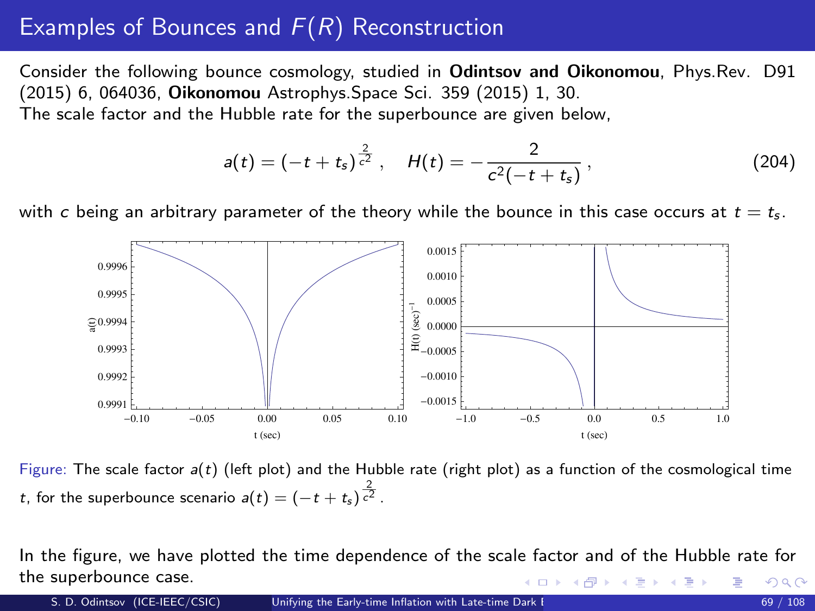# <span id="page-68-0"></span>Examples of Bounces and  $F(R)$  Reconstruction

Consider the following bounce cosmology, studied in Odintsov and Oikonomou, Phys.Rev. D91 (2015) 6, 064036, Oikonomou Astrophys.Space Sci. 359 (2015) 1, 30. The scale factor and the Hubble rate for the superbounce are given below,

$$
a(t) = \left(-t + t_s\right)^{\frac{2}{c^2}}, \quad H(t) = -\frac{2}{c^2\left(-t + t_s\right)},\tag{204}
$$

with c being an arbitrary parameter of the theory while the bounce in this case occurs at  $t = t_s$ .



Figure: The scale factor  $a(t)$  (left plot) and the Hubble rate (right plot) as a function of the cosmological time t, for the superbounce scenario  $a(t)=(-t+t_s)\frac{2}{c^2}$  .

In the figure, we have plotted the time dependence of the scale factor and of the Hubble rate for the superbounce case. K ロト K 御 ト K 君 ト K 君 ト つへへ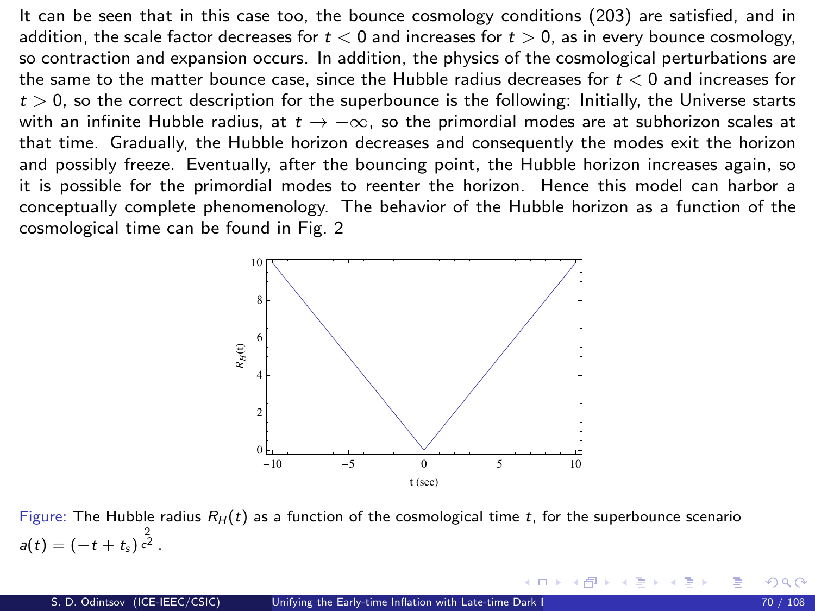It can be seen that in this case too, the bounce cosmology conditions [\(203\)](#page-67-0) are satisfied, and in addition, the scale factor decreases for  $t < 0$  and increases for  $t > 0$ , as in every bounce cosmology, so contraction and expansion occurs. In addition, the physics of the cosmological perturbations are the same to the matter bounce case, since the Hubble radius decreases for  $t < 0$  and increases for  $t > 0$ , so the correct description for the superbounce is the following: Initially, the Universe starts with an infinite Hubble radius, at  $t \to -\infty$ , so the primordial modes are at subhorizon scales at that time. Gradually, the Hubble horizon decreases and consequently the modes exit the horizon and possibly freeze. Eventually, after the bouncing point, the Hubble horizon increases again, so it is possible for the primordial modes to reenter the horizon. Hence this model can harbor a conceptually complete phenomenology. The behavior of the Hubble horizon as a function of the cosmological time can be found in Fig. [2](#page-69-0)



<span id="page-69-0"></span>Figure: The Hubble radius  $R_H(t)$  as a function of the cosmological time t, for the superbounce scenario  $a(t) = (-t + t_s)^{\frac{2}{c^2}}$ .

K ロ ▶ K 個 ▶ K ヨ ▶ K ヨ ▶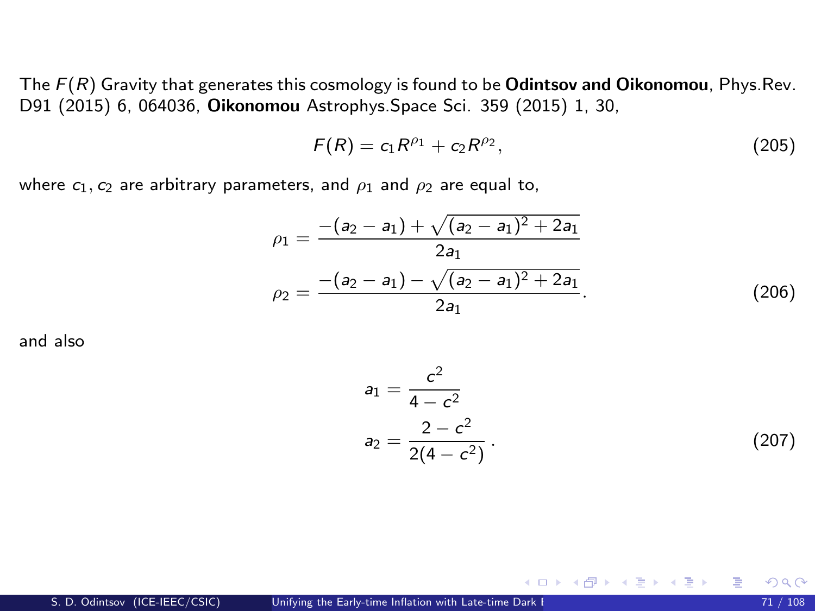<span id="page-70-0"></span>The  $F(R)$  Gravity that generates this cosmology is found to be **Odintsov and Oikonomou**, Phys.Rev. D91 (2015) 6, 064036, Oikonomou Astrophys.Space Sci. 359 (2015) 1, 30,

$$
F(R) = c_1 R^{\rho_1} + c_2 R^{\rho_2}, \qquad (205)
$$

where  $c_1$ ,  $c_2$  are arbitrary parameters, and  $\rho_1$  and  $\rho_2$  are equal to,

$$
\rho_1 = \frac{-(a_2 - a_1) + \sqrt{(a_2 - a_1)^2 + 2a_1}}{2a_1}
$$
  
\n
$$
\rho_2 = \frac{-(a_2 - a_1) - \sqrt{(a_2 - a_1)^2 + 2a_1}}{2a_1}.
$$
\n(206)

and also

$$
a_1 = \frac{c^2}{4 - c^2}
$$
  
\n
$$
a_2 = \frac{2 - c^2}{2(4 - c^2)}.
$$
\n(207)

メロメ メ御 メメ きょうくきょう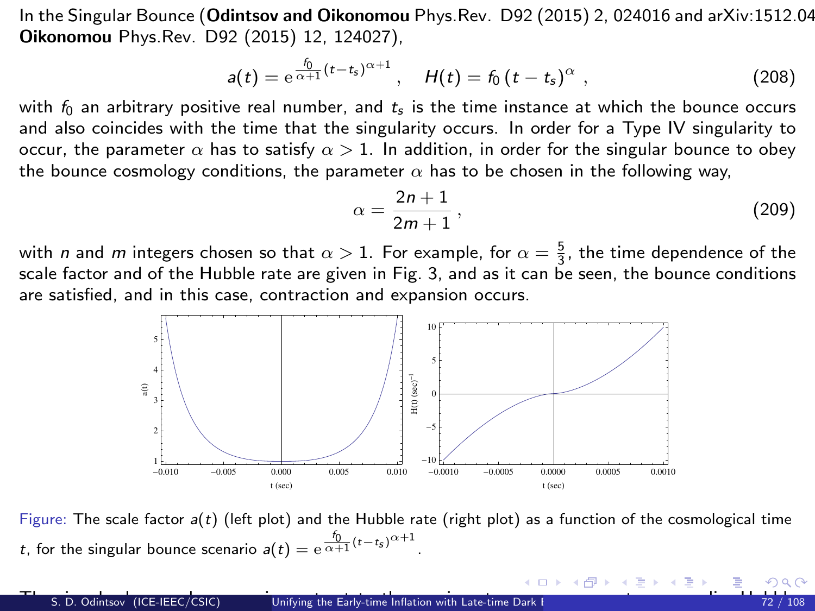<span id="page-71-0"></span>In the Singular Bounce (Odintsov and Oikonomou Phys. Rev. D92 (2015) 2, 024016 and arXiv: 1512.04 Oikonomou Phys.Rev. D92 (2015) 12, 124027),

$$
a(t) = e^{\frac{f_0}{\alpha+1}(t-t_s)^{\alpha+1}}, \quad H(t) = f_0(t-t_s)^{\alpha}, \qquad (208)
$$

with  $f_0$  an arbitrary positive real number, and  $t_s$  is the time instance at which the bounce occurs and also coincides with the time that the singularity occurs. In order for a Type IV singularity to occur, the parameter  $\alpha$  has to satisfy  $\alpha > 1$ . In addition, in order for the singular bounce to obey the bounce cosmology conditions, the parameter  $\alpha$  has to be chosen in the following way,

$$
\alpha = \frac{2n+1}{2m+1},\tag{209}
$$

メロト メ都 トメ ヨ トメ ヨト

 $\Omega$ 

with *n* and *m* integers chosen so that  $\alpha > 1$ . For example, for  $\alpha = \frac{5}{3}$ , the time dependence of the scale factor and of the Hubble rate are given in Fig. [3,](#page-71-1) and as it can be seen, the bounce conditions are satisfied, and in this case, contraction and expansion occurs.



<span id="page-71-2"></span><span id="page-71-1"></span>Figure: The scale factor  $a(t)$  (left plot) and the Hubble rate (right plot) as a function of the cosmological time t, for the singular bounce scenario  $a(t) = e^{\frac{f_0}{\alpha+1}(t-t_s)^{\alpha+1}}$ .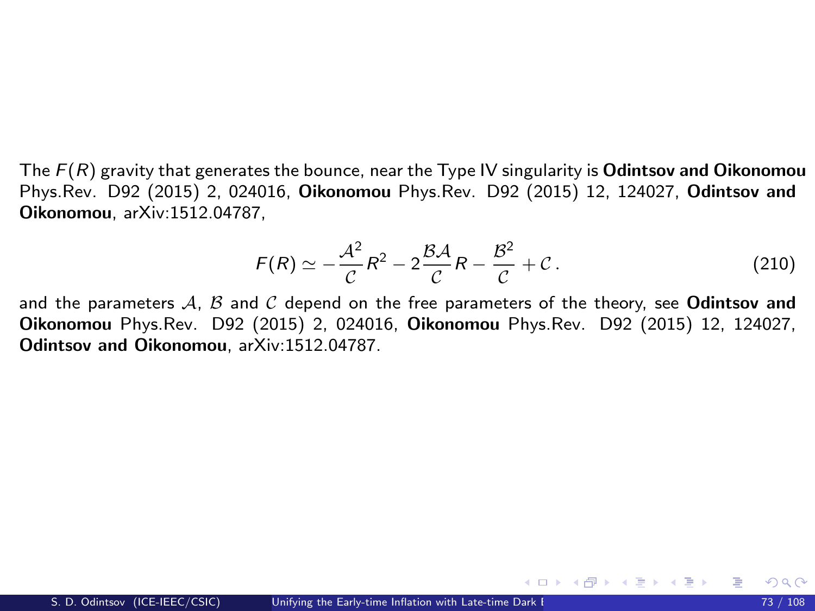The  $F(R)$  gravity that generates the bounce, near the Type IV singularity is **Odintsov and Oikonomou** Phys.Rev. D92 (2015) 2, 024016, Oikonomou Phys.Rev. D92 (2015) 12, 124027, Odintsov and Oikonomou, arXiv:1512.04787,

$$
F(R) \simeq -\frac{\mathcal{A}^2}{\mathcal{C}}R^2 - 2\frac{\mathcal{B}\mathcal{A}}{\mathcal{C}}R - \frac{\mathcal{B}^2}{\mathcal{C}} + \mathcal{C} \,. \tag{210}
$$

メロメ メ御き メミメ メミメー

and the parameters  $A$ ,  $B$  and  $C$  depend on the free parameters of the theory, see **Odintsov and** Oikonomou Phys.Rev. D92 (2015) 2, 024016, Oikonomou Phys.Rev. D92 (2015) 12, 124027, Odintsov and Oikonomou, arXiv:1512.04787.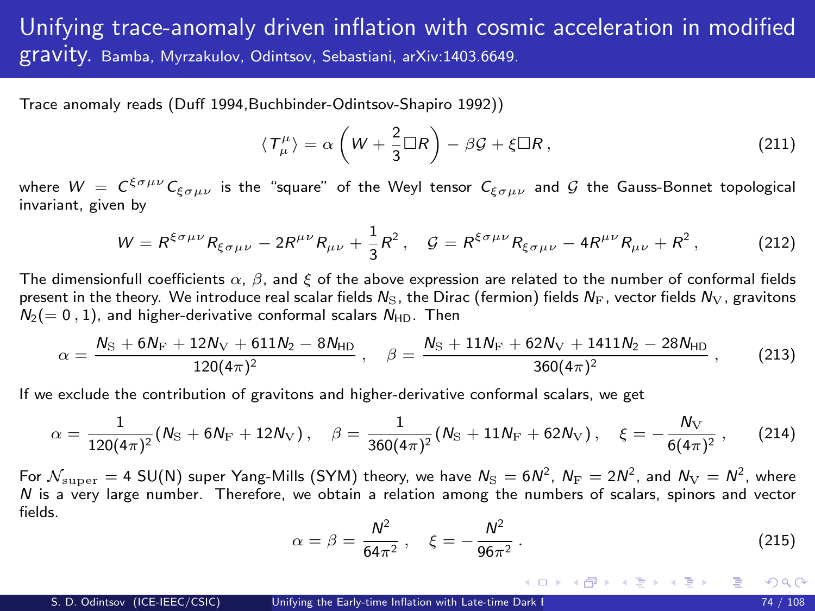## Unifying trace-anomaly driven inflation with cosmic acceleration in modified gravity. Bamba, Myrzakulov, Odintsov, Sebastiani, arXiv:1403.6649.

Trace anomaly reads (Duff 1994,Buchbinder-Odintsov-Shapiro 1992))

$$
\langle T^{\mu}_{\mu} \rangle = \alpha \left( W + \frac{2}{3} \Box R \right) - \beta \mathcal{G} + \xi \Box R, \qquad (211)
$$

where  $W~=~C^{\xi\sigma\mu\nu}$   $C_{\xi\sigma\mu\nu}$  is the "square" of the Weyl tensor  $C_{\xi\sigma\mu\nu}$  and  ${\cal G}$  the Gauss-Bonnet topological invariant, given by

$$
W = R^{\xi \sigma \mu \nu} R_{\xi \sigma \mu \nu} - 2R^{\mu \nu} R_{\mu \nu} + \frac{1}{3} R^2, \quad \mathcal{G} = R^{\xi \sigma \mu \nu} R_{\xi \sigma \mu \nu} - 4R^{\mu \nu} R_{\mu \nu} + R^2, \tag{212}
$$

The dimensionfull coefficients  $\alpha$ ,  $\beta$ , and  $\xi$  of the above expression are related to the number of conformal fields present in the theory. We introduce real scalar fields  $N_S$ , the Dirac (fermion) fields  $N_F$ , vector fields  $N_V$ , gravitons  $N_2(= 0, 1)$ , and higher-derivative conformal scalars  $N_{HD}$ . Then

$$
\alpha = \frac{N_{\rm S} + 6N_{\rm F} + 12N_{\rm V} + 611N_{\rm 2} - 8N_{\rm HD}}{120(4\pi)^2} \ , \quad \beta = \frac{N_{\rm S} + 11N_{\rm F} + 62N_{\rm V} + 1411N_{\rm 2} - 28N_{\rm HD}}{360(4\pi)^2} \ , \tag{213}
$$

If we exclude the contribution of gravitons and higher-derivative conformal scalars, we get

$$
\alpha = \frac{1}{120(4\pi)^2} (N_{\rm S} + 6N_{\rm F} + 12N_{\rm V}), \quad \beta = \frac{1}{360(4\pi)^2} (N_{\rm S} + 11N_{\rm F} + 62N_{\rm V}), \quad \xi = -\frac{N_{\rm V}}{6(4\pi)^2}, \tag{214}
$$

For  $\cal N_{\rm super}=$  4 SU(N) super Yang-Mills (SYM) theory, we have  $N_{\rm S}=6N^2$ ,  $N_{\rm F}=2N^2$ , and  $N_{\rm V}=N^2$ , where N is a very large number. Therefore, we obtain a relation among the numbers of scalars, spinors and vector fields.

$$
\alpha = \beta = \frac{N^2}{64\pi^2}, \quad \xi = -\frac{N^2}{96\pi^2} \,. \tag{215}
$$

<span id="page-73-0"></span>メロメ メ御き メミメ メミメー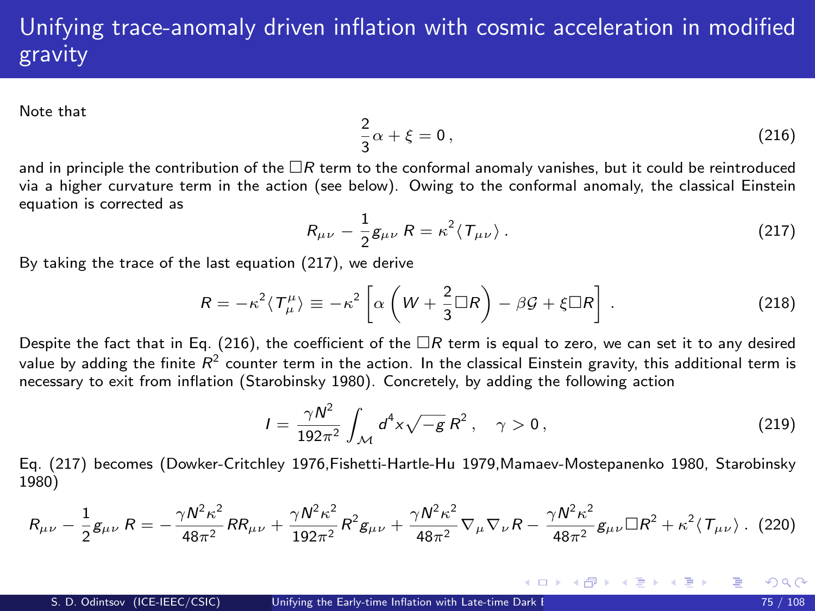## Unifying trace-anomaly driven inflation with cosmic acceleration in modified gravity

Note that

<span id="page-74-1"></span><span id="page-74-0"></span>
$$
\frac{2}{3}\alpha + \xi = 0, \qquad (216)
$$

and in principle the contribution of the  $\Box R$  term to the conformal anomaly vanishes, but it could be reintroduced via a higher curvature term in the action (see below). Owing to the conformal anomaly, the classical Einstein equation is corrected as

$$
R_{\mu\nu} - \frac{1}{2}g_{\mu\nu} R = \kappa^2 \langle T_{\mu\nu} \rangle. \tag{217}
$$

By taking the trace of the last equation [\(217\)](#page-74-0), we derive

$$
R = -\kappa^2 \langle T^{\mu}_{\mu} \rangle \equiv -\kappa^2 \left[ \alpha \left( W + \frac{2}{3} \Box R \right) - \beta \mathcal{G} + \xi \Box R \right] . \tag{218}
$$

Despite the fact that in Eq. [\(216\)](#page-74-1), the coefficient of the  $\Box R$  term is equal to zero, we can set it to any desired value by adding the finite  $R^2$  counter term in the action. In the classical Einstein gravity, this additional term is necessary to exit from inflation (Starobinsky 1980). Concretely, by adding the following action

$$
I = \frac{\gamma N^2}{192\pi^2} \int_{\mathcal{M}} d^4 x \sqrt{-g} R^2, \quad \gamma > 0,
$$
 (219)

<span id="page-74-2"></span>メロメ メ御き メミメ メミメ

Eq. [\(217\)](#page-74-0) becomes (Dowker-Critchley 1976,Fishetti-Hartle-Hu 1979,Mamaev-Mostepanenko 1980, Starobinsky 1980)

$$
R_{\mu\nu} - \frac{1}{2}g_{\mu\nu} R = -\frac{\gamma N^2 \kappa^2}{48\pi^2} R R_{\mu\nu} + \frac{\gamma N^2 \kappa^2}{192\pi^2} R^2 g_{\mu\nu} + \frac{\gamma N^2 \kappa^2}{48\pi^2} \nabla_\mu \nabla_\nu R - \frac{\gamma N^2 \kappa^2}{48\pi^2} g_{\mu\nu} \Box R^2 + \kappa^2 \langle T_{\mu\nu} \rangle. \tag{220}
$$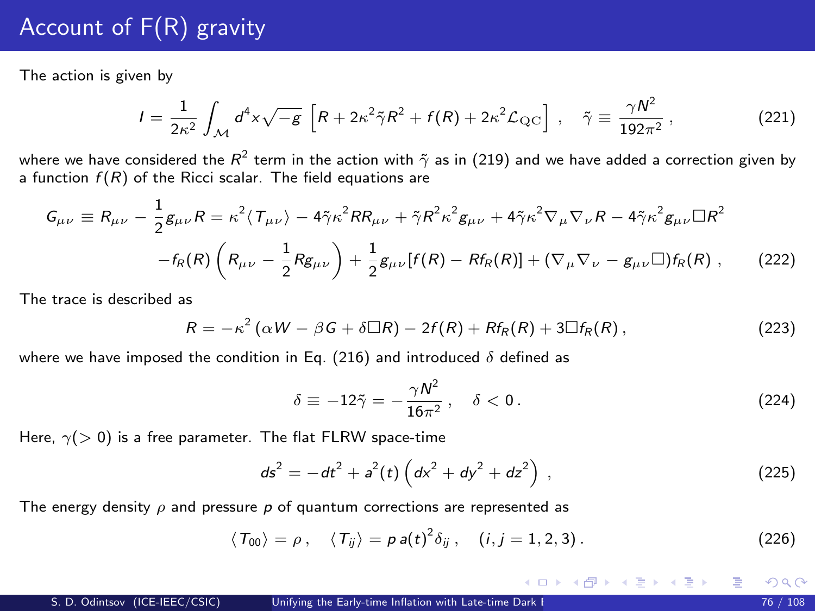## Account of F(R) gravity

The action is given by

$$
I = \frac{1}{2\kappa^2} \int_{\mathcal{M}} d^4x \sqrt{-g} \left[ R + 2\kappa^2 \tilde{\gamma} R^2 + f(R) + 2\kappa^2 \mathcal{L}_{\mathrm{QC}} \right], \quad \tilde{\gamma} \equiv \frac{\gamma N^2}{192\pi^2}, \tag{221}
$$

where we have considered the  $R^2$  term in the action with  $\tilde\gamma$  as in [\(219\)](#page-74-2) and we have added a correction given by a function  $f(R)$  of the Ricci scalar. The field equations are

$$
G_{\mu\nu} \equiv R_{\mu\nu} - \frac{1}{2}g_{\mu\nu}R = \kappa^2 \langle T_{\mu\nu} \rangle - 4\tilde{\gamma}\kappa^2 R R_{\mu\nu} + \tilde{\gamma}R^2 \kappa^2 g_{\mu\nu} + 4\tilde{\gamma}\kappa^2 \nabla_{\mu}\nabla_{\nu}R - 4\tilde{\gamma}\kappa^2 g_{\mu\nu}\Box R^2
$$

$$
-f_R(R)\left(R_{\mu\nu} - \frac{1}{2}Rg_{\mu\nu}\right) + \frac{1}{2}g_{\mu\nu}[f(R) - Rf_R(R)] + (\nabla_{\mu}\nabla_{\nu} - g_{\mu\nu}\Box)f_R(R) ,\qquad(222)
$$

The trace is described as

$$
R=-\kappa^2\left(\alpha W-\beta G+\delta \Box R\right)-2f(R)+Rf_R(R)+3\Box f_R(R)\,,\tag{223}
$$

where we have imposed the condition in Eq. [\(216\)](#page-74-1) and introduced  $\delta$  defined as

$$
\delta \equiv -12\tilde{\gamma} = -\frac{\gamma N^2}{16\pi^2}, \quad \delta < 0. \tag{224}
$$

<span id="page-75-1"></span><span id="page-75-0"></span>メロメ メ都 メメ きょうぼうし

Here,  $\gamma$ ( $>$  0) is a free parameter. The flat FLRW space-time

$$
ds^{2} = -dt^{2} + a^{2}(t)\left(dx^{2} + dy^{2} + dz^{2}\right),
$$
\n(225)

The energy density  $\rho$  and pressure p of quantum corrections are represented as

$$
\langle T_{00} \rangle = \rho \,, \quad \langle T_{ij} \rangle = \rho a(t)^2 \delta_{ij} \,, \quad (i, j = 1, 2, 3) \,.
$$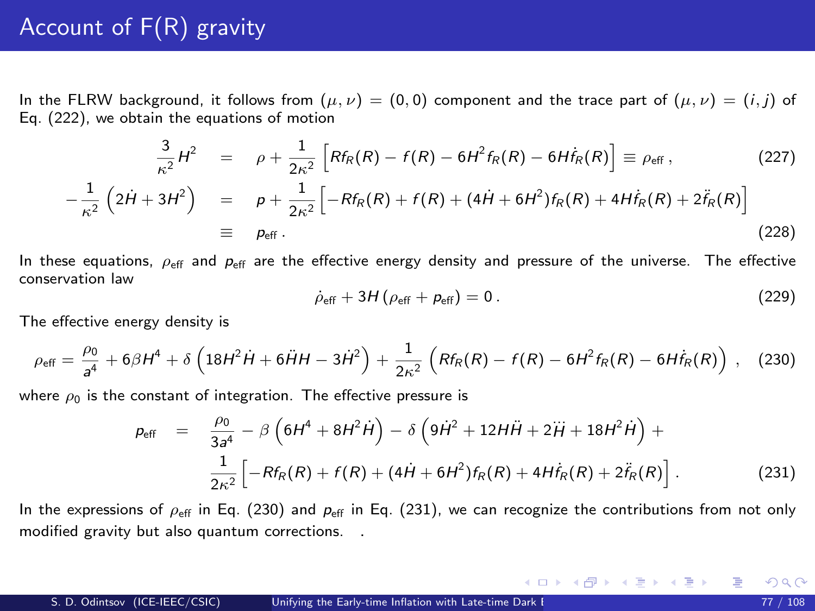# Account of F(R) gravity

In the FLRW background, it follows from  $(\mu, \nu) = (0, 0)$  component and the trace part of  $(\mu, \nu) = (i, j)$  of Eq. [\(222\)](#page-75-0), we obtain the equations of motion

$$
\frac{3}{\kappa^2}H^2 = \rho + \frac{1}{2\kappa^2} \left[ Rf_R(R) - f(R) - 6H^2f_R(R) - 6Hf_R(R) \right] \equiv \rho_{\text{eff}} ,
$$
\n
$$
(2H + 3H^2) = \rho + \frac{1}{2\kappa^2} \left[ -Rf_R(R) + f(R) + (4H + 6H^2)f_R(R) + 4Hf_R(R) + 2\ddot{f}_R(R) \right]
$$
\n
$$
\equiv \rho_{\text{eff}} .
$$
\n(228)

In these equations,  $\rho_{\rm eff}$  and  $p_{\rm eff}$  are the effective energy density and pressure of the universe. The effective conservation law

$$
\dot{\rho}_{\rm eff} + 3H(\rho_{\rm eff} + p_{\rm eff}) = 0. \tag{229}
$$

メロメ メ部 メメ きょうくきょう

The effective energy density is

 $-\frac{1}{2}$  $\kappa^2$ 

$$
\rho_{\rm eff} = \frac{\rho_0}{a^4} + 6\beta H^4 + \delta \left(18H^2\dot{H} + 6\ddot{H}H - 3\dot{H}^2\right) + \frac{1}{2\kappa^2} \left(Rf_R(R) - f(R) - 6H^2f_R(R) - 6H\dot{f}_R(R)\right), \quad (230)
$$

where  $\rho_0$  is the constant of integration. The effective pressure is

$$
p_{\text{eff}} = \frac{\rho_0}{3a^4} - \beta \left( 6H^4 + 8H^2\dot{H} \right) - \delta \left( 9\dot{H}^2 + 12H\ddot{H} + 2\ddot{H} + 18H^2\dot{H} \right) +
$$
  

$$
\frac{1}{2\kappa^2} \left[ -Rf_R(R) + f(R) + (4\dot{H} + 6H^2)f_R(R) + 4H\dot{f}_R(R) + 2\ddot{f}_R(R) \right].
$$
 (231)

In the expressions of  $\rho_{\text{eff}}$  in Eq. [\(230\)](#page-8-0) and  $\rho_{\text{eff}}$  in Eq. [\(231\)](#page-8-1), we can recognize the contributions from not only modified gravity but also quantum corrections. .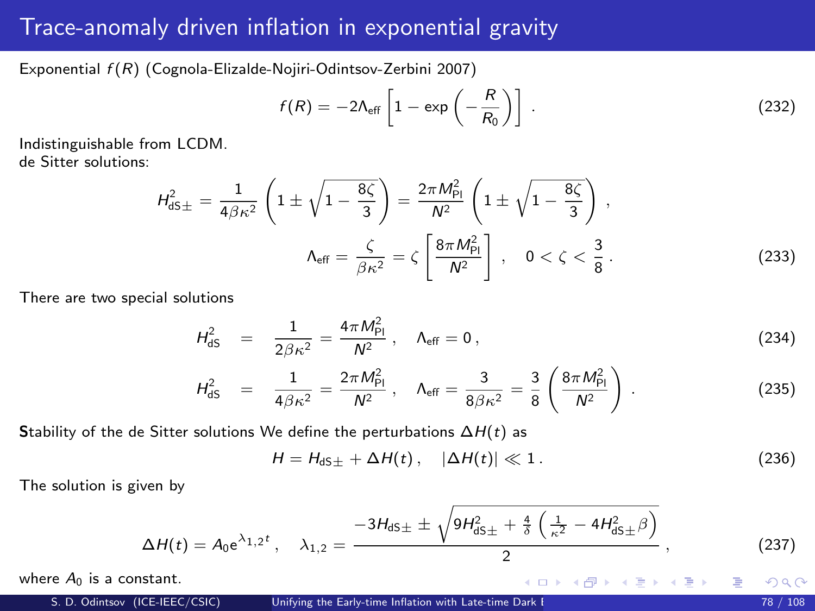Exponential  $f(R)$  (Cognola-Elizalde-Nojiri-Odintsov-Zerbini 2007)

<span id="page-77-0"></span>
$$
f(R) = -2\Lambda_{\text{eff}} \left[ 1 - \exp\left(-\frac{R}{R_0}\right) \right] \,. \tag{232}
$$

Indistinguishable from LCDM. de Sitter solutions:

$$
H_{\text{dS}\pm}^2 = \frac{1}{4\beta\kappa^2} \left( 1 \pm \sqrt{1 - \frac{8\zeta}{3}} \right) = \frac{2\pi M_{\text{Pl}}^2}{N^2} \left( 1 \pm \sqrt{1 - \frac{8\zeta}{3}} \right),
$$

$$
\Lambda_{\text{eff}} = \frac{\zeta}{\beta\kappa^2} = \zeta \left[ \frac{8\pi M_{\text{Pl}}^2}{N^2} \right], \quad 0 < \zeta < \frac{3}{8} \,. \tag{233}
$$

There are two special solutions

$$
H_{\text{dS}}^2 = \frac{1}{2\beta\kappa^2} = \frac{4\pi M_{\text{Pl}}^2}{N^2} , \quad \Lambda_{\text{eff}} = 0 ,
$$
 (234)

$$
H_{\text{dS}}^2 = \frac{1}{4\beta\kappa^2} = \frac{2\pi M_{\text{Pl}}^2}{N^2} \,, \quad \Lambda_{\text{eff}} = \frac{3}{8\beta\kappa^2} = \frac{3}{8} \left( \frac{8\pi M_{\text{Pl}}^2}{N^2} \right) \,.
$$
 (235)

Stability of the de Sitter solutions We define the perturbations  $\Delta H(t)$  as

$$
H = H_{dS\pm} + \Delta H(t), \quad |\Delta H(t)| \ll 1. \tag{236}
$$

<span id="page-77-2"></span>メロメ メ御き メミメ メミメ

The solution is given by

$$
\Delta H(t) = A_0 e^{\lambda_{1,2}t}, \quad \lambda_{1,2} = \frac{-3H_{dS\pm} \pm \sqrt{9H_{dS\pm}^2 + \frac{4}{\delta} \left(\frac{1}{\kappa^2} - 4H_{dS\pm}^2 \beta\right)}}{2}, \quad (237)
$$

where  $A_0$  is a constant.

<span id="page-77-1"></span> $2Q$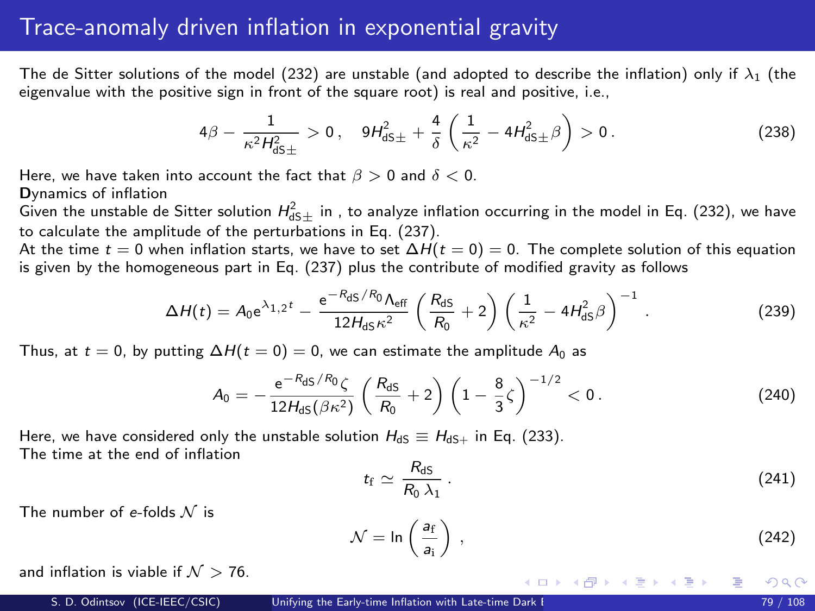The de Sitter solutions of the model [\(232\)](#page-77-0) are unstable (and adopted to describe the inflation) only if  $\lambda_1$  (the eigenvalue with the positive sign in front of the square root) is real and positive, i.e.,

$$
4\beta - \frac{1}{\kappa^2 H_{\text{dS}\pm}^2} > 0, \quad 9H_{\text{dS}\pm}^2 + \frac{4}{\delta} \left( \frac{1}{\kappa^2} - 4H_{\text{dS}\pm}^2 \beta \right) > 0. \tag{238}
$$

Here, we have taken into account the fact that  $\beta > 0$  and  $\delta < 0$ .

Dynamics of inflation

Given the unstable de Sitter solution  $H_{\text{dS}\pm}^2$  in , to analyze inflation occurring in the model in Eq. [\(232\)](#page-77-0), we have to calculate the amplitude of the perturbations in Eq. [\(237\)](#page-77-1).

At the time  $t = 0$  when inflation starts, we have to set  $\Delta H(t = 0) = 0$ . The complete solution of this equation is given by the homogeneous part in Eq. [\(237\)](#page-77-1) plus the contribute of modified gravity as follows

$$
\Delta H(t) = A_0 e^{\lambda_{1,2}t} - \frac{e^{-R_{dS}/R_0} \Lambda_{eff}}{12H_{dS}\kappa^2} \left(\frac{R_{dS}}{R_0} + 2\right) \left(\frac{1}{\kappa^2} - 4H_{dS}^2 \beta\right)^{-1}.
$$
 (239)

Thus, at  $t = 0$ , by putting  $\Delta H(t = 0) = 0$ , we can estimate the amplitude  $A_0$  as

$$
A_0 = -\frac{e^{-R_{\text{dS}}/R_0}\zeta}{12H_{\text{dS}}(\beta\kappa^2)}\left(\frac{R_{\text{dS}}}{R_0} + 2\right)\left(1 - \frac{8}{3}\zeta\right)^{-1/2} < 0. \tag{240}
$$

Here, we have considered only the unstable solution  $H_{dS} \equiv H_{dS+}$  in Eq. [\(233\)](#page-77-2). The time at the end of inflation

<span id="page-78-0"></span>
$$
t_{\rm f} \simeq \frac{R_{\rm dS}}{R_0 \,\lambda_1} \,. \tag{241}
$$

The number of e-folds  $\mathcal N$  is

$$
\mathcal{N} = \ln\left(\frac{a_f}{a_i}\right) \,,\tag{242}
$$

メロメ メ御き メミメ メミメ

and inflation is viable if  $\mathcal{N} > 76$ .

 $\Omega$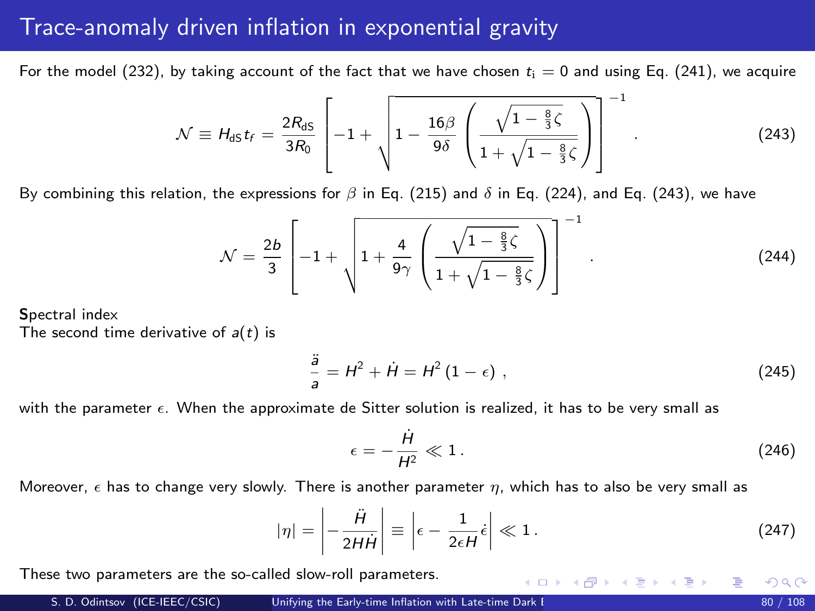<span id="page-79-0"></span>For the model [\(232\)](#page-77-0), by taking account of the fact that we have chosen  $t_i = 0$  and using Eq. [\(241\)](#page-78-0), we acquire

$$
\mathcal{N} \equiv H_{\text{dS}} t_f = \frac{2R_{\text{dS}}}{3R_0} \left[ -1 + \sqrt{1 - \frac{16\beta}{9\delta} \left( \frac{\sqrt{1 - \frac{8}{3}}\zeta}{1 + \sqrt{1 - \frac{8}{3}}\zeta} \right)} \right]^{-1} .
$$
 (243)

By combining this relation, the expressions for  $\beta$  in Eq. [\(215\)](#page-73-0) and  $\delta$  in Eq. [\(224\)](#page-75-1), and Eq. [\(243\)](#page-17-0), we have

$$
\mathcal{N} = \frac{2b}{3} \left[ -1 + \sqrt{1 + \frac{4}{9\gamma} \left( \frac{\sqrt{1 - \frac{8}{3}\zeta}}{1 + \sqrt{1 - \frac{8}{3}\zeta}} \right)} \right]^{-1}.
$$
 (244)

Spectral index

The second time derivative of  $a(t)$  is

$$
\frac{\ddot{a}}{a} = H^2 + \dot{H} = H^2 (1 - \epsilon) , \qquad (245)
$$

with the parameter  $\epsilon$ . When the approximate de Sitter solution is realized, it has to be very small as

<span id="page-79-1"></span>
$$
\epsilon = -\frac{\dot{H}}{H^2} \ll 1. \tag{246}
$$

イロト イ部 トイ君 トイ君 トー

Moreover,  $\epsilon$  has to change very slowly. There is another parameter  $\eta$ , which has to also be very small as

$$
|\eta| = \left| -\frac{\ddot{H}}{2H\dot{H}} \right| \equiv \left| \epsilon - \frac{1}{2\epsilon H} \dot{\epsilon} \right| \ll 1. \tag{247}
$$

These two parameters are the so-called slow-roll parameters.

 $\Omega$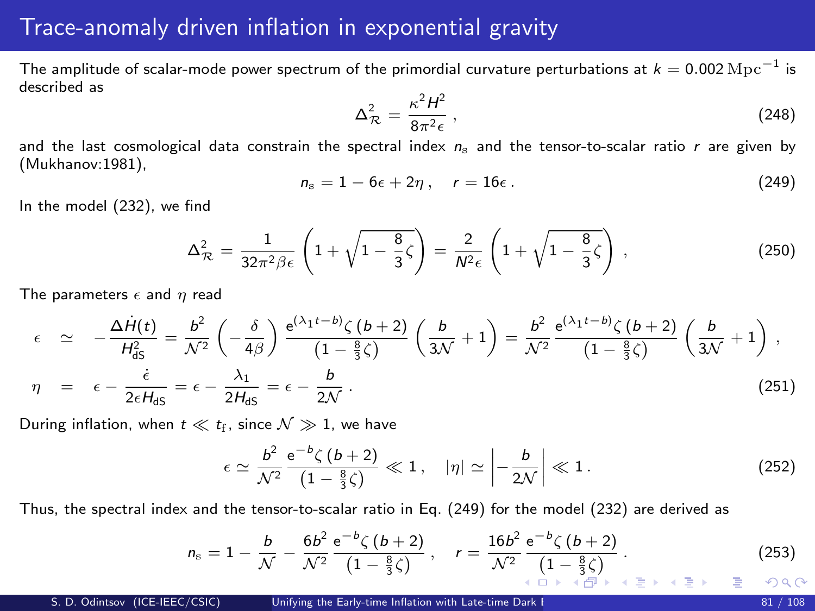<span id="page-80-0"></span>The amplitude of scalar-mode power spectrum of the primordial curvature perturbations at  $k=0.002\,{\rm Mpc}^{-1}$  is described as

<span id="page-80-1"></span>
$$
\Delta_{\mathcal{R}}^2 = \frac{\kappa^2 H^2}{8\pi^2 \epsilon} \,,\tag{248}
$$

and the last cosmological data constrain the spectral index  $n<sub>s</sub>$  and the tensor-to-scalar ratio r are given by (Mukhanov:1981),

$$
n_{\rm s}=1-6\epsilon+2\eta\ ,\quad r=16\epsilon\ . \tag{249}
$$

In the model [\(232\)](#page-77-0), we find

$$
\Delta_{\mathcal{R}}^2 = \frac{1}{32\pi^2\beta\epsilon} \left( 1 + \sqrt{1 - \frac{8}{3}\zeta} \right) = \frac{2}{N^2\epsilon} \left( 1 + \sqrt{1 - \frac{8}{3}\zeta} \right) ,\qquad (250)
$$

The parameters  $\epsilon$  and  $\eta$  read

$$
\epsilon \simeq -\frac{\Delta \dot{H}(t)}{H_{dS}^2} = \frac{b^2}{\mathcal{N}^2} \left( -\frac{\delta}{4\beta} \right) \frac{e^{(\lambda_1 t - b)} \zeta (b + 2)}{(1 - \frac{8}{3}\zeta)} \left( \frac{b}{3\mathcal{N}} + 1 \right) = \frac{b^2}{\mathcal{N}^2} \frac{e^{(\lambda_1 t - b)} \zeta (b + 2)}{(1 - \frac{8}{3}\zeta)} \left( \frac{b}{3\mathcal{N}} + 1 \right),
$$
  
\n
$$
\eta = \epsilon - \frac{\dot{\epsilon}}{2\epsilon H_{dS}} = \epsilon - \frac{\lambda_1}{2H_{dS}} = \epsilon - \frac{b}{2\mathcal{N}}.
$$
\n(251)

During inflation, when  $t \ll t_f$ , since  $\mathcal{N} \gg 1$ , we have

$$
\epsilon \simeq \frac{b^2}{\mathcal{N}^2} \frac{e^{-b} \zeta (b+2)}{\left(1 - \frac{8}{3} \zeta\right)} \ll 1, \quad |\eta| \simeq \left| -\frac{b}{2\mathcal{N}} \right| \ll 1. \tag{252}
$$

Thus, the spectral index and the tensor-to-scalar ratio in Eq. [\(249\)](#page-80-1) for the model [\(232\)](#page-77-0) are derived as

$$
n_{\rm s} = 1 - \frac{b}{\mathcal{N}} - \frac{6b^2}{\mathcal{N}^2} \frac{e^{-b} \zeta (b+2)}{(1 - \frac{8}{3}\zeta)}, \quad r = \frac{16b^2}{\mathcal{N}^2} \frac{e^{-b} \zeta (b+2)}{(1 - \frac{8}{3}\zeta)}.
$$
(253)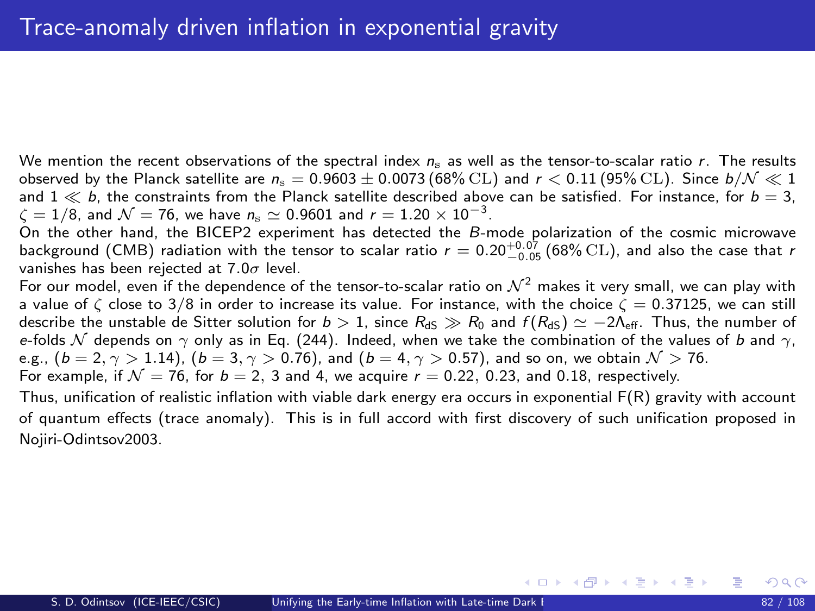<span id="page-81-0"></span>We mention the recent observations of the spectral index  $n_s$  as well as the tensor-to-scalar ratio r. The results observed by the Planck satellite are  $n_s = 0.9603 \pm 0.0073$  (68% CL) and  $r < 0.11$  (95% CL). Since  $b/N \ll 1$ and  $1 \ll b$ , the constraints from the Planck satellite described above can be satisfied. For instance, for  $b = 3$ ,  $\zeta = 1/8$ , and  $\mathcal{N} = 76$ , we have  $n_{\rm s} \simeq 0.9601$  and  $r = 1.20 \times 10^{-3}$ .

On the other hand, the BICEP2 experiment has detected the B-mode polarization of the cosmic microwave background (CMB) radiation with the tensor to scalar ratio  $r = 0.20^{+0.07}_{-0.05}$  (68% CL), and also the case that r vanishes has been rejected at  $7.0\sigma$  level.

For our model, even if the dependence of the tensor-to-scalar ratio on  $\mathcal{N}^2$  makes it very small, we can play with a value of  $\zeta$  close to 3/8 in order to increase its value. For instance, with the choice  $\zeta = 0.37125$ , we can still describe the unstable de Sitter solution for  $b > 1$ , since  $R_{dS} \gg R_0$  and  $f(R_{dS}) \simeq -2\Lambda_{eff}$ . Thus, the number of e-folds  $\mathcal N$  depends on  $\gamma$  only as in Eq. [\(244\)](#page-79-1). Indeed, when we take the combination of the values of b and  $\gamma$ , e.g.,  $(b = 2, \gamma > 1.14)$ ,  $(b = 3, \gamma > 0.76)$ , and  $(b = 4, \gamma > 0.57)$ , and so on, we obtain  $\mathcal{N} > 76$ . For example, if  $\mathcal{N} = 76$ , for  $b = 2$ , 3 and 4, we acquire  $r = 0.22$ , 0.23, and 0.18, respectively.

Thus, unification of realistic inflation with viable dark energy era occurs in exponential F(R) gravity with account of quantum effects (trace anomaly). This is in full accord with first discovery of such unification proposed in Nojiri-Odintsov2003.

メロメ メ都 メメ 君 メメ ヨメ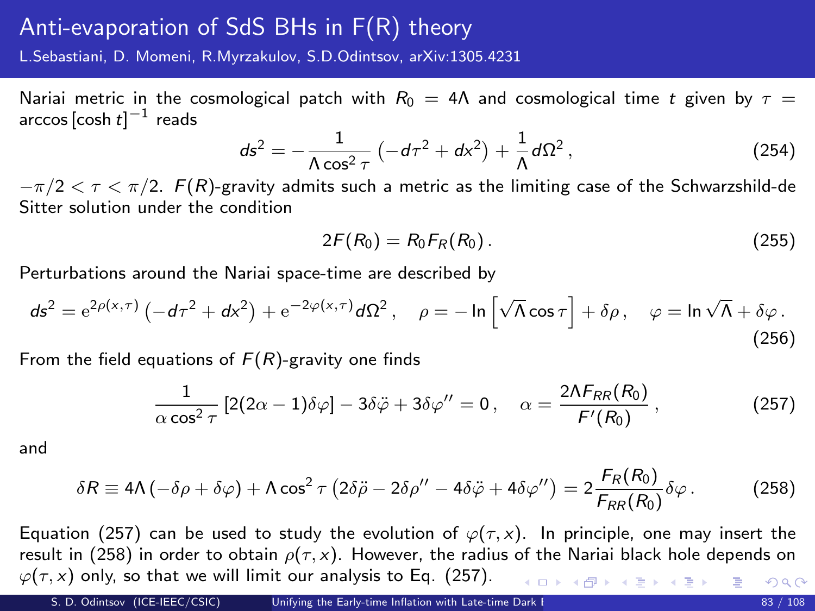## Anti-evaporation of SdS BHs in F(R) theory

L.Sebastiani, D. Momeni, R.Myrzakulov, S.D.Odintsov, arXiv:1305.4231

Nariai metric in the cosmological patch with  $R_0 = 4\Lambda$  and cosmological time t given by  $\tau =$ arccos [cosh  $t]^{\rm -1}$  reads

$$
ds^{2} = -\frac{1}{\Lambda \cos^{2} \tau} \left( -d\tau^{2} + dx^{2} \right) + \frac{1}{\Lambda} d\Omega^{2}, \qquad (254)
$$

 $-\pi/2 < \tau < \pi/2$ . F(R)-gravity admits such a metric as the limiting case of the Schwarzshild-de Sitter solution under the condition

<span id="page-82-1"></span><span id="page-82-0"></span>
$$
2F(R_0) = R_0 F_R(R_0).
$$
 (255)

Perturbations around the Nariai space-time are described by

$$
ds^{2} = e^{2\rho(x,\tau)} \left( -d\tau^{2} + dx^{2} \right) + e^{-2\varphi(x,\tau)} d\Omega^{2}, \quad \rho = -\ln\left[\sqrt{\Lambda}\cos\tau\right] + \delta\rho, \quad \varphi = \ln\sqrt{\Lambda} + \delta\varphi.
$$
\n(256)

From the field equations of  $F(R)$ -gravity one finds

$$
\frac{1}{\alpha \cos^2 \tau} \left[ 2(2\alpha - 1)\delta \varphi \right] - 3\delta \ddot{\varphi} + 3\delta \varphi'' = 0 \,, \quad \alpha = \frac{2\Lambda F_{RR}(R_0)}{F'(R_0)} \,, \tag{257}
$$

and

$$
\delta R \equiv 4\Lambda \left( -\delta \rho + \delta \varphi \right) + \Lambda \cos^2 \tau \left( 2\delta \ddot{\rho} - 2\delta \rho'' - 4\delta \ddot{\varphi} + 4\delta \varphi'' \right) = 2 \frac{F_R(R_0)}{F_{RR}(R_0)} \delta \varphi. \tag{258}
$$

Equation [\(257\)](#page-82-0) can be used to study the evolution of  $\varphi(\tau, x)$ . In principle, one may insert the result in [\(258\)](#page-82-1) in order to obtain  $\rho(\tau, x)$ . However, the radius of the Nariai black hole depends on  $\varphi(\tau, x)$  only, so that we will limit our analysis to Eq. [\(257\)](#page-82-0). K ロ ▶ K @ ▶ K 할 ▶ K 할 ▶ 이 할 → 9 Q @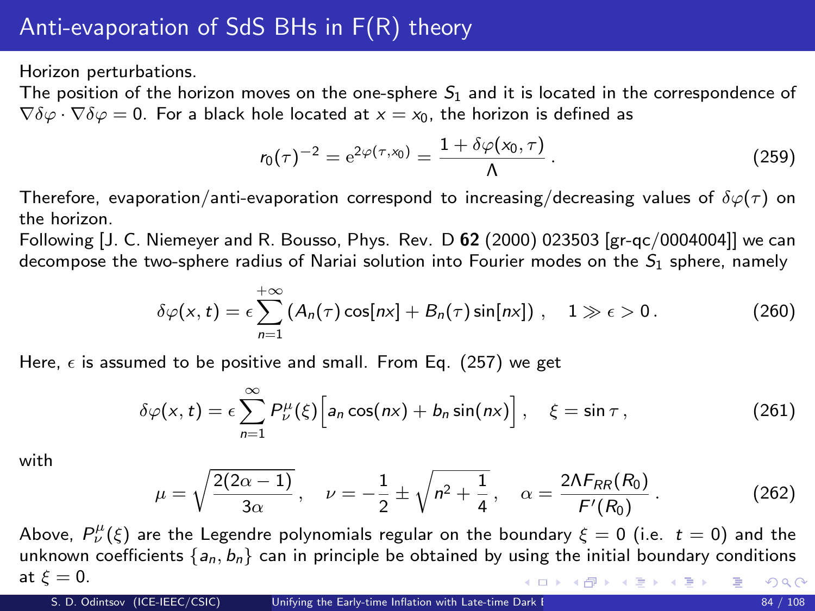Horizon perturbations.

The position of the horizon moves on the one-sphere  $S_1$  and it is located in the correspondence of  $\nabla \delta \varphi \cdot \nabla \delta \varphi = 0$ . For a black hole located at  $x = x_0$ , the horizon is defined as

$$
r_0(\tau)^{-2} = e^{2\varphi(\tau, x_0)} = \frac{1 + \delta\varphi(x_0, \tau)}{\Lambda}.
$$
 (259)

Therefore, evaporation/anti-evaporation correspond to increasing/decreasing values of  $\delta\varphi(\tau)$  on the horizon.

Following [J. C. Niemeyer and R. Bousso, Phys. Rev. D  $62$  (2000) 023503 [gr-qc/0004004]] we can decompose the two-sphere radius of Nariai solution into Fourier modes on the  $S_1$  sphere, namely

$$
\delta\varphi(x,t)=\epsilon\sum_{n=1}^{+\infty}\left(A_n(\tau)\cos[nx]+B_n(\tau)\sin[nx]\right),\quad 1\gg\epsilon>0.
$$
 (260)

Here,  $\epsilon$  is assumed to be positive and small. From Eq. [\(257\)](#page-82-0) we get

$$
\delta\varphi(x,t) = \epsilon \sum_{n=1}^{\infty} P^{\mu}_{\nu}(\xi) \Big[ a_n \cos(nx) + b_n \sin(nx) \Big], \quad \xi = \sin \tau , \qquad (261)
$$

with

$$
\mu = \sqrt{\frac{2(2\alpha - 1)}{3\alpha}}, \quad \nu = -\frac{1}{2} \pm \sqrt{n^2 + \frac{1}{4}}, \quad \alpha = \frac{2\Lambda F_{RR}(R_0)}{F'(R_0)}.
$$
 (262)

Above,  $P^{\mu}_{\nu}(\xi)$  are the Legendre polynomials regular on the boundary  $\xi=0$  (i.e.  $t=0)$  and the unknown coefficients  $\{a_n, b_n\}$  can in principle be obtained by using the initial boundary conditions at  $\xi = 0$ . イロト イ部 トイ ミト イモト 噴く  $299$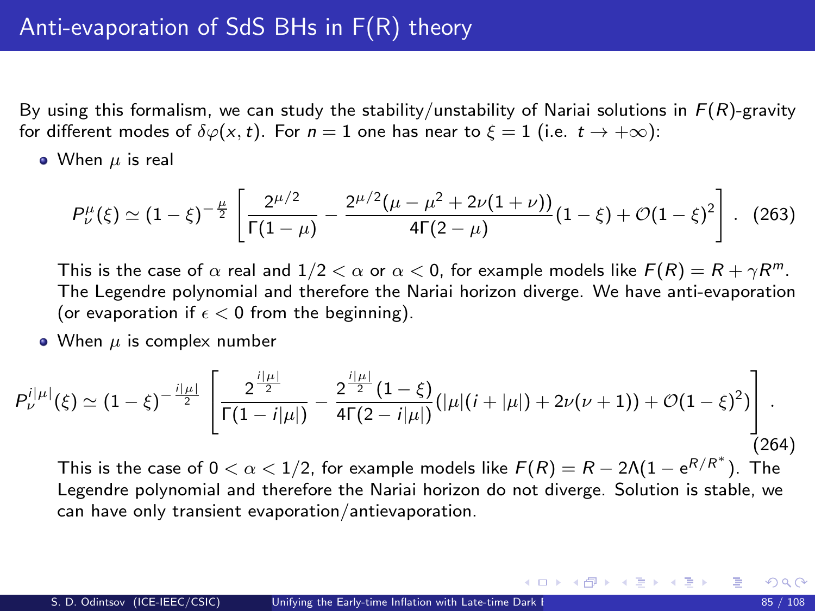By using this formalism, we can study the stability/unstability of Nariai solutions in  $F(R)$ -gravity for different modes of  $\delta\varphi(x,t)$ . For  $n=1$  one has near to  $\xi=1$  (i.e.  $t\to+\infty$ ):

 $\bullet$  When  $\mu$  is real

$$
P_{\nu}^{\mu}(\xi) \simeq (1-\xi)^{-\frac{\mu}{2}} \left[ \frac{2^{\mu/2}}{\Gamma(1-\mu)} - \frac{2^{\mu/2}(\mu-\mu^2+2\nu(1+\nu))}{4\Gamma(2-\mu)}(1-\xi) + \mathcal{O}(1-\xi)^2 \right].
$$
 (263)

This is the case of  $\alpha$  real and  $1/2 < \alpha$  or  $\alpha < 0$ , for example models like  $F(R) = R + \gamma R^m$ . The Legendre polynomial and therefore the Nariai horizon diverge. We have anti-evaporation (or evaporation if  $\epsilon < 0$  from the beginning).

• When  $\mu$  is complex number

$$
P_{\nu}^{i|\mu|}(\xi) \simeq (1-\xi)^{-\frac{i|\mu|}{2}} \left[ \frac{2^{\frac{i|\mu|}{2}}}{\Gamma(1-i|\mu|)} - \frac{2^{\frac{i|\mu|}{2}}(1-\xi)}{4\Gamma(2-i|\mu|)} (|\mu|(i+|\mu|) + 2\nu(\nu+1)) + \mathcal{O}(1-\xi)^2) \right].
$$
\n(264)

This is the case of  $0 < \alpha < 1/2$ , for example models like  $F(R) = R - 2\Lambda(1 - e^{R/R^*})$ . The Legendre polynomial and therefore the Nariai horizon do not diverge. Solution is stable, we can have only transient evaporation/antievaporation.

メロメ メ御 メメ きょうくきょう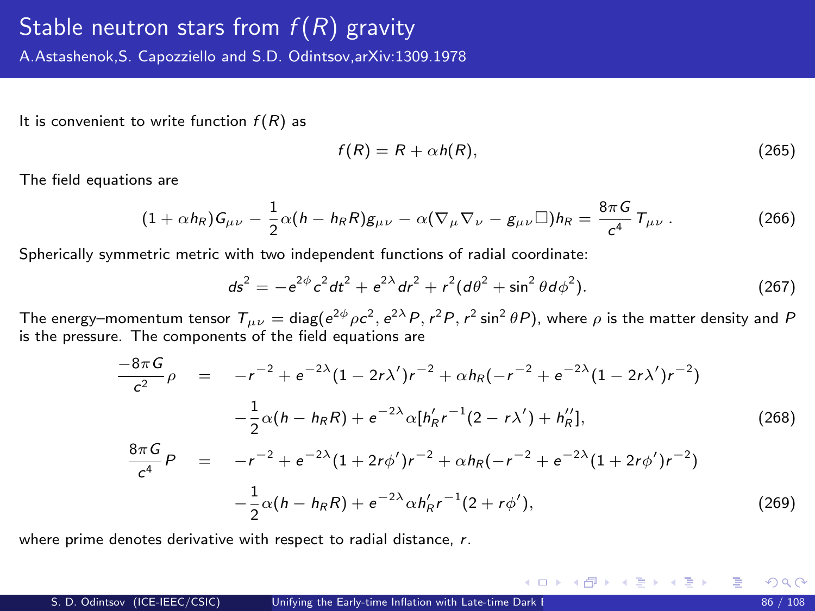It is convenient to write function  $f(R)$  as

$$
f(R) = R + \alpha h(R), \qquad (265)
$$

The field equations are

<span id="page-85-2"></span>
$$
(1+\alpha h_R)\mathsf{G}_{\mu\nu}-\frac{1}{2}\alpha(h-h_R R)\mathsf{g}_{\mu\nu}-\alpha(\nabla_\mu\nabla_\nu-\mathsf{g}_{\mu\nu}\square)h_R=\frac{8\pi G}{c^4}\mathsf{T}_{\mu\nu}.
$$
 (266)

Spherically symmetric metric with two independent functions of radial coordinate:

$$
ds^{2} = -e^{2\phi}c^{2}dt^{2} + e^{2\lambda}dr^{2} + r^{2}(d\theta^{2} + \sin^{2}\theta d\phi^{2}).
$$
 (267)

The energy–momentum tensor  $T_{\mu\nu}=$  diag( $e^{2\phi}\rho c^2,e^{2\lambda}P$ ,  $r^2P$ ,  $r^2\sin^2\theta P$ ), where  $\rho$  is the matter density and  $P$ is the pressure. The components of the field equations are

$$
\frac{-8\pi G}{c^2}\rho = -r^{-2} + e^{-2\lambda}(1 - 2r\lambda')r^{-2} + \alpha h_R(-r^{-2} + e^{-2\lambda}(1 - 2r\lambda')r^{-2})
$$

$$
-\frac{1}{2}\alpha(h - h_R R) + e^{-2\lambda}\alpha[h'_R r^{-1}(2 - r\lambda') + h''_R],
$$
(268)
$$
\frac{8\pi G}{c^4}P = -r^{-2} + e^{-2\lambda}(1 + 2r\phi')r^{-2} + \alpha h_R(-r^{-2} + e^{-2\lambda}(1 + 2r\phi')r^{-2})
$$

$$
-\frac{1}{2}\alpha(h-h_R R) + e^{-2\lambda}\alpha h'_R r^{-1}(2+r\phi'),
$$
\n(269)

<span id="page-85-1"></span><span id="page-85-0"></span>メロメ メ御 メメ きょうくきょう

where prime denotes derivative with respect to radial distance, r.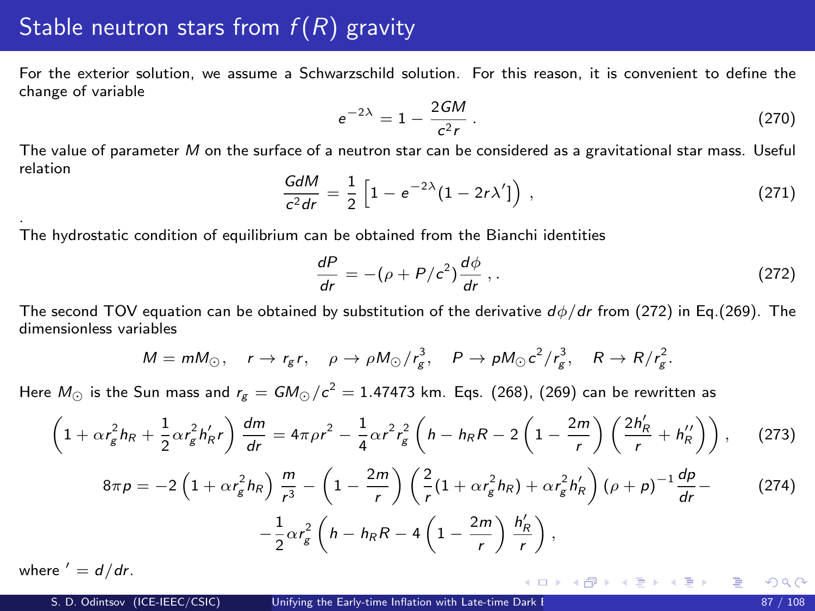## Stable neutron stars from  $f(R)$  gravity

For the exterior solution, we assume a Schwarzschild solution. For this reason, it is convenient to define the change of variable

$$
e^{-2\lambda} = 1 - \frac{2GM}{c^2r} \,. \tag{270}
$$

The value of parameter M on the surface of a neutron star can be considered as a gravitational star mass. Useful relation

$$
\frac{GdM}{c^2dr} = \frac{1}{2} \left[ 1 - e^{-2\lambda} (1 - 2r\lambda') \right) , \qquad (271)
$$

The hydrostatic condition of equilibrium can be obtained from the Bianchi identities

<span id="page-86-0"></span>
$$
\frac{dP}{dr} = -(\rho + P/c^2)\frac{d\phi}{dr} ,
$$
 (272)

イロト イ部 トイモト イモド

The second TOV equation can be obtained by substitution of the derivative  $d\phi/dr$  from [\(272\)](#page-86-0) in Eq.[\(269\)](#page-85-0). The dimensionless variables

$$
M = mM_{\odot}, \quad r \to r_g r, \quad \rho \to \rho M_{\odot}/r_g^3, \quad P \to \rho M_{\odot} c^2/r_g^3, \quad R \to R/r_g^2.
$$

Here  $M_\odot$  is the Sun mass and  $r_{\rm g}=$  GM $_\odot/c^2=$  1.47473 km. Eqs. [\(268\)](#page-85-1), [\(269\)](#page-85-0) can be rewritten as

<span id="page-86-1"></span>
$$
\left(1+\alpha r_g^2 h_R + \frac{1}{2}\alpha r_g^2 h'_R r\right) \frac{dm}{dr} = 4\pi \rho r^2 - \frac{1}{4}\alpha r^2 r_g^2 \left(h - h_R R - 2\left(1 - \frac{2m}{r}\right)\left(\frac{2h'_R}{r} + h''_R\right)\right),\tag{273}
$$

<span id="page-86-2"></span>
$$
8\pi p = -2\left(1 + \alpha r_g^2 h_R\right) \frac{m}{r^3} - \left(1 - \frac{2m}{r}\right) \left(\frac{2}{r}(1 + \alpha r_g^2 h_R) + \alpha r_g^2 h'_R\right) \left(\rho + p\right)^{-1} \frac{dp}{dr} - \frac{1}{2} \alpha r_g^2 \left(h - h_R R - 4\left(1 - \frac{2m}{r}\right) \frac{h'_R}{r}\right),\tag{274}
$$

where  $' = d/dr$ .

.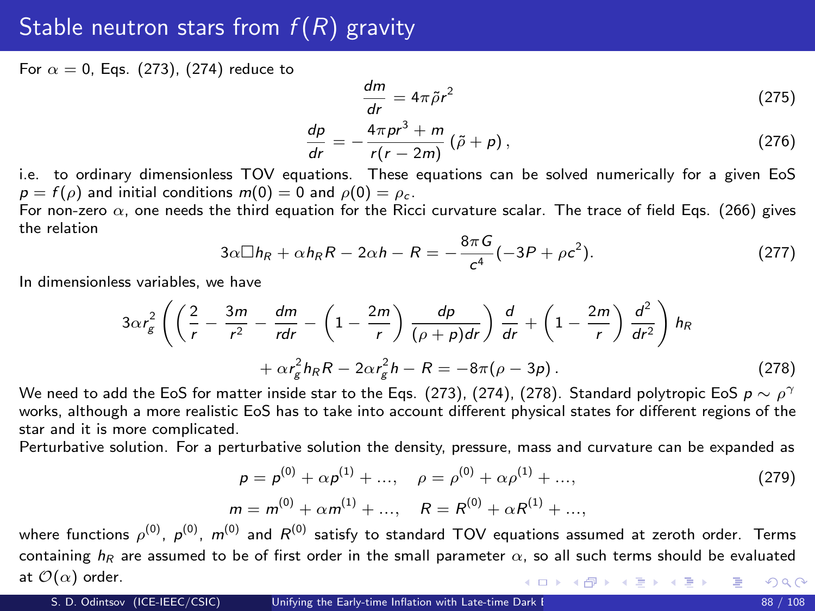## <span id="page-87-1"></span>Stable neutron stars from  $f(R)$  gravity

For  $\alpha = 0$ . Eas. [\(273\)](#page-86-1), [\(274\)](#page-86-2) reduce to

$$
\frac{dm}{dr} = 4\pi\tilde{\rho}r^2\tag{275}
$$

$$
\frac{dp}{dr} = -\frac{4\pi p r^3 + m}{r(r - 2m)} (\tilde{\rho} + \rho) ,
$$
\n(276)

i.e. to ordinary dimensionless TOV equations. These equations can be solved numerically for a given EoS  $p = f(\rho)$  and initial conditions  $m(0) = 0$  and  $\rho(0) = \rho_c$ .

For non-zero  $\alpha$ , one needs the third equation for the Ricci curvature scalar. The trace of field Eqs. [\(266\)](#page-85-2) gives the relation

$$
3\alpha \Box h_R + \alpha h_R R - 2\alpha h - R = -\frac{8\pi G}{c^4}(-3P + \rho c^2). \tag{277}
$$

In dimensionless variables, we have

$$
3\alpha r_g^2 \left( \left( \frac{2}{r} - \frac{3m}{r^2} - \frac{dm}{rdr} - \left( 1 - \frac{2m}{r} \right) \frac{dp}{(\rho + p)dr} \right) \frac{d}{dr} + \left( 1 - \frac{2m}{r} \right) \frac{d^2}{dr^2} \right) h_R
$$
  
+  $\alpha r_g^2 h_R R - 2\alpha r_g^2 h - R = -8\pi (\rho - 3p).$  (278)

We need to add the EoS for matter inside star to the Eqs. [\(273\)](#page-86-1), [\(274\)](#page-86-2), [\(278\)](#page-87-0). Standard polytropic EoS  $p\sim\rho^\gamma$ works, although a more realistic EoS has to take into account different physical states for different regions of the star and it is more complicated.

Perturbative solution. For a perturbative solution the density, pressure, mass and curvature can be expanded as

<span id="page-87-0"></span>
$$
\rho = \rho^{(0)} + \alpha \rho^{(1)} + \dots, \quad \rho = \rho^{(0)} + \alpha \rho^{(1)} + \dots,
$$
  
\n
$$
m = m^{(0)} + \alpha m^{(1)} + \dots, \quad R = R^{(0)} + \alpha R^{(1)} + \dots,
$$
\n(279)

where functions  $\rho^{(0)},$   $\rho^{(0)},$   $m^{(0)}$  and  $R^{(0)}$  satisfy to standard TOV equations assumed at zeroth order. Terms containing  $h_{\text{F}}$  are assumed to be of first order in the small parameter  $\alpha$ , so all such terms should be evaluated at  $\mathcal{O}(\alpha)$  order. イロト イ部 トメ 君 トメ 君 ト  $QQ$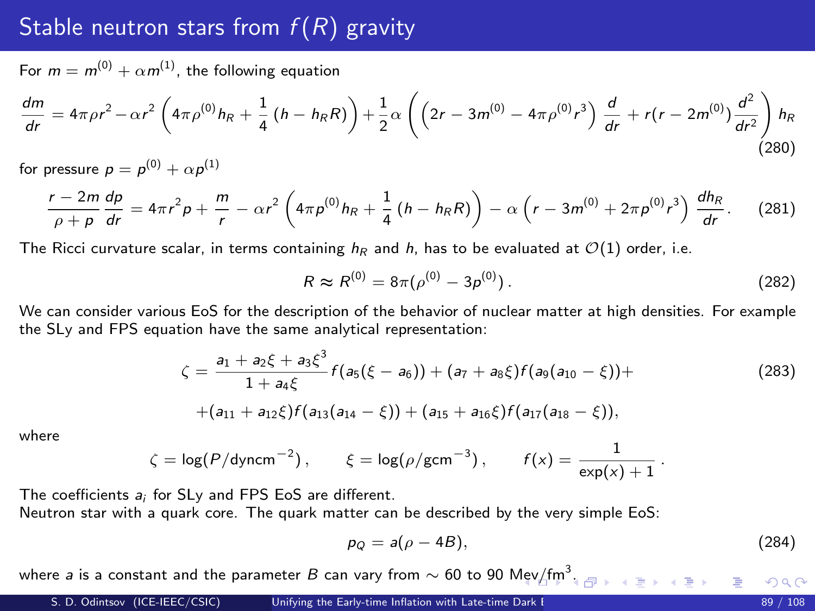#### Stable neutron stars from  $f(R)$  gravity

For  $m = m^{(0)} + \alpha m^{(1)}$ , the following equation

$$
\frac{dm}{dr} = 4\pi \rho r^2 - \alpha r^2 \left( 4\pi \rho^{(0)} h_R + \frac{1}{4} \left( h - h_R R \right) \right) + \frac{1}{2} \alpha \left( \left( 2r - 3m^{(0)} - 4\pi \rho^{(0)} r^3 \right) \frac{d}{dr} + r(r - 2m^{(0)}) \frac{d^2}{dr^2} \right) h_R
$$
\n(280)

for pressure  $p = p^{(0)} + \alpha p^{(1)}$ 

$$
\frac{r-2m}{\rho+\rho}\frac{dp}{dr}=4\pi r^2\rho+\frac{m}{r}-\alpha r^2\left(4\pi\rho^{(0)}h_R+\frac{1}{4}\left(h-h_R R\right)\right)-\alpha\left(r-3m^{(0)}+2\pi\rho^{(0)}r^3\right)\frac{dh_R}{dr}.\tag{281}
$$

The Ricci curvature scalar, in terms containing  $h_R$  and h, has to be evaluated at  $\mathcal{O}(1)$  order, i.e.

$$
R \approx R^{(0)} = 8\pi(\rho^{(0)} - 3\rho^{(0)}).
$$
 (282)

We can consider various EoS for the description of the behavior of nuclear matter at high densities. For example the SLy and FPS equation have the same analytical representation:

<span id="page-88-1"></span>
$$
\zeta = \frac{a_1 + a_2\xi + a_3\xi^3}{1 + a_4\xi} f(a_5(\xi - a_6)) + (a_7 + a_8\xi)f(a_9(a_{10} - \xi)) +
$$
  
+
$$
(a_{11} + a_{12}\xi)f(a_{13}(a_{14} - \xi)) + (a_{15} + a_{16}\xi)f(a_{17}(a_{18} - \xi)),
$$
 (283)

where

$$
\zeta = \log(P/\text{dyncm}^{-2}), \qquad \xi = \log(\rho/\text{gcm}^{-3}), \qquad f(x) = \frac{1}{\exp(x) + 1}.
$$

The coefficients a<sub>i</sub> for SL<sub>V</sub> and FPS EoS are different.

Neutron star with a quark core. The quark matter can be described by the very simple EoS:

<span id="page-88-0"></span>
$$
p_Q = a(\rho - 4B), \tag{284}
$$

where a is a constant and the parameter  $B$  can vary from  $\sim 60$  to  $90$  [Mev](#page-87-1) $\cancel{\rm /fm^3}.$  $\cancel{\rm /fm^3}.$  $\cancel{\rm /fm^3}.$  $\cancel{\rm /fm^3}.$ 

 $\Omega$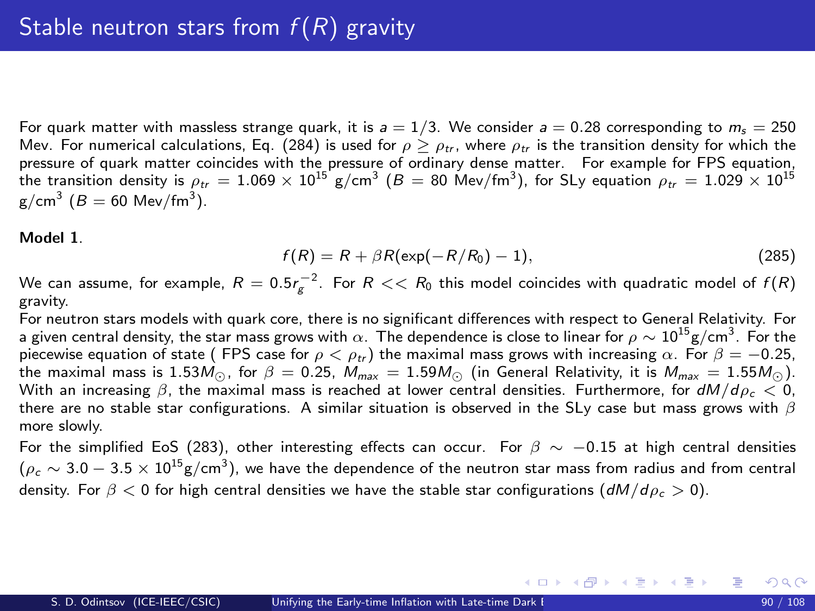<span id="page-89-0"></span>For quark matter with massless strange quark, it is  $a = 1/3$ . We consider  $a = 0.28$  corresponding to  $m_s = 250$ Mev. For numerical calculations, Eq. [\(284\)](#page-88-0) is used for  $\rho > \rho_{tr}$ , where  $\rho_{tr}$  is the transition density for which the pressure of quark matter coincides with the pressure of ordinary dense matter. For example for FPS equation, the transition density is  $\rho_{tr}=1.069\times10^{15}$  g/cm $^3$  ( $B=80$  Mev/fm $^3)$ , for SLy equation  $\rho_{tr}=1.029\times10^{15}$  $\text{g/cm}^3$   $(B = 60 \text{ Mev/fm}^3)$ .

#### Model 1.

<span id="page-89-1"></span>
$$
f(R) = R + \beta R(\exp(-R/R_0) - 1), \qquad (285)
$$

メロメ メ御き メミメ メミメー

We can assume, for example,  $R=0.5 r_{\rm g}^{-2}.$  For  $R << R_0$  this model coincides with quadratic model of  $f(R)$ gravity.

For neutron stars models with quark core, there is no significant differences with respect to General Relativity. For a given central density, the star mass grows with  $\alpha.$  The dependence is close to linear for  $\rho\sim10^{15}$ g/cm $^3.$  For the piecewise equation of state ( FPS case for  $\rho < \rho_{tr}$ ) the maximal mass grows with increasing  $\alpha$ . For  $\beta = -0.25$ , the maximal mass is 1.53 $M_{\odot}$ , for  $\beta = 0.25$ ,  $M_{max} = 1.59M_{\odot}$  (in General Relativity, it is  $M_{max} = 1.55M_{\odot}$ ). With an increasing  $\beta$ , the maximal mass is reached at lower central densities. Furthermore, for  $dM/d\rho < 0$ , there are no stable star configurations. A similar situation is observed in the SLy case but mass grows with  $\beta$ more slowly.

For the simplified EoS [\(283\)](#page-88-1), other interesting effects can occur. For  $\beta \sim -0.15$  at high central densities  $(\rho_c \sim 3.0-3.5 \times 10^{15} \text{g/cm}^3)$ , we have the dependence of the neutron star mass from radius and from central density. For  $\beta < 0$  for high central densities we have the stable star configurations  $(dM/d\rho_c > 0)$ .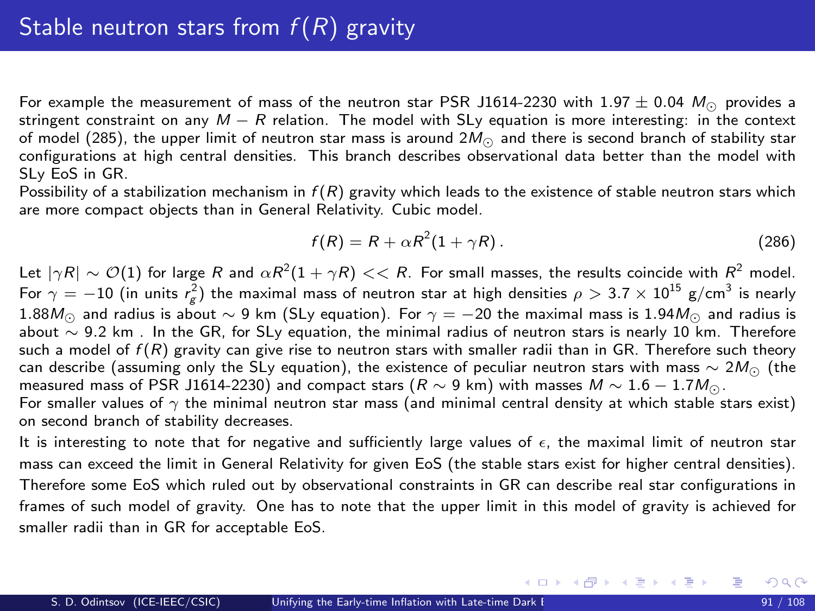For example the measurement of mass of the neutron star PSR J1614-2230 with 1.97  $\pm$  0.04  $M_{\odot}$  provides a stringent constraint on any  $M - R$  relation. The model with SLy equation is more interesting: in the context of model [\(285\)](#page-89-1), the upper limit of neutron star mass is around  $2M_{\odot}$  and there is second branch of stability star configurations at high central densities. This branch describes observational data better than the model with SLy EoS in GR.

Possibility of a stabilization mechanism in  $f(R)$  gravity which leads to the existence of stable neutron stars which are more compact objects than in General Relativity. Cubic model.

$$
f(R) = R + \alpha R^2 (1 + \gamma R). \tag{286}
$$

メロメ メ御き メミメ メミメ

Let  $|\gamma R|\sim {\cal O}(1)$  for large  $R$  and  $\alpha R^2(1+\gamma R)<< R.$  For small masses, the results coincide with  $R^2$  model. For  $\gamma=-10$  (in units  $r_{\rm g}^2)$  the maximal mass of neutron star at high densities  $\rho>3.7\times10^{15}$  g/cm $^3$  is nearly 1.88 $M_{\odot}$  and radius is about ~ 9 km (SLy equation). For  $\gamma = -20$  the maximal mass is 1.94 $M_{\odot}$  and radius is about ∼ 9.2 km . In the GR, for SLy equation, the minimal radius of neutron stars is nearly 10 km. Therefore such a model of  $f(R)$  gravity can give rise to neutron stars with smaller radii than in GR. Therefore such theory can describe (assuming only the SLy equation), the existence of peculiar neutron stars with mass  $\sim 2M_{\odot}$  (the measured mass of PSR J1614-2230) and compact stars  $(R \sim 9 \text{ km})$  with masses  $M \sim 1.6 - 1.7 M_{\odot}$ .

For smaller values of  $\gamma$  the minimal neutron star mass (and minimal central density at which stable stars exist) on second branch of stability decreases.

It is interesting to note that for negative and sufficiently large values of  $\epsilon$ , the maximal limit of neutron star mass can exceed the limit in General Relativity for given EoS (the stable stars exist for higher central densities). Therefore some EoS which ruled out by observational constraints in GR can describe real star configurations in frames of such model of gravity. One has to note that the upper limit in this model of gravity is achieved for smaller radii than in GR for acceptable EoS.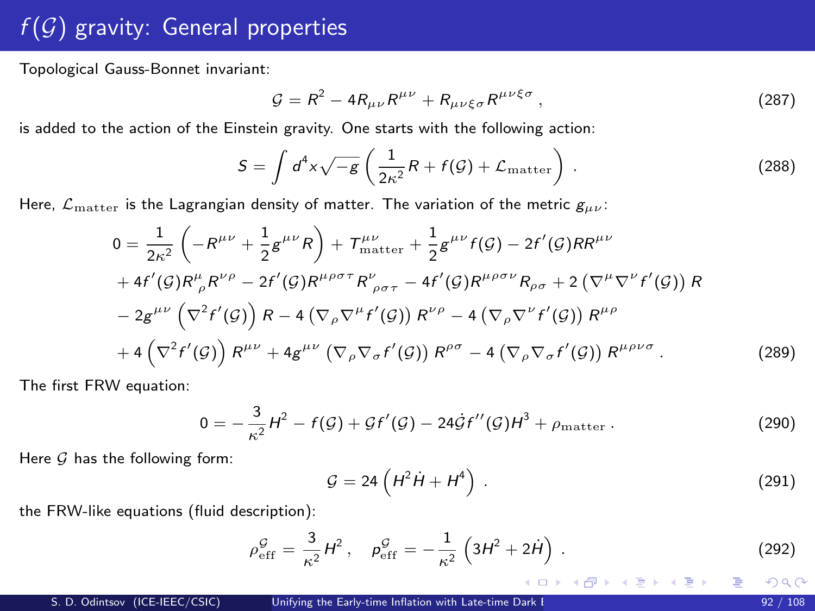## $f(\overline{\mathcal{G}})$  gravity: General properties

Topological Gauss-Bonnet invariant:

<span id="page-91-2"></span>
$$
\mathcal{G} = R^2 - 4R_{\mu\nu}R^{\mu\nu} + R_{\mu\nu\xi\sigma}R^{\mu\nu\xi\sigma}, \qquad (287)
$$

is added to the action of the Einstein gravity. One starts with the following action:

<span id="page-91-1"></span>
$$
S = \int d^4x \sqrt{-g} \left( \frac{1}{2\kappa^2} R + f(\mathcal{G}) + \mathcal{L}_{\text{matter}} \right) \,. \tag{288}
$$

Here,  $\mathcal{L}_{\mathrm{matter}}$  is the Lagrangian density of matter. The variation of the metric  $g_{\mu\nu}$ :

$$
0 = \frac{1}{2\kappa^2} \left( -R^{\mu\nu} + \frac{1}{2} g^{\mu\nu} R \right) + T^{\mu\nu}_{\text{matter}} + \frac{1}{2} g^{\mu\nu} f(\mathcal{G}) - 2f'(\mathcal{G}) R^{ \mu\nu} + 4f'(\mathcal{G}) R^{\mu}_{\rho} R^{\nu\rho} - 2f'(\mathcal{G}) R^{\mu\rho\sigma\tau} R^{\nu}_{\rho\sigma\tau} - 4f'(\mathcal{G}) R^{\mu\rho\sigma\nu} R_{\rho\sigma} + 2 \left( \nabla^{\mu} \nabla^{\nu} f'(\mathcal{G}) \right) R - 2g^{\mu\nu} \left( \nabla^2 f'(\mathcal{G}) \right) R - 4 \left( \nabla_{\rho} \nabla^{\mu} f'(\mathcal{G}) \right) R^{\nu\rho} - 4 \left( \nabla_{\rho} \nabla^{\nu} f'(\mathcal{G}) \right) R^{\mu\rho} + 4 \left( \nabla^2 f'(\mathcal{G}) \right) R^{\mu\nu} + 4g^{\mu\nu} \left( \nabla_{\rho} \nabla_{\sigma} f'(\mathcal{G}) \right) R^{\rho\sigma} - 4 \left( \nabla_{\rho} \nabla_{\sigma} f'(\mathcal{G}) \right) R^{\mu\rho\nu\sigma} . \tag{289}
$$

The first FRW equation:

<span id="page-91-0"></span>
$$
0 = -\frac{3}{\kappa^2} H^2 - f(\mathcal{G}) + \mathcal{G}f'(\mathcal{G}) - 24\dot{\mathcal{G}}f''(\mathcal{G})H^3 + \rho_{\text{matter}}.
$$
 (290)

Here  $G$  has the following form:

$$
\mathcal{G} = 24 \left( H^2 \dot{H} + H^4 \right) \,. \tag{291}
$$

メロメ メ部 メメ きょうくきょう

the FRW-like equations (fluid description):

$$
\rho_{\rm eff}^{\mathcal{G}} = \frac{3}{\kappa^2} H^2 \,, \quad \rho_{\rm eff}^{\mathcal{G}} = -\frac{1}{\kappa^2} \left( 3H^2 + 2\dot{H} \right) \,. \tag{292}
$$

 $QQ$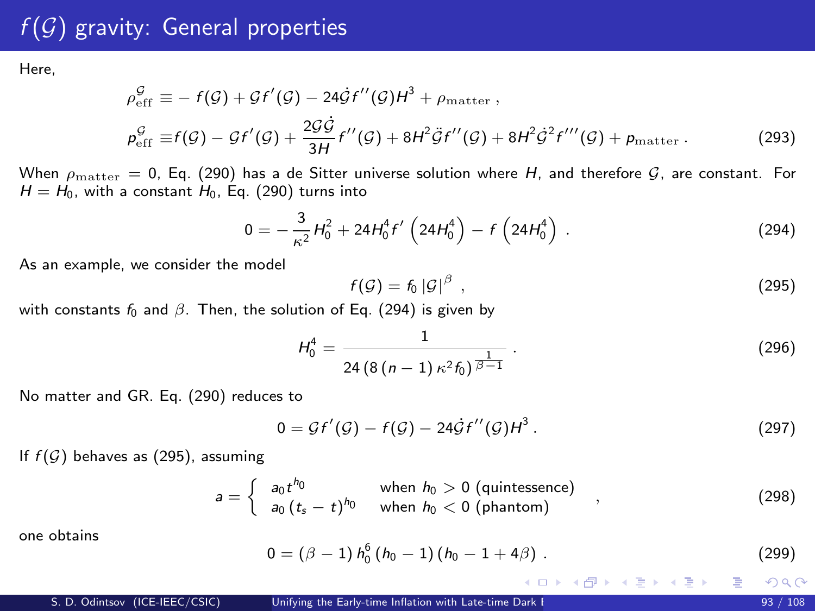Here,

$$
\rho_{\text{eff}}^{\mathcal{G}} \equiv -f(\mathcal{G}) + \mathcal{G}f'(\mathcal{G}) - 24\dot{\mathcal{G}}f''(\mathcal{G})H^3 + \rho_{\text{matter}} ,
$$
\n
$$
\rho_{\text{eff}}^{\mathcal{G}} \equiv f(\mathcal{G}) - \mathcal{G}f'(\mathcal{G}) + \frac{2\mathcal{G}\dot{\mathcal{G}}}{3H}f''(\mathcal{G}) + 8H^2\ddot{\mathcal{G}}f''(\mathcal{G}) + 8H^2\dot{\mathcal{G}}f'''(\mathcal{G}) + \rho_{\text{matter}} .
$$
\n(293)

When  $\rho_{\text{matter}} = 0$ , Eq. [\(290\)](#page-91-0) has a de Sitter universe solution where H, and therefore  $\mathcal{G}$ , are constant. For  $H = H_0$ , with a constant  $H_0$ , Eq. [\(290\)](#page-91-0) turns into

<span id="page-92-0"></span>
$$
0 = -\frac{3}{\kappa^2} H_0^2 + 24H_0^4 f'\left(24H_0^4\right) - f\left(24H_0^4\right) \,. \tag{294}
$$

As an example, we consider the model

<span id="page-92-1"></span>
$$
f(\mathcal{G}) = f_0 |\mathcal{G}|^{\beta} , \qquad (295)
$$

with constants  $f_0$  and  $\beta$ . Then, the solution of Eq. [\(294\)](#page-92-0) is given by

$$
H_0^4 = \frac{1}{24\left(8\left(n-1\right)\kappa^2 f_0\right)^{\frac{1}{\beta-1}}} \,. \tag{296}
$$

No matter and GR. Eq. [\(290\)](#page-91-0) reduces to

$$
0 = \mathcal{G}f'(\mathcal{G}) - f(\mathcal{G}) - 24\dot{\mathcal{G}}f''(\mathcal{G})H^3. \tag{297}
$$

If  $f(G)$  behaves as [\(295\)](#page-92-1), assuming

$$
a = \begin{cases} a_0 t^{h_0} & \text{when } h_0 > 0 \text{ (quintessence)} \\ a_0 \left( t_s - t \right)^{h_0} & \text{when } h_0 < 0 \text{ (phantom)} \end{cases} \tag{298}
$$

one obtains

$$
0 = (\beta - 1) h_0^6 (h_0 - 1) (h_0 - 1 + 4\beta) . \tag{299}
$$

メロメ メ御 メメ きょくきょ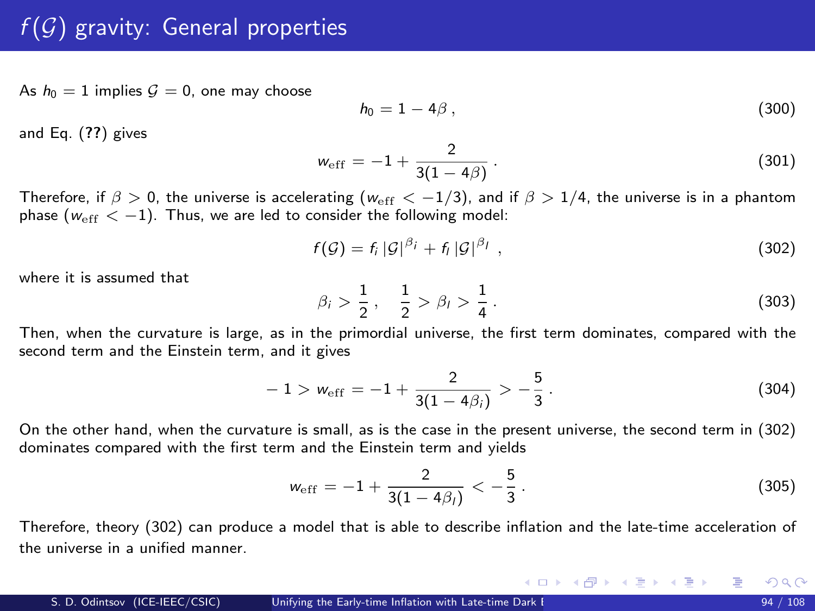As  $h_0 = 1$  implies  $G = 0$ , one may choose

$$
h_0 = 1 - 4\beta \tag{300}
$$

and Eq. ([??](#page-0-1)) gives

$$
w_{\rm eff} = -1 + \frac{2}{3(1 - 4\beta)}.
$$
\n(301)

Therefore, if  $\beta > 0$ , the universe is accelerating ( $w_{\text{eff}} < -1/3$ ), and if  $\beta > 1/4$ , the universe is in a phantom phase ( $w_{\text{eff}} < -1$ ). Thus, we are led to consider the following model:

<span id="page-93-0"></span>
$$
f(\mathcal{G}) = f_i |\mathcal{G}|^{\beta_i} + f_i |\mathcal{G}|^{\beta_l} \tag{302}
$$

where it is assumed that

$$
\beta_i > \frac{1}{2}, \quad \frac{1}{2} > \beta_l > \frac{1}{4} \,. \tag{303}
$$

Then, when the curvature is large, as in the primordial universe, the first term dominates, compared with the second term and the Einstein term, and it gives

$$
-1 > w_{\rm eff} = -1 + \frac{2}{3(1 - 4\beta_i)} > -\frac{5}{3}.
$$
 (304)

On the other hand, when the curvature is small, as is the case in the present universe, the second term in [\(302\)](#page-93-0) dominates compared with the first term and the Einstein term and yields

$$
w_{\rm eff} = -1 + \frac{2}{3(1 - 4\beta_l)} < -\frac{5}{3} \,. \tag{305}
$$

メロメ メ御き メミメ メミメー

Therefore, theory [\(302\)](#page-93-0) can produce a model that is able to describe inflation and the late-time acceleration of the universe in a unified manner.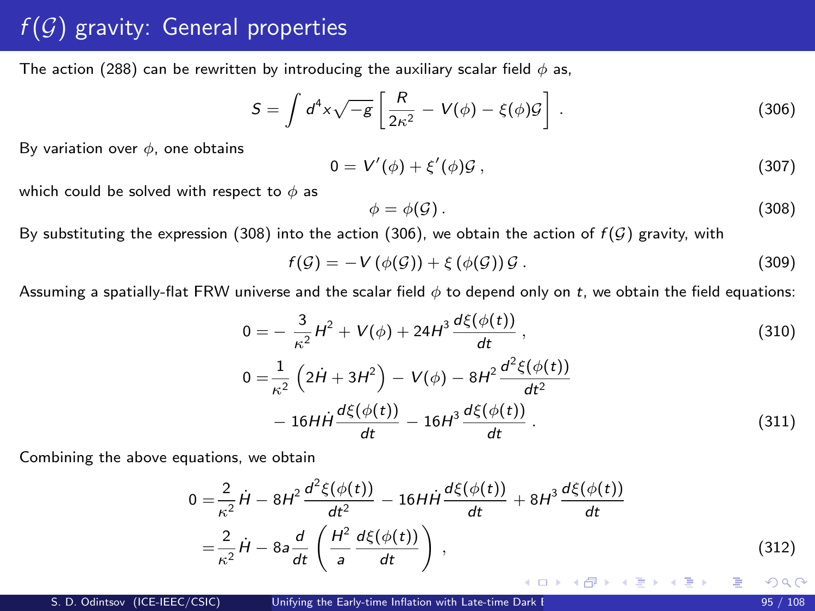The action [\(288\)](#page-91-1) can be rewritten by introducing the auxiliary scalar field  $\phi$  as,

<span id="page-94-1"></span>
$$
S = \int d^4x \sqrt{-g} \left[ \frac{R}{2\kappa^2} - V(\phi) - \xi(\phi)\mathcal{G} \right] \,. \tag{306}
$$

By variation over  $\phi$ , one obtains

$$
0 = V'(\phi) + \xi'(\phi)\mathcal{G}, \qquad (307)
$$

which could be solved with respect to  $\phi$  as

<span id="page-94-0"></span>
$$
\phi = \phi(\mathcal{G})\,. \tag{308}
$$

By substituting the expression [\(308\)](#page-94-0) into the action [\(306\)](#page-94-1), we obtain the action of  $f(\mathcal{G})$  gravity, with

$$
f(\mathcal{G}) = -V(\phi(\mathcal{G})) + \xi(\phi(\mathcal{G}))\mathcal{G}.
$$
\n(309)

Assuming a spatially-flat FRW universe and the scalar field  $\phi$  to depend only on t, we obtain the field equations:

<span id="page-94-3"></span><span id="page-94-2"></span>
$$
0 = -\frac{3}{\kappa^2}H^2 + V(\phi) + 24H^3 \frac{d\xi(\phi(t))}{dt},
$$
  
\n
$$
0 = \frac{1}{\kappa^2} \left(2\dot{H} + 3H^2\right) - V(\phi) - 8H^2 \frac{d^2\xi(\phi(t))}{dt^2}
$$
  
\n
$$
-16H\dot{H}\frac{d\xi(\phi(t))}{dt} - 16H^3 \frac{d\xi(\phi(t))}{dt}.
$$
\n(311)

Combining the above equations, we obtain

$$
0 = \frac{2}{\kappa^2} \dot{H} - 8H^2 \frac{d^2 \xi(\phi(t))}{dt^2} - 16HH \frac{d\xi(\phi(t))}{dt} + 8H^3 \frac{d\xi(\phi(t))}{dt}
$$
  

$$
= \frac{2}{\kappa^2} \dot{H} - 8a \frac{d}{dt} \left( \frac{H^2}{a} \frac{d\xi(\phi(t))}{dt} \right),
$$
(312)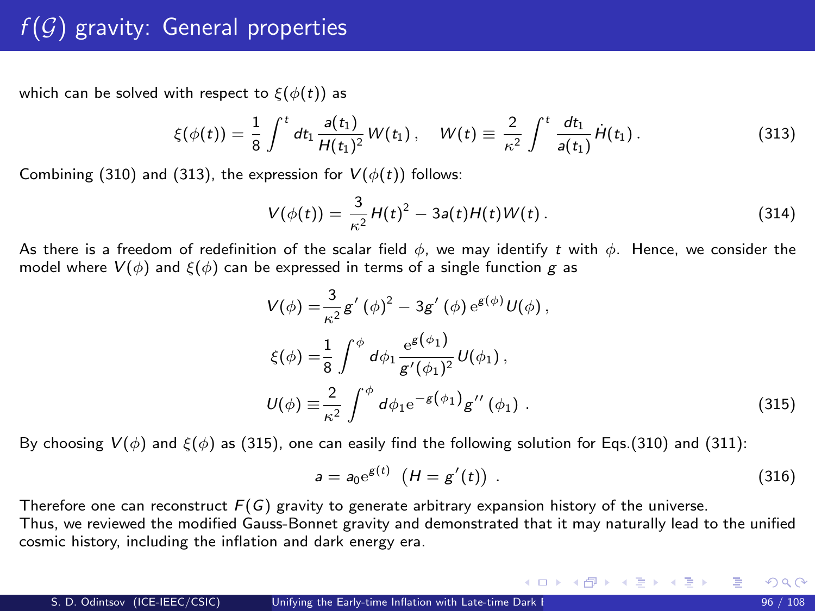<span id="page-95-2"></span>which can be solved with respect to  $\xi(\phi(t))$  as

<span id="page-95-0"></span>
$$
\xi(\phi(t)) = \frac{1}{8} \int^t dt_1 \frac{a(t_1)}{H(t_1)^2} W(t_1), \quad W(t) \equiv \frac{2}{\kappa^2} \int^t \frac{dt_1}{a(t_1)} \dot{H}(t_1).
$$
 (313)

Combining [\(310\)](#page-94-2) and [\(313\)](#page-95-0), the expression for  $V(\phi(t))$  follows:

$$
V(\phi(t)) = \frac{3}{\kappa^2} H(t)^2 - 3a(t)H(t)W(t).
$$
 (314)

As there is a freedom of redefinition of the scalar field  $\phi$ , we may identify t with  $\phi$ . Hence, we consider the model where  $V(\phi)$  and  $\xi(\phi)$  can be expressed in terms of a single function g as

<span id="page-95-1"></span>
$$
V(\phi) = \frac{3}{\kappa^2} g'(\phi)^2 - 3g'(\phi) e^{g(\phi)} U(\phi),
$$
  
\n
$$
\xi(\phi) = \frac{1}{8} \int^{\phi} d\phi_1 \frac{e^{g(\phi_1)}}{g'(\phi_1)^2} U(\phi_1),
$$
  
\n
$$
U(\phi) \equiv \frac{2}{\kappa^2} \int^{\phi} d\phi_1 e^{-g(\phi_1)} g''(\phi_1).
$$
\n(315)

By choosing  $V(\phi)$  and  $\xi(\phi)$  as [\(315\)](#page-95-1), one can easily find the following solution for Eqs.[\(310\)](#page-94-2) and [\(311\)](#page-94-3):

$$
a = a_0 e^{g(t)} \, (H = g'(t)) \, . \tag{316}
$$

メロメ メ御 メメ きょうくきょう

Therefore one can reconstruct  $F(G)$  gravity to generate arbitrary expansion history of the universe. Thus, we reviewed the modified Gauss-Bonnet gravity and demonstrated that it may naturally lead to the unified cosmic history, including the inflation and dark energy era.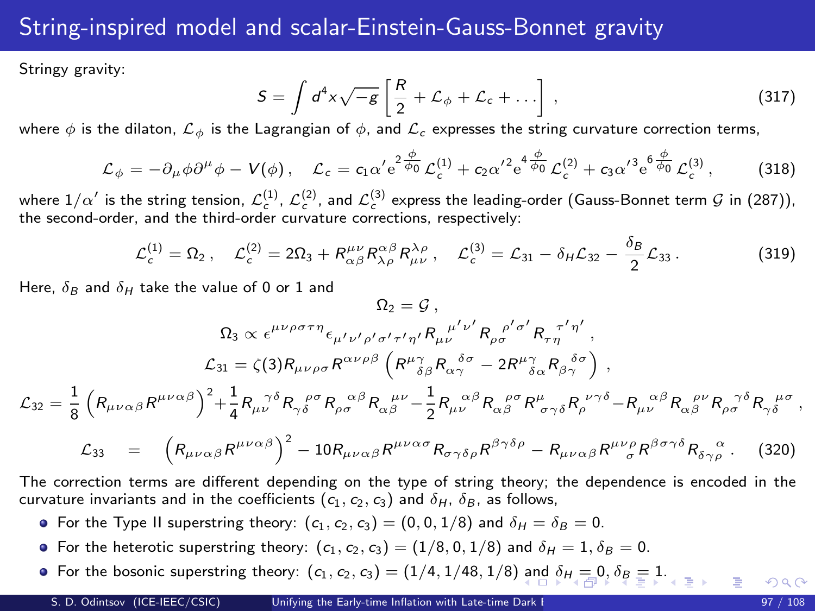#### <span id="page-96-0"></span>String-inspired model and scalar-Einstein-Gauss-Bonnet gravity

Stringy gravity:

$$
S = \int d^4x \sqrt{-g} \left[ \frac{R}{2} + \mathcal{L}_{\phi} + \mathcal{L}_{c} + \dots \right],
$$
 (317)

where  $\phi$  is the dilaton,  $\mathcal{L}_{\phi}$  is the Lagrangian of  $\phi$ , and  $\mathcal{L}_{c}$  expresses the string curvature correction terms,

$$
\mathcal{L}_{\phi} = -\partial_{\mu}\phi\partial^{\mu}\phi - V(\phi), \quad \mathcal{L}_{c} = c_{1}\alpha' e^{2\frac{\phi}{\phi_{0}}} \mathcal{L}_{c}^{(1)} + c_{2}\alpha'^{2} e^{4\frac{\phi}{\phi_{0}}} \mathcal{L}_{c}^{(2)} + c_{3}\alpha'^{3} e^{4\frac{\phi}{\phi_{0}}} \mathcal{L}_{c}^{(3)},
$$
(318)

where  $1/\alpha'$  is the string tension,  $\mathcal{L}^{(1)}_c$ ,  $\mathcal{L}^{(2)}_c$ , and  $\mathcal{L}^{(3)}_c$  express the leading-order (Gauss-Bonnet term  $\mathcal G$  in [\(287\)](#page-91-2)), the second-order, and the third-order curvature corrections, respectively:

$$
\mathcal{L}_c^{(1)} = \Omega_2 \,, \quad \mathcal{L}_c^{(2)} = 2\Omega_3 + R_{\alpha\beta}^{\mu\nu} R_{\lambda\rho}^{\alpha\beta} R_{\mu\nu}^{\lambda\rho} \,, \quad \mathcal{L}_c^{(3)} = \mathcal{L}_{31} - \delta_\mathcal{H} \mathcal{L}_{32} - \frac{\delta_\mathcal{B}}{2} \mathcal{L}_{33} \,. \tag{319}
$$

Here,  $\delta_B$  and  $\delta_H$  take the value of 0 or 1 and

$$
\Omega_2 = \mathcal{G}\,,
$$
\n
$$
\Omega_3 \propto \epsilon^{\mu\nu\rho\sigma\tau\eta} \epsilon_{\mu'\nu'\rho'\sigma'\tau'\eta'} R_{\mu\nu'}^{\ \ \nu'\rho} R_{\rho\sigma}^{\ \ \rho'\sigma'} R_{\tau\eta}^{\ \ \tau'\eta'},
$$
\n
$$
\mathcal{L}_{31} = \zeta(3) R_{\mu\nu\rho\sigma} R^{\alpha\nu\rho\beta} \left( R^{\mu\gamma}_{\ \ \delta\beta} R_{\alpha\gamma}^{\ \ \delta\sigma} - 2 R^{\mu\gamma}_{\ \ \delta\alpha} R_{\beta\gamma}^{\ \ \delta\sigma} \right) \,,
$$
\n
$$
\mathcal{L}_{32} = \frac{1}{8} \left( R_{\mu\nu\alpha\beta} R^{\mu\nu\alpha\beta} \right)^2 + \frac{1}{4} R_{\mu\nu}^{\ \ \gamma\delta} R_{\rho\delta}^{\ \ \rho\sigma} R_{\rho\sigma}^{\ \ \alpha\beta} R_{\alpha\beta}^{\ \ \mu\nu} - \frac{1}{2} R_{\mu\nu}^{\ \ \alpha\beta} R_{\alpha\beta}^{\ \ \rho\sigma} R_{\sigma\gamma\delta}^{\ \ \rho} R_{\rho}^{\ \ \nu'\gamma\delta} - R_{\mu\nu}^{\ \ \alpha\beta} R_{\alpha\beta}^{\ \ \rho\nu} R_{\rho\sigma}^{\ \ \gamma\delta} R_{\gamma\delta}^{\ \ \mu\sigma} \,,
$$

$$
\mathcal{L}_{33} = \left( R_{\mu\nu\alpha\beta} R^{\mu\nu\alpha\beta} \right)^2 - 10 R_{\mu\nu\alpha\beta} R^{\mu\nu\alpha\sigma} R_{\sigma\gamma\delta\rho} R^{\beta\gamma\delta\rho} - R_{\mu\nu\alpha\beta} R^{\mu\nu\rho} R^{\beta\sigma\gamma\delta} R_{\delta\gamma\rho} \tag{320}
$$

The correction terms are different depending on the type of string theory; the dependence is encoded in the curvature invariants and in the coefficients  $(c_1, c_2, c_3)$  and  $\delta_H$ ,  $\delta_B$ , as follows,

- For the Type II superstring theory:  $(c_1, c_2, c_3) = (0, 0, 1/8)$  and  $\delta_H = \delta_B = 0$ .
- For the heterotic superstring theory:  $(c_1, c_2, c_3) = (1/8, 0, 1/8)$  and  $\delta_H = 1, \delta_B = 0$ .
- For the bosonic superstring theory:  $(c_1, c_2, c_3) = (1/4, 1/48, 1/8)$  $(c_1, c_2, c_3) = (1/4, 1/48, 1/8)$  $(c_1, c_2, c_3) = (1/4, 1/48, 1/8)$  $(c_1, c_2, c_3) = (1/4, 1/48, 1/8)$  $(c_1, c_2, c_3) = (1/4, 1/48, 1/8)$  [an](#page-95-2)d  $\delta_H = 0, \delta_B = 1$  $\delta_H = 0, \delta_B = 1$  $\delta_H = 0, \delta_B = 1$  $\delta_H = 0, \delta_B = 1$  $\delta_H = 0, \delta_B = 1$  $\delta_H = 0, \delta_B = 1$  $\delta_H = 0, \delta_B = 1$ [.](#page-95-2)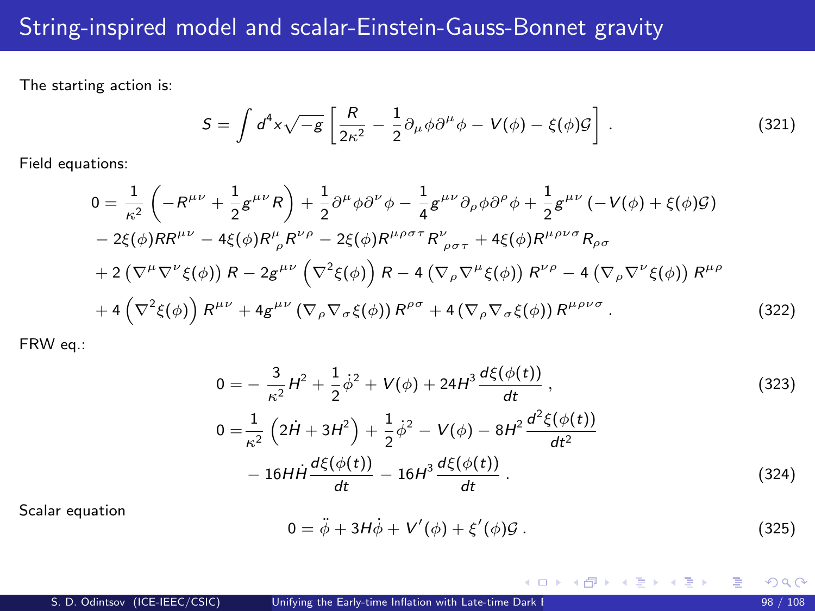<span id="page-97-0"></span>The starting action is:

$$
S = \int d^4x \sqrt{-g} \left[ \frac{R}{2\kappa^2} - \frac{1}{2} \partial_\mu \phi \partial^\mu \phi - V(\phi) - \xi(\phi) \mathcal{G} \right] \,. \tag{321}
$$

Field equations:

$$
0 = \frac{1}{\kappa^2} \left( -R^{\mu\nu} + \frac{1}{2} g^{\mu\nu} R \right) + \frac{1}{2} \partial^{\mu} \phi \partial^{\nu} \phi - \frac{1}{4} g^{\mu\nu} \partial_{\rho} \phi \partial^{\rho} \phi + \frac{1}{2} g^{\mu\nu} \left( -V(\phi) + \xi(\phi) \mathcal{G} \right) - 2\xi(\phi) R R^{\mu\nu} - 4\xi(\phi) R^{\mu}{}_{\rho} R^{\nu\rho} - 2\xi(\phi) R^{\mu\rho\sigma\tau} R^{\nu}{}_{\rho\sigma\tau} + 4\xi(\phi) R^{\mu\rho\nu\sigma} R_{\rho\sigma} + 2 \left( \nabla^{\mu} \nabla^{\nu} \xi(\phi) \right) R - 2g^{\mu\nu} \left( \nabla^2 \xi(\phi) \right) R - 4 \left( \nabla_{\rho} \nabla^{\mu} \xi(\phi) \right) R^{\nu\rho} - 4 \left( \nabla_{\rho} \nabla^{\nu} \xi(\phi) \right) R^{\mu\rho} + 4 \left( \nabla^2 \xi(\phi) \right) R^{\mu\nu} + 4g^{\mu\nu} \left( \nabla_{\rho} \nabla_{\sigma} \xi(\phi) \right) R^{\rho\sigma} + 4 \left( \nabla_{\rho} \nabla_{\sigma} \xi(\phi) \right) R^{\mu\rho\nu\sigma} . \tag{322}
$$

FRW eq.:

$$
0 = -\frac{3}{\kappa^2}H^2 + \frac{1}{2}\dot{\phi}^2 + V(\phi) + 24H^3 \frac{d\xi(\phi(t))}{dt},
$$
\n
$$
0 = \frac{1}{\kappa^2} \left(2\dot{H} + 3H^2\right) + \frac{1}{2}\dot{\phi}^2 - V(\phi) - 8H^2 \frac{d^2\xi(\phi(t))}{dt^2}
$$
\n
$$
-16H\dot{H}\frac{d\xi(\phi(t))}{dt} - 16H^3 \frac{d\xi(\phi(t))}{dt}.
$$
\n(324)

Scalar equation

$$
0 = \ddot{\phi} + 3H\dot{\phi} + V'(\phi) + \xi'(\phi)\mathcal{G}.
$$
 (325)

メロメ メ御き メミメ メミメ

重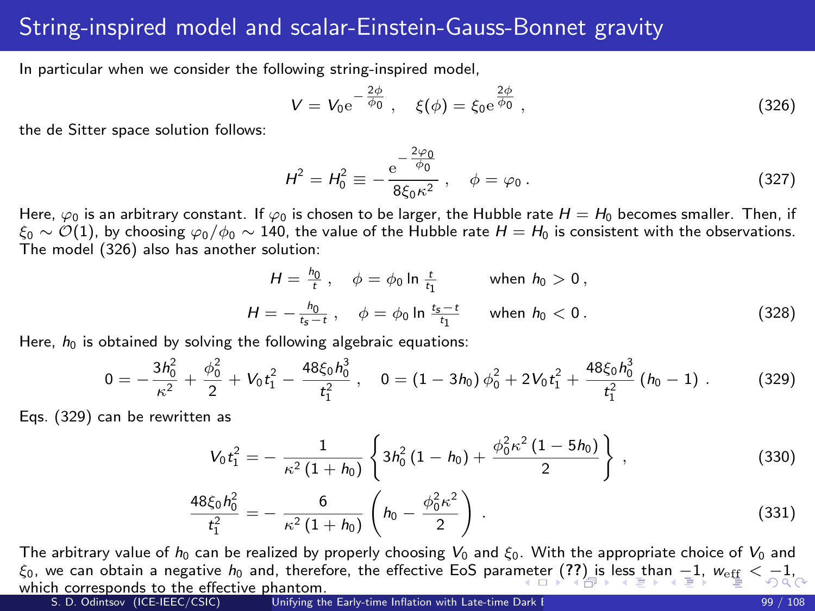#### <span id="page-98-0"></span>String-inspired model and scalar-Einstein-Gauss-Bonnet gravity

In particular when we consider the following string-inspired model.

<span id="page-98-1"></span>
$$
V = V_0 e^{-\frac{2\phi}{\phi_0}}, \quad \xi(\phi) = \xi_0 e^{\frac{2\phi}{\phi_0}}, \tag{326}
$$

the de Sitter space solution follows:

$$
H^{2} = H_{0}^{2} \equiv -\frac{e^{-\frac{2\varphi_{0}}{\phi_{0}}}}{8\xi_{0}\kappa^{2}} , \quad \phi = \varphi_{0} . \tag{327}
$$

Here,  $\varphi_0$  is an arbitrary constant. If  $\varphi_0$  is chosen to be larger, the Hubble rate  $H = H_0$  becomes smaller. Then, if  $\xi_0 \sim \mathcal{O}(1)$ , by choosing  $\varphi_0/\phi_0 \sim 140$ , the value of the Hubble rate  $H = H_0$  is consistent with the observations. The model [\(326\)](#page-98-1) also has another solution:

$$
H = \frac{h_0}{t}, \quad \phi = \phi_0 \ln \frac{t}{t_1} \quad \text{when } h_0 > 0,
$$
  

$$
H = -\frac{h_0}{t_s - t}, \quad \phi = \phi_0 \ln \frac{t_s - t}{t_1} \quad \text{when } h_0 < 0.
$$
 (328)

Here,  $h_0$  is obtained by solving the following algebraic equations:

<span id="page-98-2"></span>
$$
0=-\frac{3h_0^2}{\kappa^2}+\frac{\phi_0^2}{2}+V_0t_1^2-\frac{48\xi_0h_0^3}{t_1^2}\ ,\quad 0=(1-3h_0)\,\phi_0^2+2V_0t_1^2+\frac{48\xi_0h_0^3}{t_1^2}\,(h_0-1)\ .\qquad \qquad (329)
$$

Eqs. [\(329\)](#page-98-2) can be rewritten as

$$
V_0 t_1^2 = -\frac{1}{\kappa^2 (1+h_0)} \left\{ 3h_0^2 (1-h_0) + \frac{\phi_0^2 \kappa^2 (1-5h_0)}{2} \right\},
$$
 (330)

$$
\frac{48\xi_0 h_0^2}{t_1^2} = -\frac{6}{\kappa^2 (1+h_0)} \left( h_0 - \frac{\phi_0^2 \kappa^2}{2} \right) . \tag{331}
$$

The arbitrary value of  $h_0$  can be realized by properly choosing  $V_0$  and  $\xi_0$ . With the appropriate choice of  $V_0$  and  $\xi_0$ ,we ca[n](#page-95-2) obtain a negative  $h_0$  and, therefore, the effective EoS para[met](#page-97-0)e[r \(](#page-99-0)[??](#page-0-1)[\) is](#page-98-0) [l](#page-99-0)[es](#page-95-2)[s](#page-96-0) [t](#page-98-0)[ha](#page-99-0)n  $-1$  $-1$ [,](#page-99-0)  $w_{\text{eff}} < -1$  $w_{\text{eff}} < -1$  $w_{\text{eff}} < -1$  $w_{\text{eff}} < -1$  $w_{\text{eff}} < -1$ , which corresponds to the effective phantom.<br>S. D. Odintsov (ICE-IEEC/CSIC) Unifying the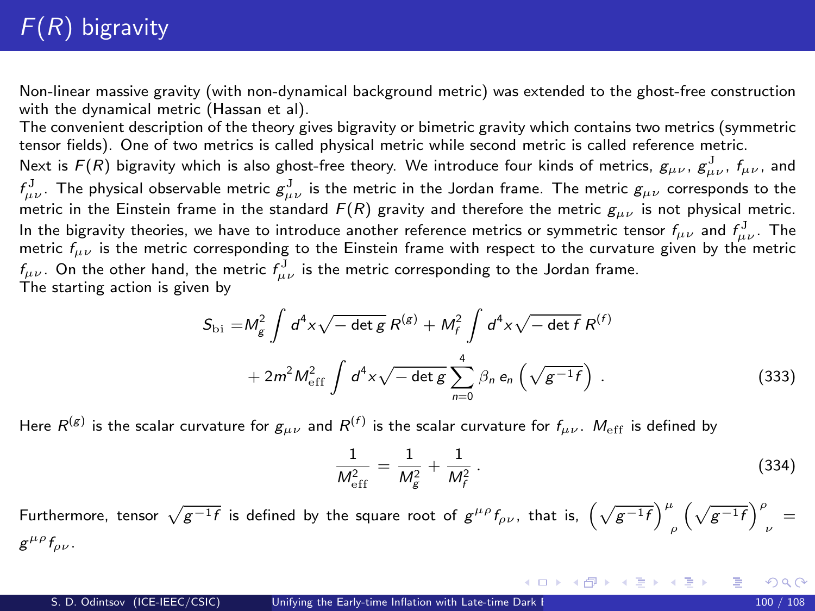# <span id="page-99-0"></span> $F(R)$  bigravity

Non-linear massive gravity (with non-dynamical background metric) was extended to the ghost-free construction with the dynamical metric (Hassan et al).

The convenient description of the theory gives bigravity or bimetric gravity which contains two metrics (symmetric tensor fields). One of two metrics is called physical metric while second metric is called reference metric.

Next is  $F(R)$  bigravity which is also ghost-free theory. We introduce four kinds of metrics,  $g_{\mu\nu}$ ,  $g_{\mu\nu}^J$ ,  $f_{\mu\nu}$ , and  $f^J_{\mu\nu}$ . The physical observable metric  $g^J_{\mu\nu}$  is the metric in the Jordan frame. The metric  $g_{\mu\nu}$  corresponds to the metric in the Einstein frame in the standard  $F(R)$  gravity and therefore the metric  $g_{\mu\nu}$  is not physical metric. In the bigravity theories, we have to introduce another reference metrics or symmetric tensor  $f_{\mu\nu}$  and  $f_{\mu\nu}^{\rm J}$ . The metric  $f_{\mu\nu}$  is the metric corresponding to the Einstein frame with respect to the curvature given by the metric  $f_{\mu\nu}$  . On the other hand, the metric  $f_{\mu\nu}^{\rm J}$  is the metric corresponding to the Jordan frame. The starting action is given by

<span id="page-99-1"></span>
$$
S_{\text{bi}} = M_{g}^{2} \int d^{4}x \sqrt{-\det g} R^{(g)} + M_{f}^{2} \int d^{4}x \sqrt{-\det f} R^{(f)}
$$
  
+ 
$$
2m^{2} M_{\text{eff}}^{2} \int d^{4}x \sqrt{-\det g} \sum_{n=0}^{4} \beta_{n} e_{n} \left(\sqrt{g^{-1}f}\right).
$$
 (333)

Here  $R^{(g)}$  is the scalar curvature for  $g_{\mu\nu}$  and  $R^{(f)}$  is the scalar curvature for  $f_{\mu\nu}$ .  $M_{\rm eff}$  is defined by

$$
\frac{1}{M_{\text{eff}}^2} = \frac{1}{M_g^2} + \frac{1}{M_f^2} \,. \tag{334}
$$

イロト イ部 トイ君 トイ君 トー

Furthermore, tensor  $\sqrt{g^{-1}f}$  is defined by the square root of  $g^{\mu\rho}f_{\rho\nu}$ , that is,  $\left(\sqrt{g^{-1}f}\right)_{\rho}^{\mu}\left(\sqrt{g^{-1}f}\right)_{\nu}^{\rho}=$  $g^{\mu\rho}f_{\rho\nu}$ .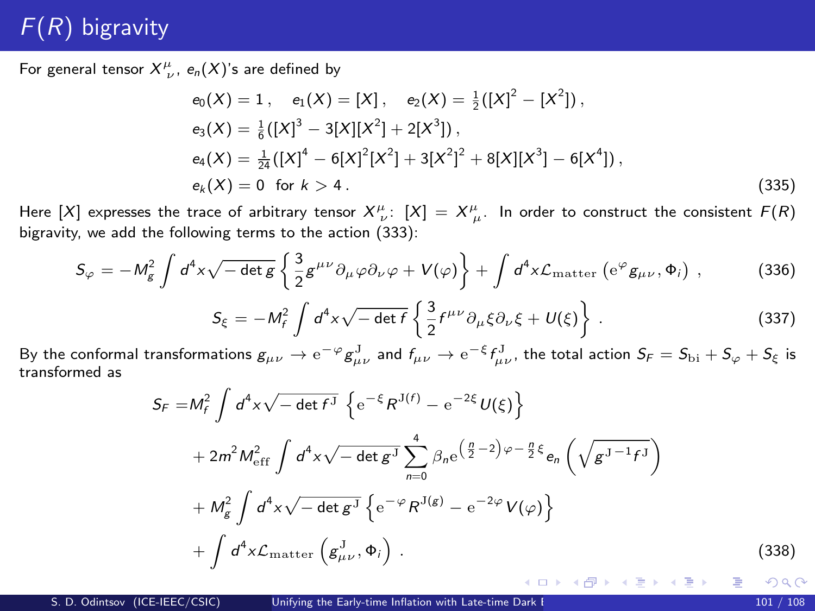## $F(R)$  bigravity

For general tensor  $X^{\mu}_{\ \nu}$ ,  $e_n(X)$ 's are defined by

$$
e_0(X) = 1, e_1(X) = [X], e_2(X) = \frac{1}{2}([X]^2 - [X^2]),
$$
  
\n
$$
e_3(X) = \frac{1}{6}([X]^3 - 3[X][X^2] + 2[X^3]),
$$
  
\n
$$
e_4(X) = \frac{1}{24}([X]^4 - 6[X]^2[X^2] + 3[X^2]^2 + 8[X][X^3] - 6[X^4]),
$$
  
\n
$$
e_k(X) = 0 \text{ for } k > 4.
$$
\n(335)

Here  $[X]$  expresses the trace of arbitrary tensor  $X^{\mu}_{\ \nu}$ :  $[X] = X^{\mu}_{\ \mu}$ . In order to construct the consistent  $F(R)$ bigravity, we add the following terms to the action [\(333\)](#page-99-1):

<span id="page-100-1"></span>
$$
S_{\varphi} = -M_g^2 \int d^4x \sqrt{-\det g} \left\{ \frac{3}{2} g^{\mu\nu} \partial_{\mu}\varphi \partial_{\nu}\varphi + V(\varphi) \right\} + \int d^4x \mathcal{L}_{\text{matter}} \left( e^{\varphi} g_{\mu\nu}, \Phi_i \right) , \tag{336}
$$

<span id="page-100-2"></span>
$$
S_{\xi} = -M_f^2 \int d^4x \sqrt{-\det f} \left\{ \frac{3}{2} f^{\mu\nu} \partial_{\mu} \xi \partial_{\nu} \xi + U(\xi) \right\} . \tag{337}
$$

By the conformal transformations  $g_{\mu\nu}\to {\rm e}^{-\varphi}g_{\mu\nu}^{\rm J}$  and  $f_{\mu\nu}\to {\rm e}^{-\xi}f_{\mu\nu}^{\rm J}$ , the total action  $S_{\it F}=S_{\rm bi}+S_\varphi+S_\xi$  is transformed as

<span id="page-100-0"></span>
$$
S_F = M_f^2 \int d^4x \sqrt{-\det f^J} \left\{ e^{-\xi} R^{J(f)} - e^{-2\xi} U(\xi) \right\}
$$
  
+  $2m^2 M_{\text{eff}}^2 \int d^4x \sqrt{-\det g^J} \sum_{n=0}^4 \beta_n e^{\left(\frac{n}{2} - 2\right)\varphi - \frac{n}{2}\xi} e_n \left(\sqrt{g^{J-1} f^J}\right)$   
+  $M_g^2 \int d^4x \sqrt{-\det g^J} \left\{ e^{-\varphi} R^{J(g)} - e^{-2\varphi} V(\varphi) \right\}$   
+  $\int d^4x \mathcal{L}_{\text{matter}} \left(g_{\mu\nu}^J, \Phi_i\right).$  (338)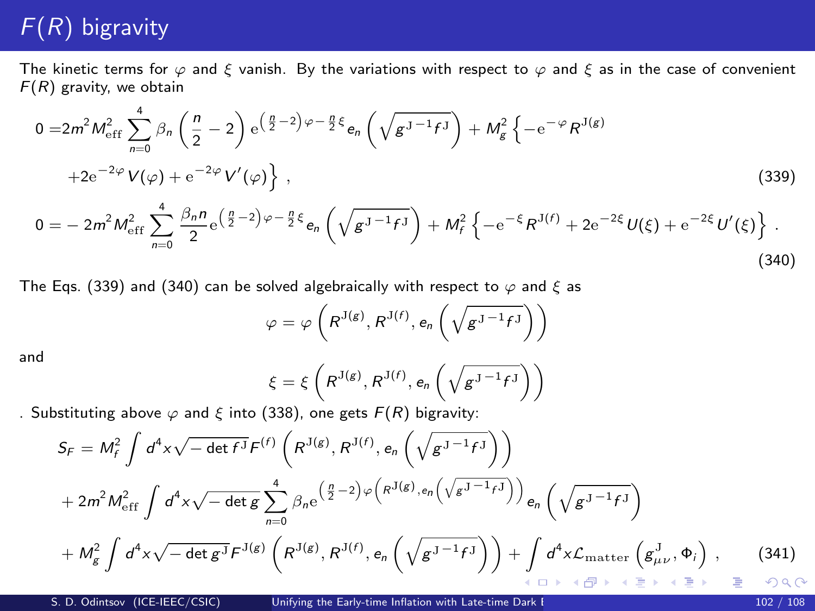# $F(R)$  bigravity

The kinetic terms for  $\varphi$  and  $\xi$  vanish. By the variations with respect to  $\varphi$  and  $\xi$  as in the case of convenient  $F(R)$  gravity, we obtain

<span id="page-101-0"></span>
$$
0 = 2m^2 M_{\text{eff}}^2 \sum_{n=0}^4 \beta_n \left(\frac{n}{2} - 2\right) e^{\left(\frac{n}{2} - 2\right)\varphi - \frac{n}{2}\xi} e_n \left(\sqrt{g^{J-1}f^{J}}\right) + M_g^2 \left\{-e^{-\varphi} R^{J(g)}\right\} + 2e^{-2\varphi} V(\varphi) + e^{-2\varphi} V'(\varphi) \left\},
$$
\n
$$
0 = -2m^2 M_{\text{eff}}^2 \sum_{n=0}^4 \frac{\beta_n n}{2} e^{\left(\frac{n}{2} - 2\right)\varphi - \frac{n}{2}\xi} e_n \left(\sqrt{g^{J-1}f^{J}}\right) + M_f^2 \left\{-e^{-\xi} R^{J(f)} + 2e^{-2\xi} U(\xi) + e^{-2\xi} U'(\xi)\right\}.
$$
\n(339)

<span id="page-101-1"></span>The Eqs. [\(339\)](#page-101-0) and [\(340\)](#page-101-1) can be solved algebraically with respect to  $\varphi$  and  $\xi$  as

$$
\varphi = \varphi\left(R^{J(g)}, R^{J(f)}, e_n\left(\sqrt{g^{J-1}f^{J}}\right)\right)
$$

and

$$
\xi = \xi \left( R^{J(g)}, R^{J(f)}, e_n \left( \sqrt{g^{J-1} f^{J}} \right) \right)
$$
  
328) one set  $E(P)$  birepair.

. Substituting above  $\varphi$  and  $\xi$  into [\(338\)](#page-100-0), one gets  $F(R)$  bigravity:

$$
S_F = M_f^2 \int d^4x \sqrt{-\det f^J} F^{(f)} \left( R^{J(g)}, R^{J(f)}, e_n \left( \sqrt{g^{J-1} f^J} \right) \right)
$$
  
+  $2m^2 M_{\text{eff}}^2 \int d^4x \sqrt{-\det g} \sum_{n=0}^4 \beta_n e^{\left( \frac{n}{2} - 2 \right) \varphi \left( R^{J(g)}, e_n \left( \sqrt{g^{J-1} f^J} \right) \right)} e_n \left( \sqrt{g^{J-1} f^J} \right)$   
+  $M_g^2 \int d^4x \sqrt{-\det g^J} F^{J(g)} \left( R^{J(g)}, R^{J(f)}, e_n \left( \sqrt{g^{J-1} f^J} \right) \right) + \int d^4x \mathcal{L}_{\text{matter}} \left( g^J_{\mu\nu}, \Phi_i \right) ,$  (341)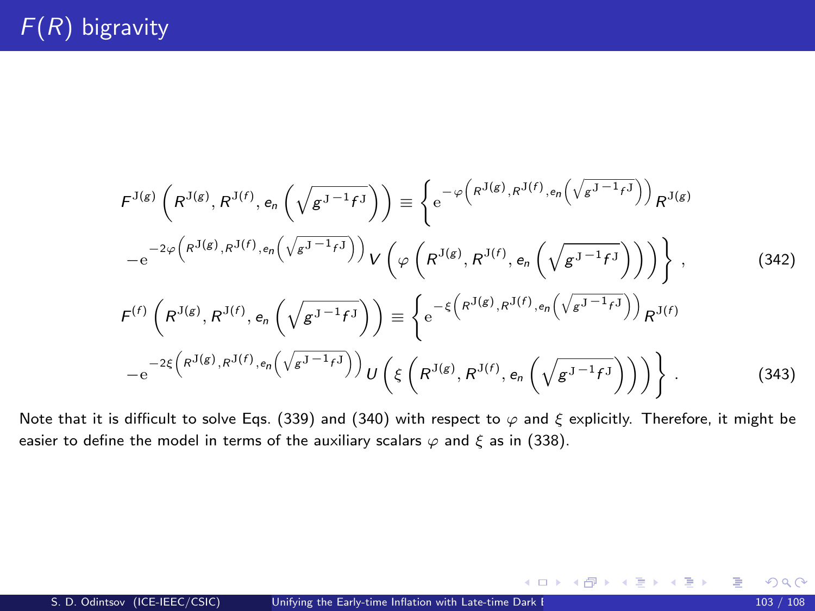$$
F^{J(g)}\left(R^{J(g)}, R^{J(f)}, e_n\left(\sqrt{g^{J-1}f^{J}}\right)\right) \equiv \left\{e^{-\varphi\left(R^{J(g)}, R^{J(f)}, e_n\left(\sqrt{g^{J-1}f^{J}}\right)\right)}R^{J(g)}\right\}
$$

$$
-e^{-2\varphi\left(R^{J(g)}, R^{J(f)}, e_n\left(\sqrt{g^{J-1}f^{J}}\right)\right)}V\left(\varphi\left(R^{J(g)}, R^{J(f)}, e_n\left(\sqrt{g^{J-1}f^{J}}\right)\right)\right)\right\},\qquad(342)
$$

$$
F^{(f)}\left(R^{J(g)}, R^{J(f)}, e_n\left(\sqrt{g^{J-1}f^{J}}\right)\right) \equiv \left\{e^{-\xi\left(R^{J(g)}, R^{J(f)}, e_n\left(\sqrt{g^{J-1}f^{J}}\right)\right)}R^{J(f)}\right\}
$$

$$
-e^{-2\xi\left(R^{J(g)}, R^{J(f)}, e_n\left(\sqrt{g^{J-1}f^{J}}\right)\right)}U\left(\xi\left(R^{J(g)}, R^{J(f)}, e_n\left(\sqrt{g^{J-1}f^{J}}\right)\right)\right)\right\}.
$$

Note that it is difficult to solve Eqs. [\(339\)](#page-101-0) and [\(340\)](#page-101-1) with respect to  $\varphi$  and  $\xi$  explicitly. Therefore, it might be easier to define the model in terms of the auxiliary scalars  $\varphi$  and  $\xi$  as in [\(338\)](#page-100-0).

活

メロメ メ部 メメ きょうくきょう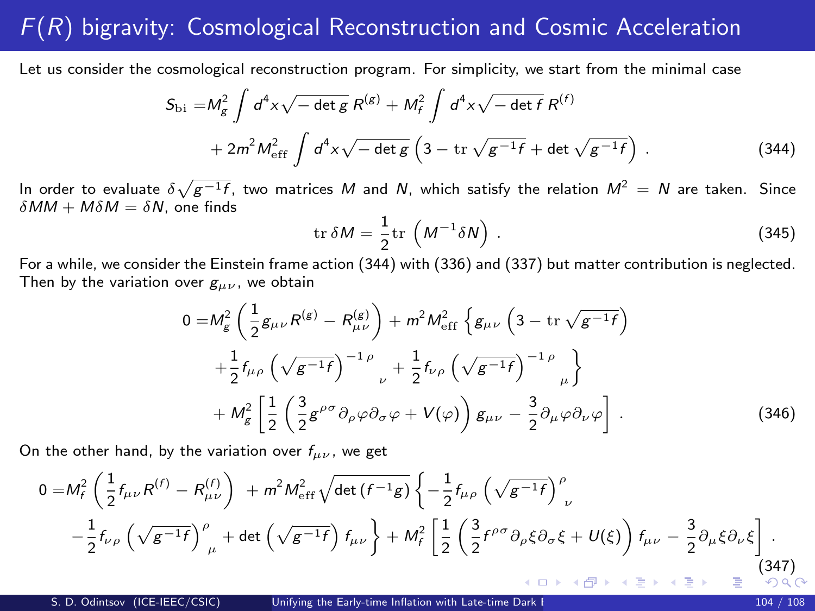### <span id="page-103-1"></span> $F(R)$  bigravity: Cosmological Reconstruction and Cosmic Acceleration

Let us consider the cosmological reconstruction program. For simplicity, we start from the minimal case

<span id="page-103-0"></span>
$$
S_{\text{bi}} = M_g^2 \int d^4 x \sqrt{-\det g} \, R^{(g)} + M_f^2 \int d^4 x \sqrt{-\det f} \, R^{(f)} + 2m^2 M_{\text{eff}}^2 \int d^4 x \sqrt{-\det g} \left( 3 - \text{tr} \sqrt{g^{-1} f} + \det \sqrt{g^{-1} f} \right) \,. \tag{344}
$$

In order to evaluate  $\delta\sqrt{g^{-1}f}$ , two matrices  $M$  and  $N$ , which satisfy the relation  $M^2\,=\,N$  are taken. Since  $\delta MM + M \delta M = \delta N$ , one finds

$$
\operatorname{tr} \delta M = \frac{1}{2} \operatorname{tr} \left( M^{-1} \delta N \right) . \tag{345}
$$

For a while, we consider the Einstein frame action [\(344\)](#page-103-0) with [\(336\)](#page-100-1) and [\(337\)](#page-100-2) but matter contribution is neglected. Then by the variation over  $g_{\mu\nu}$ , we obtain

<span id="page-103-2"></span>
$$
0 = M_g^2 \left( \frac{1}{2} g_{\mu\nu} R^{(g)} - R_{\mu\nu}^{(g)} \right) + m^2 M_{\text{eff}}^2 \left\{ g_{\mu\nu} \left( 3 - \text{tr} \sqrt{g^{-1} f} \right) \right.\left. + \frac{1}{2} f_{\mu\rho} \left( \sqrt{g^{-1} f} \right)^{-1 \rho} \right._{\nu} + \frac{1}{2} f_{\nu\rho} \left( \sqrt{g^{-1} f} \right)^{-1 \rho} \right._{\mu} \left\} + M_g^2 \left[ \frac{1}{2} \left( \frac{3}{2} g^{\rho\sigma} \partial_{\rho} \varphi \partial_{\sigma} \varphi + V(\varphi) \right) g_{\mu\nu} - \frac{3}{2} \partial_{\mu} \varphi \partial_{\nu} \varphi \right] .
$$
\n(346)

On the other hand, by the variation over  $f_{\mu\nu}$ , we get

<span id="page-103-3"></span>
$$
0 = M_f^2 \left( \frac{1}{2} f_{\mu\nu} R^{(f)} - R_{\mu\nu}^{(f)} \right) + m^2 M_{\text{eff}}^2 \sqrt{\det \left( f^{-1} g \right)} \left\{ -\frac{1}{2} f_{\mu\rho} \left( \sqrt{g^{-1} f} \right)^\rho_{\nu} - \frac{1}{2} f_{\nu\rho} \left( \sqrt{g^{-1} f} \right)^\rho_{\mu} + \det \left( \sqrt{g^{-1} f} \right) f_{\mu\nu} \right\} + M_f^2 \left[ \frac{1}{2} \left( \frac{3}{2} f^{\rho\sigma} \partial_\rho \xi \partial_\sigma \xi + U(\xi) \right) f_{\mu\nu} - \frac{3}{2} \partial_\mu \xi \partial_\nu \xi \right].
$$
\n(347)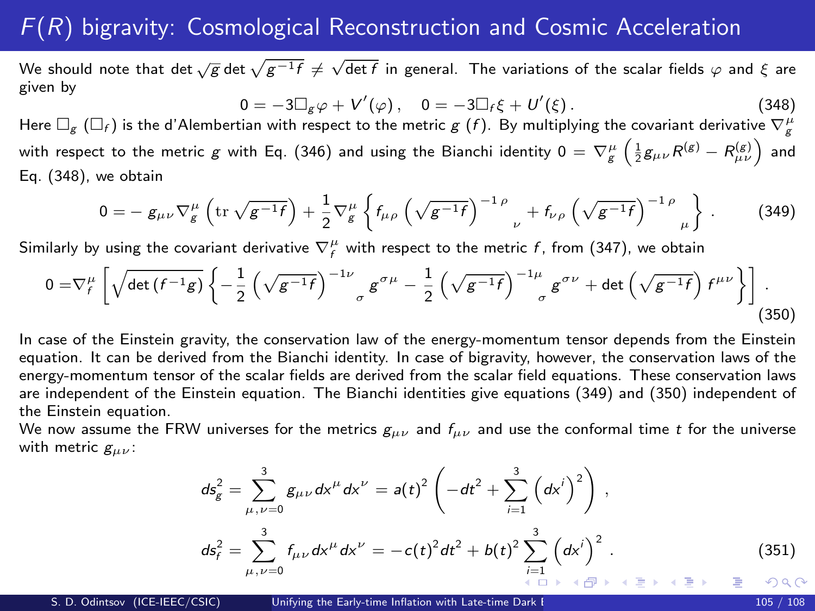#### $F(R)$  bigravity: Cosmological Reconstruction and Cosmic Acceleration

We should note that det  $\sqrt{\bar{g}}$  det  $\sqrt{g^{-1}f}\neq\sqrt{\det f}$  in general. The variations of the scalar fields  $\varphi$  and  $\xi$  are given by

<span id="page-104-0"></span> $0 = -3\Box_g \varphi + V'(\varphi)$  ,  $0 = -3\Box_f \xi + U'$  $(348)$ 

Here  $\Box_g$   $(\Box_f)$  is the d'Alembertian with respect to the metric  $g$   $(f)$ . By multiplying the covariant derivative  $\nabla_g^\mu$ with respect to the metric  $g$  with Eq. [\(346\)](#page-103-2) and using the Bianchi identity  $0=\nabla_g^\mu\left(\frac{1}{2}g_{\mu\nu}R^{(g)}-R^{(g)}_{\mu\nu}\right)$  and Eq. [\(348\)](#page-104-0), we obtain

<span id="page-104-1"></span>
$$
0 = - g_{\mu\nu} \nabla_g^{\mu} \left( \text{tr} \sqrt{g^{-1} f} \right) + \frac{1}{2} \nabla_g^{\mu} \left\{ f_{\mu\rho} \left( \sqrt{g^{-1} f} \right)^{-1 \rho} {}_{\nu} + f_{\nu\rho} \left( \sqrt{g^{-1} f} \right)^{-1 \rho} {}_{\mu} \right\} \,. \tag{349}
$$

Similarly by using the covariant derivative  $\nabla_f^\mu$  with respect to the metric  $f$ , from [\(347\)](#page-103-3), we obtain

<span id="page-104-2"></span>
$$
0 = \nabla_f^{\mu} \left[ \sqrt{\det \left( f^{-1} g \right)} \left\{ -\frac{1}{2} \left( \sqrt{g^{-1} f} \right)^{-1 \nu} \right\} g^{\sigma \mu} - \frac{1}{2} \left( \sqrt{g^{-1} f} \right)^{-1 \mu} g^{\sigma \nu} + \det \left( \sqrt{g^{-1} f} \right) f^{\mu \nu} \right\} \right].
$$
\n(350)

In case of the Einstein gravity, the conservation law of the energy-momentum tensor depends from the Einstein equation. It can be derived from the Bianchi identity. In case of bigravity, however, the conservation laws of the energy-momentum tensor of the scalar fields are derived from the scalar field equations. These conservation laws are independent of the Einstein equation. The Bianchi identities give equations [\(349\)](#page-104-1) and [\(350\)](#page-104-2) independent of the Einstein equation.

We now assume the FRW universes for the metrics  $g_{\mu\nu}$  and  $f_{\mu\nu}$  and use the conformal time t for the universe with metric  $g_{\mu\nu}$ :

$$
ds_g^2 = \sum_{\mu,\nu=0}^3 g_{\mu\nu} dx^{\mu} dx^{\nu} = a(t)^2 \left( -dt^2 + \sum_{i=1}^3 \left( dx^i \right)^2 \right),
$$
  

$$
ds_f^2 = \sum_{\mu,\nu=0}^3 f_{\mu\nu} dx^{\mu} dx^{\nu} = -c(t)^2 dt^2 + b(t)^2 \sum_{\substack{i=1 \ \text{odd } k}}^3 \left( dx^i \right)^2.
$$
 (351)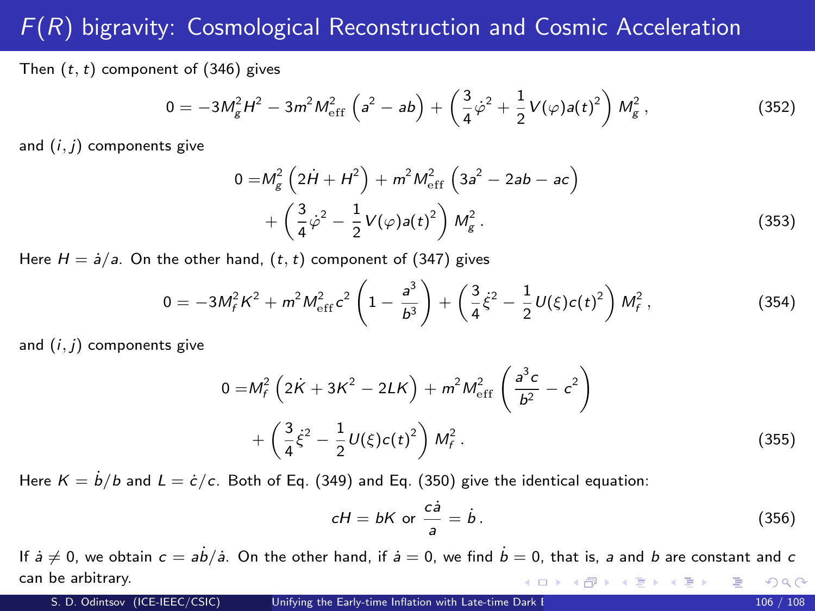## $F(R)$  bigravity: Cosmological Reconstruction and Cosmic Acceleration

Then  $(t, t)$  component of [\(346\)](#page-103-2) gives

$$
0 = -3M_g^2 H^2 - 3m^2 M_{\rm eff}^2 \left( a^2 - ab \right) + \left( \frac{3}{4} \dot{\varphi}^2 + \frac{1}{2} V(\varphi) a(t)^2 \right) M_g^2, \qquad (352)
$$

and  $(i, j)$  components give

$$
0 = M_g^2 \left( 2\dot{H} + H^2 \right) + m^2 M_{\text{eff}}^2 \left( 3a^2 - 2ab - ac \right)
$$
  
+ 
$$
\left( \frac{3}{4} \dot{\varphi}^2 - \frac{1}{2} V(\varphi) a(t)^2 \right) M_g^2.
$$
 (353)

Here  $H = \dot{a}/a$ . On the other hand,  $(t, t)$  component of [\(347\)](#page-103-3) gives

$$
0 = -3M_f^2 K^2 + m^2 M_{\rm eff}^2 c^2 \left( 1 - \frac{a^3}{b^3} \right) + \left( \frac{3}{4} \dot{\xi}^2 - \frac{1}{2} U(\xi) c(t)^2 \right) M_f^2, \qquad (354)
$$

and  $(i, j)$  components give

$$
0 = M_f^2 \left( 2\dot{K} + 3K^2 - 2LK \right) + m^2 M_{\text{eff}}^2 \left( \frac{a^3 c}{b^2} - c^2 \right)
$$
  
+ 
$$
\left( \frac{3}{4} \dot{\xi}^2 - \frac{1}{2} U(\xi) c(t)^2 \right) M_f^2.
$$
 (355)

Here  $K = \dot{b}/b$  and  $L = \dot{c}/c$ . Both of Eq. [\(349\)](#page-104-1) and Eq. [\(350\)](#page-104-2) give the identical equation:

$$
cH = bK \text{ or } \frac{c\dot{a}}{a} = \dot{b} \,.
$$
 (356)

If  $\dot{a} \neq 0$ , we obtain  $c = a\dot{b}/\dot{a}$ . On the other hand, if  $\dot{a} = 0$ , we find  $\dot{b} = 0$ , that is, a and b are constant and c can be arbitrary. イロメ 不優 メイミメイミメ つへへ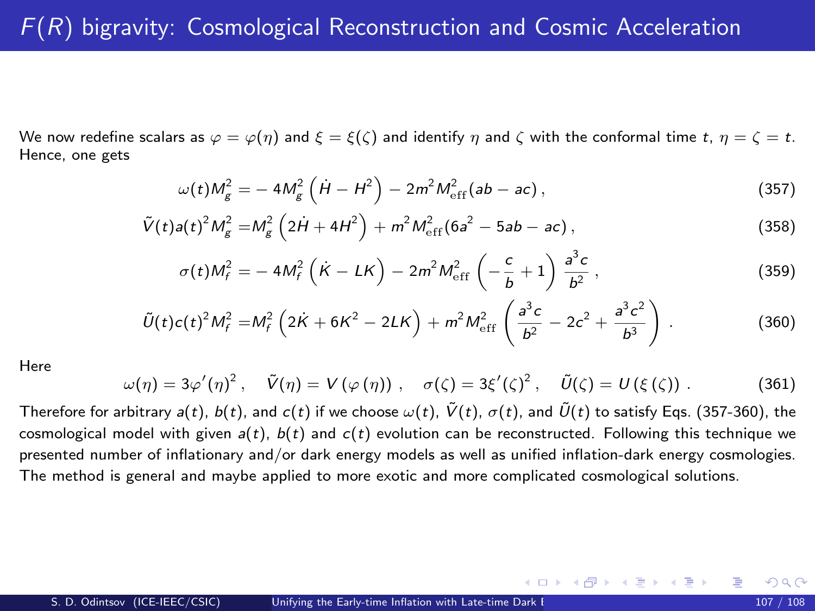We now redefine scalars as  $\varphi = \varphi(\eta)$  and  $\xi = \xi(\zeta)$  and identify  $\eta$  and  $\zeta$  with the conformal time  $t, \eta = \zeta = t$ . Hence, one gets

<span id="page-106-0"></span>
$$
\omega(t)M_g^2 = -4M_g^2 \left(\dot{H} - H^2\right) - 2m^2 M_{\rm eff}^2 (ab - ac),
$$
\n(357)

$$
\tilde{V}(t)a(t)^{2}M_{g}^{2}=M_{g}^{2}\left(2\dot{H}+4H^{2}\right)+m^{2}M_{\text{eff}}^{2}(6a^{2}-5ab-ac),
$$
\n(358)

$$
\sigma(t)M_f^2 = -4M_f^2\left(\dot{K} - LK\right) - 2m^2M_{\rm eff}^2\left(-\frac{c}{b} + 1\right)\frac{a^3c}{b^2},\qquad(359)
$$

<span id="page-106-1"></span>
$$
\tilde{U}(t)c(t)^{2}M_{f}^{2}=M_{f}^{2}\left(2\dot{K}+6K^{2}-2LK\right)+m^{2}M_{\rm eff}^{2}\left(\frac{a^{3}c}{b^{2}}-2c^{2}+\frac{a^{3}c^{2}}{b^{3}}\right).
$$
 (360)

Here

$$
\omega(\eta) = 3\varphi'(\eta)^2, \quad \tilde{V}(\eta) = V(\varphi(\eta)), \quad \sigma(\zeta) = 3\xi'(\zeta)^2, \quad \tilde{U}(\zeta) = U(\xi(\zeta)). \tag{361}
$$

Therefore for arbitrary  $a(t)$ ,  $b(t)$ , and  $c(t)$  if we choose  $\omega(t)$ ,  $\tilde{V}(t)$ ,  $\sigma(t)$ , and  $\tilde{U}(t)$  to satisfy Eqs. [\(357](#page-106-0)[-360\)](#page-106-1), the cosmological model with given  $a(t)$ ,  $b(t)$  and  $c(t)$  evolution can be reconstructed. Following this technique we presented number of inflationary and/or dark energy models as well as unified inflation-dark energy cosmologies. The method is general and maybe applied to more exotic and more complicated cosmological solutions.

メロメ メ部 メメ きょうくきょう